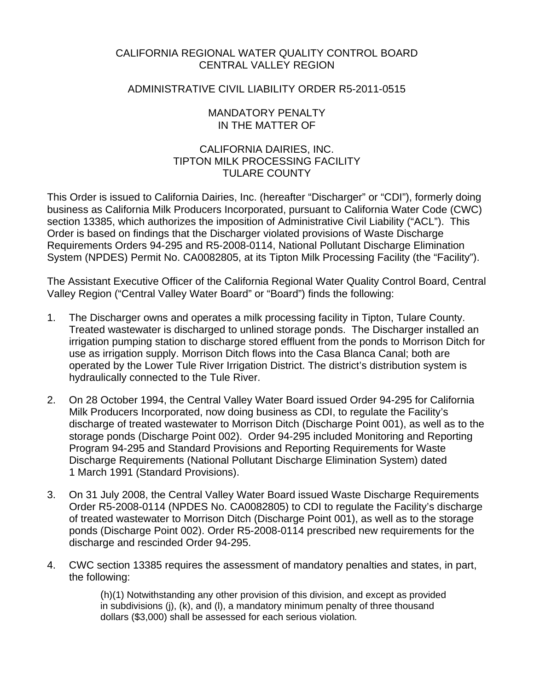# CALIFORNIA REGIONAL WATER QUALITY CONTROL BOARD CENTRAL VALLEY REGION

## ADMINISTRATIVE CIVIL LIABILITY ORDER R5-2011-0515

### MANDATORY PENALTY IN THE MATTER OF

# CALIFORNIA DAIRIES, INC. TIPTON MILK PROCESSING FACILITY TULARE COUNTY

This Order is issued to California Dairies, Inc. (hereafter "Discharger" or "CDI"), formerly doing business as California Milk Producers Incorporated, pursuant to California Water Code (CWC) section 13385, which authorizes the imposition of Administrative Civil Liability ("ACL"). This Order is based on findings that the Discharger violated provisions of Waste Discharge Requirements Orders 94-295 and R5-2008-0114, National Pollutant Discharge Elimination System (NPDES) Permit No. CA0082805, at its Tipton Milk Processing Facility (the "Facility").

The Assistant Executive Officer of the California Regional Water Quality Control Board, Central Valley Region ("Central Valley Water Board" or "Board") finds the following:

- 1. The Discharger owns and operates a milk processing facility in Tipton, Tulare County. Treated wastewater is discharged to unlined storage ponds. The Discharger installed an irrigation pumping station to discharge stored effluent from the ponds to Morrison Ditch for use as irrigation supply. Morrison Ditch flows into the Casa Blanca Canal; both are operated by the Lower Tule River Irrigation District. The district's distribution system is hydraulically connected to the Tule River.
- 2. On 28 October 1994, the Central Valley Water Board issued Order 94-295 for California Milk Producers Incorporated, now doing business as CDI, to regulate the Facility's discharge of treated wastewater to Morrison Ditch (Discharge Point 001), as well as to the storage ponds (Discharge Point 002). Order 94-295 included Monitoring and Reporting Program 94-295 and Standard Provisions and Reporting Requirements for Waste Discharge Requirements (National Pollutant Discharge Elimination System) dated 1 March 1991 (Standard Provisions).
- 3. On 31 July 2008, the Central Valley Water Board issued Waste Discharge Requirements Order R5-2008-0114 (NPDES No. CA0082805) to CDI to regulate the Facility's discharge of treated wastewater to Morrison Ditch (Discharge Point 001), as well as to the storage ponds (Discharge Point 002). Order R5-2008-0114 prescribed new requirements for the discharge and rescinded Order 94-295.
- 4. CWC section 13385 requires the assessment of mandatory penalties and states, in part, the following:

(h)(1) Notwithstanding any other provision of this division, and except as provided in subdivisions (j), (k), and (l), a mandatory minimum penalty of three thousand dollars (\$3,000) shall be assessed for each serious violation*.*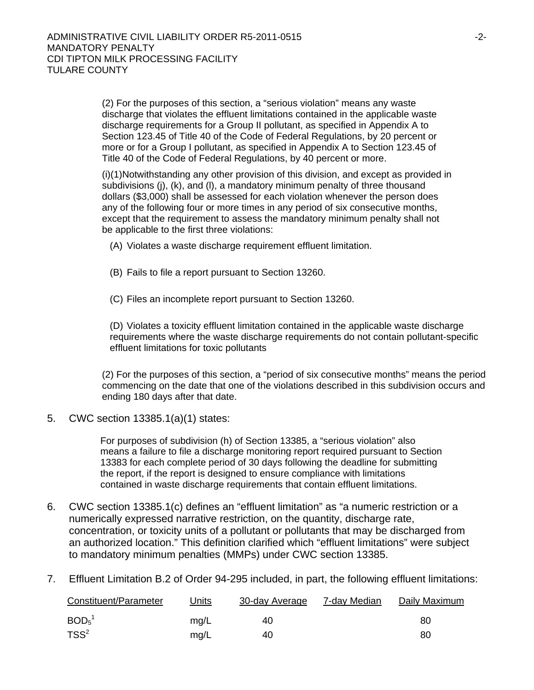(2) For the purposes of this section, a "serious violation" means any waste discharge that violates the effluent limitations contained in the applicable waste discharge requirements for a Group II pollutant, as specified in Appendix A to Section 123.45 of Title 40 of the Code of Federal Regulations, by 20 percent or more or for a Group I pollutant, as specified in Appendix A to Section 123.45 of Title 40 of the Code of Federal Regulations, by 40 percent or more.

(i)(1)Notwithstanding any other provision of this division, and except as provided in subdivisions (j), (k), and (l), a mandatory minimum penalty of three thousand dollars (\$3,000) shall be assessed for each violation whenever the person does any of the following four or more times in any period of six consecutive months, except that the requirement to assess the mandatory minimum penalty shall not be applicable to the first three violations:

- (A) Violates a waste discharge requirement effluent limitation.
- (B) Fails to file a report pursuant to Section 13260.
- (C) Files an incomplete report pursuant to Section 13260.

(D) Violates a toxicity effluent limitation contained in the applicable waste discharge requirements where the waste discharge requirements do not contain pollutant-specific effluent limitations for toxic pollutants

(2) For the purposes of this section, a "period of six consecutive months" means the period commencing on the date that one of the violations described in this subdivision occurs and ending 180 days after that date.

5. CWC section 13385.1(a)(1) states:

For purposes of subdivision (h) of Section 13385, a "serious violation" also means a failure to file a discharge monitoring report required pursuant to Section 13383 for each complete period of 30 days following the deadline for submitting the report, if the report is designed to ensure compliance with limitations contained in waste discharge requirements that contain effluent limitations.

- 6. CWC section 13385.1(c) defines an "effluent limitation" as "a numeric restriction or a numerically expressed narrative restriction, on the quantity, discharge rate, concentration, or toxicity units of a pollutant or pollutants that may be discharged from an authorized location." This definition clarified which "effluent limitations" were subject to mandatory minimum penalties (MMPs) under CWC section 13385.
- 7. Effluent Limitation B.2 of Order 94-295 included, in part, the following effluent limitations:

| Constituent/Parameter         | Units | 30-day Average | 7-day Median | Daily Maximum |
|-------------------------------|-------|----------------|--------------|---------------|
| BOD <sub>5</sub> <sup>1</sup> | mg/L  | 40             |              | 80            |
| $TSS^2$                       | mg/L  | 40             |              | 80            |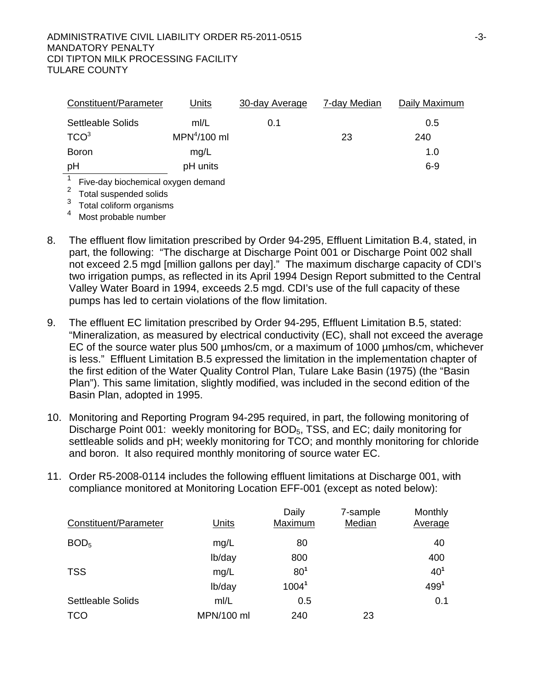| Constituent/Parameter                                        | Units         | 30-day Average | 7-day Median | Daily Maximum |
|--------------------------------------------------------------|---------------|----------------|--------------|---------------|
| Settleable Solids                                            | m/L           | 0.1            |              | 0.5           |
| TCO <sup>3</sup>                                             | $MPN4/100$ ml |                | 23           | 240           |
| <b>Boron</b>                                                 | mg/L          |                |              | 1.0           |
| рH                                                           | pH units      |                |              | $6 - 9$       |
| Five-day biochemical oxygen demand<br>Total suspended solids |               |                |              |               |

<sup>3</sup> Total coliform organisms

Most probable number

- 8. The effluent flow limitation prescribed by Order 94-295, Effluent Limitation B.4, stated, in part, the following: "The discharge at Discharge Point 001 or Discharge Point 002 shall not exceed 2.5 mgd [million gallons per day]." The maximum discharge capacity of CDI's two irrigation pumps, as reflected in its April 1994 Design Report submitted to the Central Valley Water Board in 1994, exceeds 2.5 mgd. CDI's use of the full capacity of these pumps has led to certain violations of the flow limitation.
- 9. The effluent EC limitation prescribed by Order 94-295, Effluent Limitation B.5, stated: "Mineralization, as measured by electrical conductivity (EC), shall not exceed the average EC of the source water plus 500 µmhos/cm, or a maximum of 1000 µmhos/cm, whichever is less." Effluent Limitation B.5 expressed the limitation in the implementation chapter of the first edition of the Water Quality Control Plan, Tulare Lake Basin (1975) (the "Basin Plan"). This same limitation, slightly modified, was included in the second edition of the Basin Plan, adopted in 1995.
- 10. Monitoring and Reporting Program 94-295 required, in part, the following monitoring of Discharge Point 001: weekly monitoring for BOD<sub>5</sub>, TSS, and EC; daily monitoring for settleable solids and pH; weekly monitoring for TCO; and monthly monitoring for chloride and boron. It also required monthly monitoring of source water EC.
- 11. Order R5-2008-0114 includes the following effluent limitations at Discharge 001, with compliance monitored at Monitoring Location EFF-001 (except as noted below):

| Constituent/Parameter    | Units      | Daily<br>Maximum  | 7-sample<br>Median | Monthly<br>Average |
|--------------------------|------------|-------------------|--------------------|--------------------|
| BOD <sub>5</sub>         | mg/L       | 80                |                    | 40                 |
|                          | lb/day     | 800               |                    | 400                |
| <b>TSS</b>               | mg/L       | 80 <sup>1</sup>   |                    | 40 <sup>1</sup>    |
|                          | lb/day     | 1004 <sup>1</sup> |                    | 4991               |
| <b>Settleable Solids</b> | mI/L       | 0.5               |                    | 0.1                |
| <b>TCO</b>               | MPN/100 ml | 240               | 23                 |                    |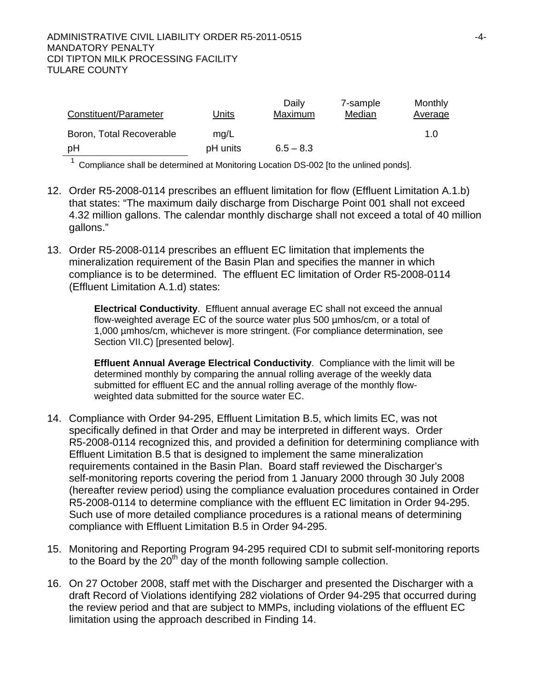| Constituent/Parameter    | Units    | Daily<br>Maximum | 7-sample<br>Median | Monthly<br><b>Average</b> |
|--------------------------|----------|------------------|--------------------|---------------------------|
| Boron, Total Recoverable | mq/L     |                  |                    | 1.0                       |
| pH                       | pH units | $6.5 - 8.3$      |                    |                           |

 $1$  Compliance shall be determined at Monitoring Location DS-002 [to the unlined ponds].

- 12. Order R5-2008-0114 prescribes an effluent limitation for flow (Effluent Limitation A.1.b) that states: "The maximum daily discharge from Discharge Point 001 shall not exceed 4.32 million gallons. The calendar monthly discharge shall not exceed a total of 40 million gallons."
- 13. Order R5-2008-0114 prescribes an effluent EC limitation that implements the mineralization requirement of the Basin Plan and specifies the manner in which compliance is to be determined. The effluent EC limitation of Order R5-2008-0114 (Effluent Limitation A.1.d) states:

**Electrical Conductivity**. Effluent annual average EC shall not exceed the annual flow-weighted average EC of the source water plus 500 µmhos/cm, or a total of 1,000 µmhos/cm, whichever is more stringent. (For compliance determination, see Section VII.C) [presented below].

**Effluent Annual Average Electrical Conductivity**. Compliance with the limit will be determined monthly by comparing the annual rolling average of the weekly data submitted for effluent EC and the annual rolling average of the monthly flowweighted data submitted for the source water EC.

- 14. Compliance with Order 94-295, Effluent Limitation B.5, which limits EC, was not specifically defined in that Order and may be interpreted in different ways. Order R5-2008-0114 recognized this, and provided a definition for determining compliance with Effluent Limitation B.5 that is designed to implement the same mineralization requirements contained in the Basin Plan. Board staff reviewed the Discharger's self-monitoring reports covering the period from 1 January 2000 through 30 July 2008 (hereafter review period) using the compliance evaluation procedures contained in Order R5-2008-0114 to determine compliance with the effluent EC limitation in Order 94-295. Such use of more detailed compliance procedures is a rational means of determining compliance with Effluent Limitation B.5 in Order 94-295.
- 15. Monitoring and Reporting Program 94-295 required CDI to submit self-monitoring reports to the Board by the  $20<sup>th</sup>$  day of the month following sample collection.
- 16. On 27 October 2008, staff met with the Discharger and presented the Discharger with a draft Record of Violations identifying 282 violations of Order 94-295 that occurred during the review period and that are subject to MMPs, including violations of the effluent EC limitation using the approach described in Finding 14.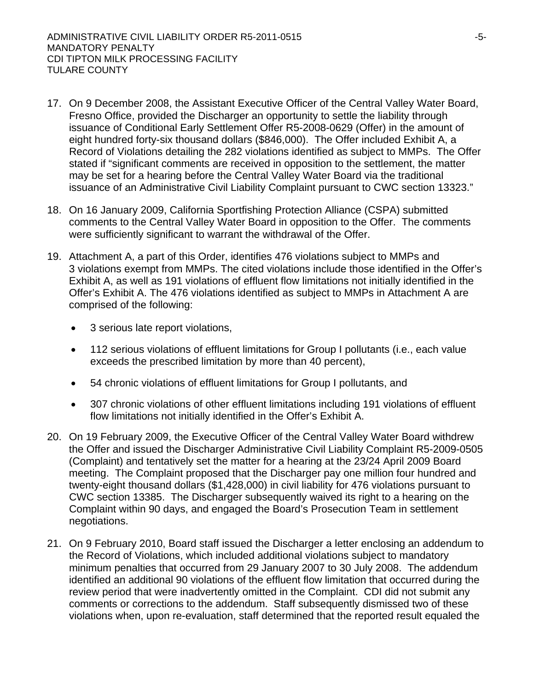- 17. On 9 December 2008, the Assistant Executive Officer of the Central Valley Water Board, Fresno Office, provided the Discharger an opportunity to settle the liability through issuance of Conditional Early Settlement Offer R5-2008-0629 (Offer) in the amount of eight hundred forty-six thousand dollars (\$846,000). The Offer included Exhibit A, a Record of Violations detailing the 282 violations identified as subject to MMPs. The Offer stated if "significant comments are received in opposition to the settlement, the matter may be set for a hearing before the Central Valley Water Board via the traditional issuance of an Administrative Civil Liability Complaint pursuant to CWC section 13323."
- 18. On 16 January 2009, California Sportfishing Protection Alliance (CSPA) submitted comments to the Central Valley Water Board in opposition to the Offer. The comments were sufficiently significant to warrant the withdrawal of the Offer.
- 19. Attachment A, a part of this Order, identifies 476 violations subject to MMPs and 3 violations exempt from MMPs. The cited violations include those identified in the Offer's Exhibit A, as well as 191 violations of effluent flow limitations not initially identified in the Offer's Exhibit A. The 476 violations identified as subject to MMPs in Attachment A are comprised of the following:
	- 3 serious late report violations,
	- 112 serious violations of effluent limitations for Group I pollutants (i.e., each value exceeds the prescribed limitation by more than 40 percent),
	- 54 chronic violations of effluent limitations for Group I pollutants, and
	- 307 chronic violations of other effluent limitations including 191 violations of effluent flow limitations not initially identified in the Offer's Exhibit A.
- 20. On 19 February 2009, the Executive Officer of the Central Valley Water Board withdrew the Offer and issued the Discharger Administrative Civil Liability Complaint R5-2009-0505 (Complaint) and tentatively set the matter for a hearing at the 23/24 April 2009 Board meeting. The Complaint proposed that the Discharger pay one million four hundred and twenty-eight thousand dollars (\$1,428,000) in civil liability for 476 violations pursuant to CWC section 13385. The Discharger subsequently waived its right to a hearing on the Complaint within 90 days, and engaged the Board's Prosecution Team in settlement negotiations.
- 21. On 9 February 2010, Board staff issued the Discharger a letter enclosing an addendum to the Record of Violations, which included additional violations subject to mandatory minimum penalties that occurred from 29 January 2007 to 30 July 2008. The addendum identified an additional 90 violations of the effluent flow limitation that occurred during the review period that were inadvertently omitted in the Complaint. CDI did not submit any comments or corrections to the addendum. Staff subsequently dismissed two of these violations when, upon re-evaluation, staff determined that the reported result equaled the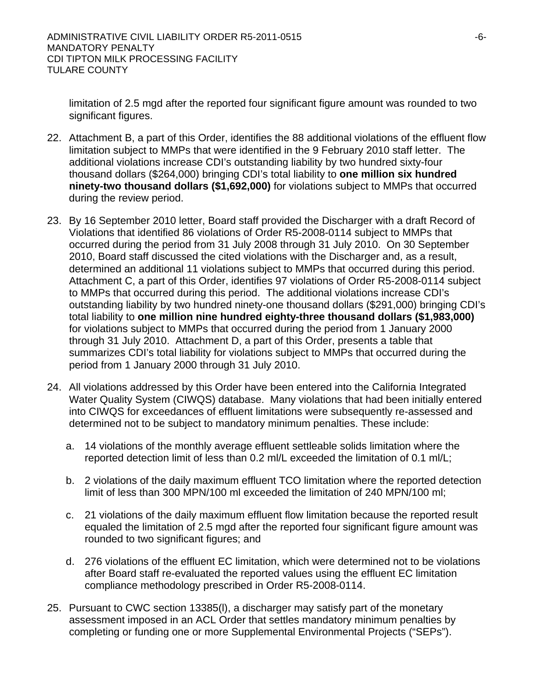limitation of 2.5 mgd after the reported four significant figure amount was rounded to two significant figures.

- 22. Attachment B, a part of this Order, identifies the 88 additional violations of the effluent flow limitation subject to MMPs that were identified in the 9 February 2010 staff letter. The additional violations increase CDI's outstanding liability by two hundred sixty-four thousand dollars (\$264,000) bringing CDI's total liability to **one million six hundred ninety-two thousand dollars (\$1,692,000)** for violations subject to MMPs that occurred during the review period.
- 23. By 16 September 2010 letter, Board staff provided the Discharger with a draft Record of Violations that identified 86 violations of Order R5-2008-0114 subject to MMPs that occurred during the period from 31 July 2008 through 31 July 2010. On 30 September 2010, Board staff discussed the cited violations with the Discharger and, as a result, determined an additional 11 violations subject to MMPs that occurred during this period. Attachment C, a part of this Order, identifies 97 violations of Order R5-2008-0114 subject to MMPs that occurred during this period. The additional violations increase CDI's outstanding liability by two hundred ninety-one thousand dollars (\$291,000) bringing CDI's total liability to **one million nine hundred eighty-three thousand dollars (\$1,983,000)**  for violations subject to MMPs that occurred during the period from 1 January 2000 through 31 July 2010. Attachment D, a part of this Order, presents a table that summarizes CDI's total liability for violations subject to MMPs that occurred during the period from 1 January 2000 through 31 July 2010.
- 24. All violations addressed by this Order have been entered into the California Integrated Water Quality System (CIWQS) database. Many violations that had been initially entered into CIWQS for exceedances of effluent limitations were subsequently re-assessed and determined not to be subject to mandatory minimum penalties. These include:
	- a. 14 violations of the monthly average effluent settleable solids limitation where the reported detection limit of less than 0.2 ml/L exceeded the limitation of 0.1 ml/L;
	- b. 2 violations of the daily maximum effluent TCO limitation where the reported detection limit of less than 300 MPN/100 ml exceeded the limitation of 240 MPN/100 ml;
	- c. 21 violations of the daily maximum effluent flow limitation because the reported result equaled the limitation of 2.5 mgd after the reported four significant figure amount was rounded to two significant figures; and
	- d. 276 violations of the effluent EC limitation, which were determined not to be violations after Board staff re-evaluated the reported values using the effluent EC limitation compliance methodology prescribed in Order R5-2008-0114.
- 25. Pursuant to CWC section 13385(l), a discharger may satisfy part of the monetary assessment imposed in an ACL Order that settles mandatory minimum penalties by completing or funding one or more Supplemental Environmental Projects ("SEPs").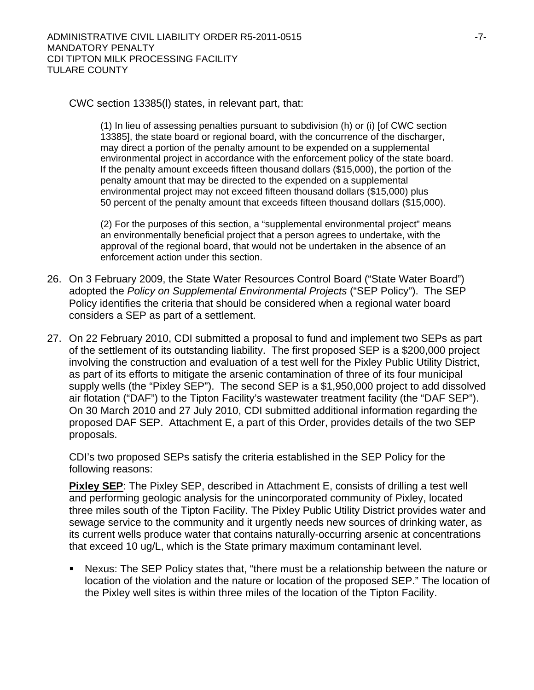CWC section 13385(l) states, in relevant part, that:

(1) In lieu of assessing penalties pursuant to subdivision (h) or (i) [of CWC section 13385], the state board or regional board, with the concurrence of the discharger, may direct a portion of the penalty amount to be expended on a supplemental environmental project in accordance with the enforcement policy of the state board. If the penalty amount exceeds fifteen thousand dollars (\$15,000), the portion of the penalty amount that may be directed to the expended on a supplemental environmental project may not exceed fifteen thousand dollars (\$15,000) plus 50 percent of the penalty amount that exceeds fifteen thousand dollars (\$15,000).

(2) For the purposes of this section, a "supplemental environmental project" means an environmentally beneficial project that a person agrees to undertake, with the approval of the regional board, that would not be undertaken in the absence of an enforcement action under this section.

- 26. On 3 February 2009, the State Water Resources Control Board ("State Water Board") adopted the *Policy on Supplemental Environmental Projects* ("SEP Policy"). The SEP Policy identifies the criteria that should be considered when a regional water board considers a SEP as part of a settlement.
- 27. On 22 February 2010, CDI submitted a proposal to fund and implement two SEPs as part of the settlement of its outstanding liability. The first proposed SEP is a \$200,000 project involving the construction and evaluation of a test well for the Pixley Public Utility District, as part of its efforts to mitigate the arsenic contamination of three of its four municipal supply wells (the "Pixley SEP"). The second SEP is a \$1,950,000 project to add dissolved air flotation ("DAF") to the Tipton Facility's wastewater treatment facility (the "DAF SEP"). On 30 March 2010 and 27 July 2010, CDI submitted additional information regarding the proposed DAF SEP. Attachment E, a part of this Order, provides details of the two SEP proposals.

CDI's two proposed SEPs satisfy the criteria established in the SEP Policy for the following reasons:

**Pixley SEP:** The Pixley SEP, described in Attachment E, consists of drilling a test well and performing geologic analysis for the unincorporated community of Pixley, located three miles south of the Tipton Facility. The Pixley Public Utility District provides water and sewage service to the community and it urgently needs new sources of drinking water, as its current wells produce water that contains naturally-occurring arsenic at concentrations that exceed 10 ug/L, which is the State primary maximum contaminant level.

 Nexus: The SEP Policy states that, "there must be a relationship between the nature or location of the violation and the nature or location of the proposed SEP." The location of the Pixley well sites is within three miles of the location of the Tipton Facility.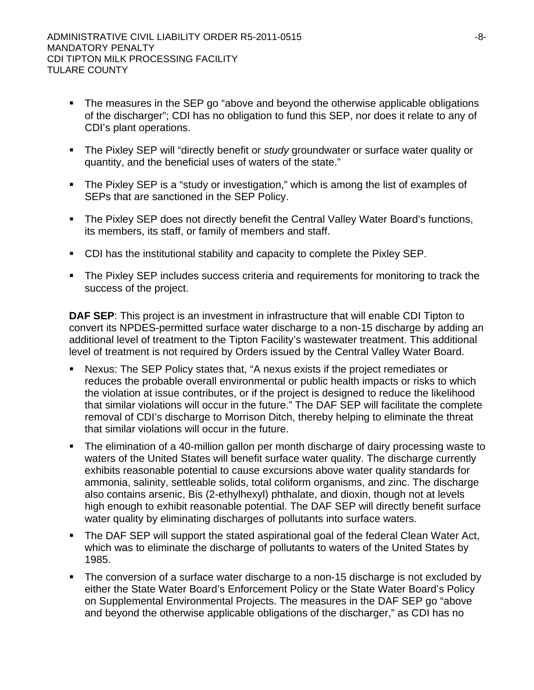- The measures in the SEP go "above and beyond the otherwise applicable obligations of the discharger"; CDI has no obligation to fund this SEP, nor does it relate to any of CDI's plant operations.
- The Pixley SEP will "directly benefit or *study* groundwater or surface water quality or quantity, and the beneficial uses of waters of the state."
- The Pixley SEP is a "study or investigation," which is among the list of examples of SEPs that are sanctioned in the SEP Policy.
- **The Pixley SEP does not directly benefit the Central Valley Water Board's functions,** its members, its staff, or family of members and staff.
- CDI has the institutional stability and capacity to complete the Pixley SEP.
- The Pixley SEP includes success criteria and requirements for monitoring to track the success of the project.

**DAF SEP**: This project is an investment in infrastructure that will enable CDI Tipton to convert its NPDES-permitted surface water discharge to a non-15 discharge by adding an additional level of treatment to the Tipton Facility's wastewater treatment. This additional level of treatment is not required by Orders issued by the Central Valley Water Board.

- Nexus: The SEP Policy states that, "A nexus exists if the project remediates or reduces the probable overall environmental or public health impacts or risks to which the violation at issue contributes, or if the project is designed to reduce the likelihood that similar violations will occur in the future." The DAF SEP will facilitate the complete removal of CDI's discharge to Morrison Ditch, thereby helping to eliminate the threat that similar violations will occur in the future.
- The elimination of a 40-million gallon per month discharge of dairy processing waste to waters of the United States will benefit surface water quality. The discharge currently exhibits reasonable potential to cause excursions above water quality standards for ammonia, salinity, settleable solids, total coliform organisms, and zinc. The discharge also contains arsenic, Bis (2-ethylhexyl) phthalate, and dioxin, though not at levels high enough to exhibit reasonable potential. The DAF SEP will directly benefit surface water quality by eliminating discharges of pollutants into surface waters.
- The DAF SEP will support the stated aspirational goal of the federal Clean Water Act, which was to eliminate the discharge of pollutants to waters of the United States by 1985.
- The conversion of a surface water discharge to a non-15 discharge is not excluded by either the State Water Board's Enforcement Policy or the State Water Board's Policy on Supplemental Environmental Projects. The measures in the DAF SEP go "above and beyond the otherwise applicable obligations of the discharger," as CDI has no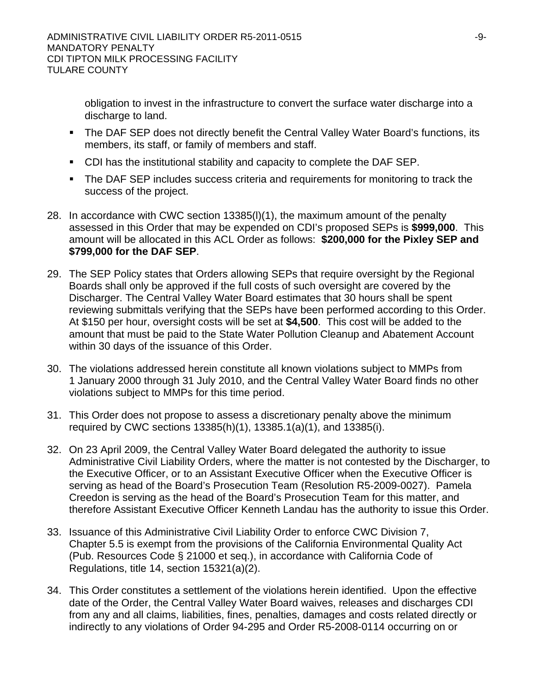obligation to invest in the infrastructure to convert the surface water discharge into a discharge to land.

- The DAF SEP does not directly benefit the Central Valley Water Board's functions, its members, its staff, or family of members and staff.
- CDI has the institutional stability and capacity to complete the DAF SEP.
- The DAF SEP includes success criteria and requirements for monitoring to track the success of the project.
- 28. In accordance with CWC section 13385(l)(1), the maximum amount of the penalty assessed in this Order that may be expended on CDI's proposed SEPs is **\$999,000**. This amount will be allocated in this ACL Order as follows: **\$200,000 for the Pixley SEP and \$799,000 for the DAF SEP**.
- 29. The SEP Policy states that Orders allowing SEPs that require oversight by the Regional Boards shall only be approved if the full costs of such oversight are covered by the Discharger. The Central Valley Water Board estimates that 30 hours shall be spent reviewing submittals verifying that the SEPs have been performed according to this Order. At \$150 per hour, oversight costs will be set at **\$4,500**. This cost will be added to the amount that must be paid to the State Water Pollution Cleanup and Abatement Account within 30 days of the issuance of this Order.
- 30. The violations addressed herein constitute all known violations subject to MMPs from 1 January 2000 through 31 July 2010, and the Central Valley Water Board finds no other violations subject to MMPs for this time period.
- 31. This Order does not propose to assess a discretionary penalty above the minimum required by CWC sections 13385(h)(1), 13385.1(a)(1), and 13385(i).
- 32. On 23 April 2009, the Central Valley Water Board delegated the authority to issue Administrative Civil Liability Orders, where the matter is not contested by the Discharger, to the Executive Officer, or to an Assistant Executive Officer when the Executive Officer is serving as head of the Board's Prosecution Team (Resolution R5-2009-0027). Pamela Creedon is serving as the head of the Board's Prosecution Team for this matter, and therefore Assistant Executive Officer Kenneth Landau has the authority to issue this Order.
- 33. Issuance of this Administrative Civil Liability Order to enforce CWC Division 7, Chapter 5.5 is exempt from the provisions of the California Environmental Quality Act (Pub. Resources Code § 21000 et seq.), in accordance with California Code of Regulations, title 14, section 15321(a)(2).
- 34. This Order constitutes a settlement of the violations herein identified. Upon the effective date of the Order, the Central Valley Water Board waives, releases and discharges CDI from any and all claims, liabilities, fines, penalties, damages and costs related directly or indirectly to any violations of Order 94-295 and Order R5-2008-0114 occurring on or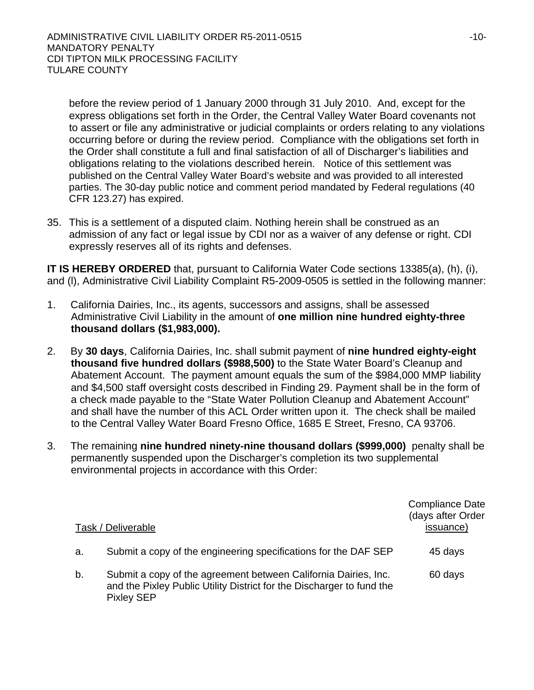before the review period of 1 January 2000 through 31 July 2010. And, except for the express obligations set forth in the Order, the Central Valley Water Board covenants not to assert or file any administrative or judicial complaints or orders relating to any violations occurring before or during the review period. Compliance with the obligations set forth in the Order shall constitute a full and final satisfaction of all of Discharger's liabilities and obligations relating to the violations described herein. Notice of this settlement was published on the Central Valley Water Board's website and was provided to all interested parties. The 30-day public notice and comment period mandated by Federal regulations (40 CFR 123.27) has expired.

35. This is a settlement of a disputed claim. Nothing herein shall be construed as an admission of any fact or legal issue by CDI nor as a waiver of any defense or right. CDI expressly reserves all of its rights and defenses.

**IT IS HEREBY ORDERED** that, pursuant to California Water Code sections 13385(a), (h), (i), and (l), Administrative Civil Liability Complaint R5-2009-0505 is settled in the following manner:

- 1. California Dairies, Inc., its agents, successors and assigns, shall be assessed Administrative Civil Liability in the amount of **one million nine hundred eighty-three thousand dollars (\$1,983,000).**
- 2. By **30 days**, California Dairies, Inc. shall submit payment of **nine hundred eighty-eight thousand five hundred dollars (\$988,500)** to the State Water Board's Cleanup and Abatement Account. The payment amount equals the sum of the \$984,000 MMP liability and \$4,500 staff oversight costs described in Finding 29. Payment shall be in the form of a check made payable to the "State Water Pollution Cleanup and Abatement Account" and shall have the number of this ACL Order written upon it. The check shall be mailed to the Central Valley Water Board Fresno Office, 1685 E Street, Fresno, CA 93706.
- 3. The remaining **nine hundred ninety-nine thousand dollars (\$999,000)** penalty shall be permanently suspended upon the Discharger's completion its two supplemental environmental projects in accordance with this Order:

|    | Task / Deliverable                                                                                                                                            | <b>Compliance Date</b><br>(days after Order<br>issuance) |
|----|---------------------------------------------------------------------------------------------------------------------------------------------------------------|----------------------------------------------------------|
| a. | Submit a copy of the engineering specifications for the DAF SEP                                                                                               | 45 days                                                  |
| b. | Submit a copy of the agreement between California Dairies, Inc.<br>and the Pixley Public Utility District for the Discharger to fund the<br><b>Pixley SEP</b> | 60 days                                                  |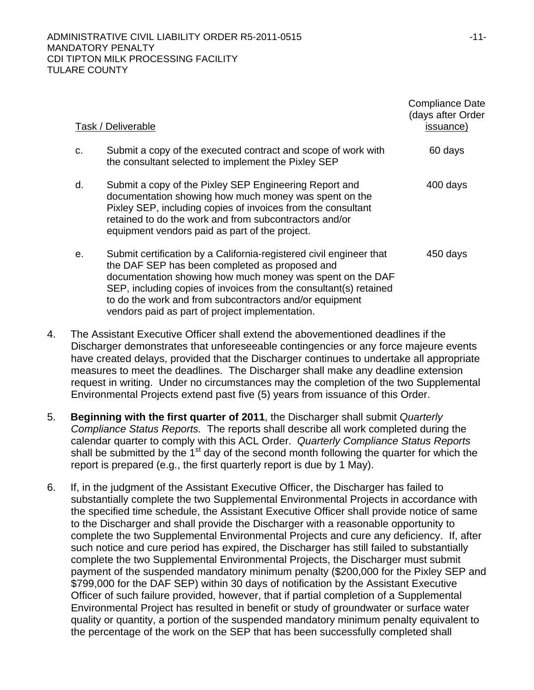|    | Task / Deliverable                                                                                                                                                                                                                                                                                                                                                    | <b>Compliance Date</b><br>(days after Order<br>issuance) |
|----|-----------------------------------------------------------------------------------------------------------------------------------------------------------------------------------------------------------------------------------------------------------------------------------------------------------------------------------------------------------------------|----------------------------------------------------------|
| C. | Submit a copy of the executed contract and scope of work with<br>the consultant selected to implement the Pixley SEP                                                                                                                                                                                                                                                  | 60 days                                                  |
| d. | Submit a copy of the Pixley SEP Engineering Report and<br>documentation showing how much money was spent on the<br>Pixley SEP, including copies of invoices from the consultant<br>retained to do the work and from subcontractors and/or<br>equipment vendors paid as part of the project.                                                                           | 400 days                                                 |
| е. | Submit certification by a California-registered civil engineer that<br>the DAF SEP has been completed as proposed and<br>documentation showing how much money was spent on the DAF<br>SEP, including copies of invoices from the consultant(s) retained<br>to do the work and from subcontractors and/or equipment<br>vendors paid as part of project implementation. | 450 days                                                 |

- 4. The Assistant Executive Officer shall extend the abovementioned deadlines if the Discharger demonstrates that unforeseeable contingencies or any force majeure events have created delays, provided that the Discharger continues to undertake all appropriate measures to meet the deadlines. The Discharger shall make any deadline extension request in writing. Under no circumstances may the completion of the two Supplemental Environmental Projects extend past five (5) years from issuance of this Order.
- 5. **Beginning with the first quarter of 2011**, the Discharger shall submit *Quarterly Compliance Status Reports.* The reports shall describe all work completed during the calendar quarter to comply with this ACL Order. *Quarterly Compliance Status Reports* shall be submitted by the  $1<sup>st</sup>$  day of the second month following the quarter for which the report is prepared (e.g., the first quarterly report is due by 1 May).
- 6. If, in the judgment of the Assistant Executive Officer, the Discharger has failed to substantially complete the two Supplemental Environmental Projects in accordance with the specified time schedule, the Assistant Executive Officer shall provide notice of same to the Discharger and shall provide the Discharger with a reasonable opportunity to complete the two Supplemental Environmental Projects and cure any deficiency. If, after such notice and cure period has expired, the Discharger has still failed to substantially complete the two Supplemental Environmental Projects, the Discharger must submit payment of the suspended mandatory minimum penalty (\$200,000 for the Pixley SEP and \$799,000 for the DAF SEP) within 30 days of notification by the Assistant Executive Officer of such failure provided, however, that if partial completion of a Supplemental Environmental Project has resulted in benefit or study of groundwater or surface water quality or quantity, a portion of the suspended mandatory minimum penalty equivalent to the percentage of the work on the SEP that has been successfully completed shall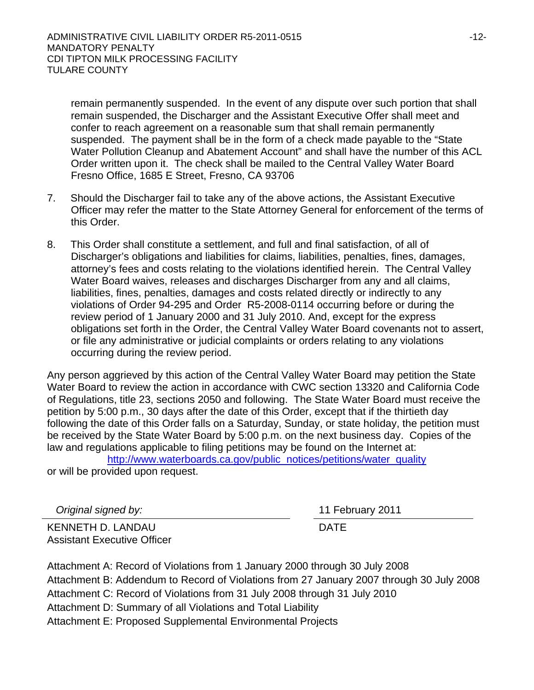remain permanently suspended. In the event of any dispute over such portion that shall remain suspended, the Discharger and the Assistant Executive Offer shall meet and confer to reach agreement on a reasonable sum that shall remain permanently suspended. The payment shall be in the form of a check made payable to the "State Water Pollution Cleanup and Abatement Account" and shall have the number of this ACL Order written upon it. The check shall be mailed to the Central Valley Water Board Fresno Office, 1685 E Street, Fresno, CA 93706

- 7. Should the Discharger fail to take any of the above actions, the Assistant Executive Officer may refer the matter to the State Attorney General for enforcement of the terms of this Order.
- 8. This Order shall constitute a settlement, and full and final satisfaction, of all of Discharger's obligations and liabilities for claims, liabilities, penalties, fines, damages, attorney's fees and costs relating to the violations identified herein. The Central Valley Water Board waives, releases and discharges Discharger from any and all claims, liabilities, fines, penalties, damages and costs related directly or indirectly to any violations of Order 94-295 and Order R5-2008-0114 occurring before or during the review period of 1 January 2000 and 31 July 2010. And, except for the express obligations set forth in the Order, the Central Valley Water Board covenants not to assert, or file any administrative or judicial complaints or orders relating to any violations occurring during the review period.

Any person aggrieved by this action of the Central Valley Water Board may petition the State Water Board to review the action in accordance with CWC section 13320 and California Code of Regulations, title 23, sections 2050 and following. The State Water Board must receive the petition by 5:00 p.m., 30 days after the date of this Order, except that if the thirtieth day following the date of this Order falls on a Saturday, Sunday, or state holiday, the petition must be received by the State Water Board by 5:00 p.m. on the next business day. Copies of the law and regulations applicable to filing petitions may be found on the Internet at:

http://www.waterboards.ca.gov/public\_notices/petitions/water\_quality

or will be provided upon request.

 *Original signed by:* 11 February 2011

KENNETH D. LANDAU Assistant Executive Officer

DATE

Attachment A: Record of Violations from 1 January 2000 through 30 July 2008 Attachment B: Addendum to Record of Violations from 27 January 2007 through 30 July 2008 Attachment C: Record of Violations from 31 July 2008 through 31 July 2010 Attachment D: Summary of all Violations and Total Liability Attachment E: Proposed Supplemental Environmental Projects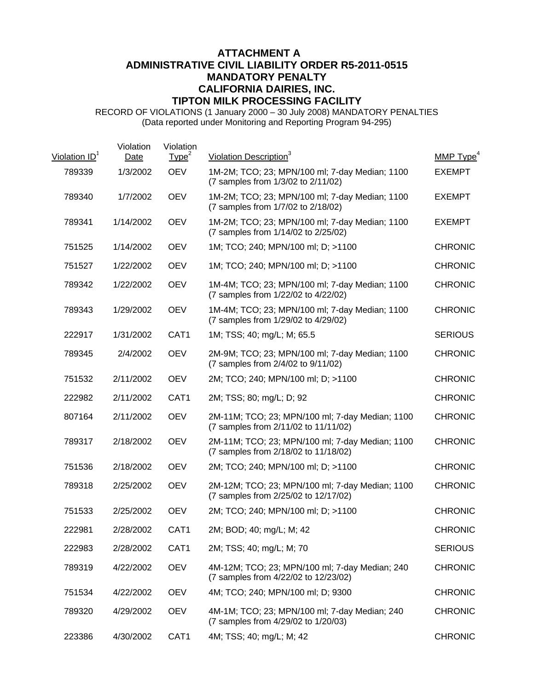# **ATTACHMENT A ADMINISTRATIVE CIVIL LIABILITY ORDER R5-2011-0515 MANDATORY PENALTY CALIFORNIA DAIRIES, INC. TIPTON MILK PROCESSING FACILITY**

RECORD OF VIOLATIONS (1 January 2000 – 30 July 2008) MANDATORY PENALTIES (Data reported under Monitoring and Reporting Program 94-295)

| Violation ID <sup>1</sup> | Violation<br>Date | Violation<br>Type <sup>2</sup> | Violation Description <sup>3</sup>                                                      | MMP Type <sup>4</sup> |
|---------------------------|-------------------|--------------------------------|-----------------------------------------------------------------------------------------|-----------------------|
| 789339                    | 1/3/2002          | <b>OEV</b>                     | 1M-2M; TCO; 23; MPN/100 ml; 7-day Median; 1100<br>(7 samples from 1/3/02 to 2/11/02)    | <b>EXEMPT</b>         |
| 789340                    | 1/7/2002          | <b>OEV</b>                     | 1M-2M; TCO; 23; MPN/100 ml; 7-day Median; 1100<br>(7 samples from 1/7/02 to 2/18/02)    | <b>EXEMPT</b>         |
| 789341                    | 1/14/2002         | <b>OEV</b>                     | 1M-2M; TCO; 23; MPN/100 ml; 7-day Median; 1100<br>(7 samples from 1/14/02 to 2/25/02)   | <b>EXEMPT</b>         |
| 751525                    | 1/14/2002         | <b>OEV</b>                     | 1M; TCO; 240; MPN/100 ml; D; >1100                                                      | <b>CHRONIC</b>        |
| 751527                    | 1/22/2002         | <b>OEV</b>                     | 1M; TCO; 240; MPN/100 ml; D; >1100                                                      | <b>CHRONIC</b>        |
| 789342                    | 1/22/2002         | <b>OEV</b>                     | 1M-4M; TCO; 23; MPN/100 ml; 7-day Median; 1100<br>(7 samples from 1/22/02 to 4/22/02)   | <b>CHRONIC</b>        |
| 789343                    | 1/29/2002         | <b>OEV</b>                     | 1M-4M; TCO; 23; MPN/100 ml; 7-day Median; 1100<br>(7 samples from 1/29/02 to 4/29/02)   | <b>CHRONIC</b>        |
| 222917                    | 1/31/2002         | CAT1                           | 1M; TSS; 40; mg/L; M; 65.5                                                              | <b>SERIOUS</b>        |
| 789345                    | 2/4/2002          | <b>OEV</b>                     | 2M-9M; TCO; 23; MPN/100 ml; 7-day Median; 1100<br>(7 samples from 2/4/02 to 9/11/02)    | <b>CHRONIC</b>        |
| 751532                    | 2/11/2002         | <b>OEV</b>                     | 2M; TCO; 240; MPN/100 ml; D; >1100                                                      | <b>CHRONIC</b>        |
| 222982                    | 2/11/2002         | CAT1                           | 2M; TSS; 80; mg/L; D; 92                                                                | <b>CHRONIC</b>        |
| 807164                    | 2/11/2002         | <b>OEV</b>                     | 2M-11M; TCO; 23; MPN/100 ml; 7-day Median; 1100<br>(7 samples from 2/11/02 to 11/11/02) | <b>CHRONIC</b>        |
| 789317                    | 2/18/2002         | <b>OEV</b>                     | 2M-11M; TCO; 23; MPN/100 ml; 7-day Median; 1100<br>(7 samples from 2/18/02 to 11/18/02) | <b>CHRONIC</b>        |
| 751536                    | 2/18/2002         | <b>OEV</b>                     | 2M; TCO; 240; MPN/100 ml; D; >1100                                                      | <b>CHRONIC</b>        |
| 789318                    | 2/25/2002         | <b>OEV</b>                     | 2M-12M; TCO; 23; MPN/100 ml; 7-day Median; 1100<br>(7 samples from 2/25/02 to 12/17/02) | <b>CHRONIC</b>        |
| 751533                    | 2/25/2002         | <b>OEV</b>                     | 2M; TCO; 240; MPN/100 ml; D; >1100                                                      | <b>CHRONIC</b>        |
| 222981                    | 2/28/2002         | CAT <sub>1</sub>               | 2M; BOD; 40; mg/L; M; 42                                                                | <b>CHRONIC</b>        |
| 222983                    | 2/28/2002         | CAT1                           | 2M; TSS; 40; mg/L; M; 70                                                                | <b>SERIOUS</b>        |
| 789319                    | 4/22/2002         | <b>OEV</b>                     | 4M-12M; TCO; 23; MPN/100 ml; 7-day Median; 240<br>(7 samples from 4/22/02 to 12/23/02)  | <b>CHRONIC</b>        |
| 751534                    | 4/22/2002         | <b>OEV</b>                     | 4M; TCO; 240; MPN/100 ml; D; 9300                                                       | <b>CHRONIC</b>        |
| 789320                    | 4/29/2002         | <b>OEV</b>                     | 4M-1M; TCO; 23; MPN/100 ml; 7-day Median; 240<br>(7 samples from 4/29/02 to 1/20/03)    | <b>CHRONIC</b>        |
| 223386                    | 4/30/2002         | CAT1                           | 4M; TSS; 40; mg/L; M; 42                                                                | <b>CHRONIC</b>        |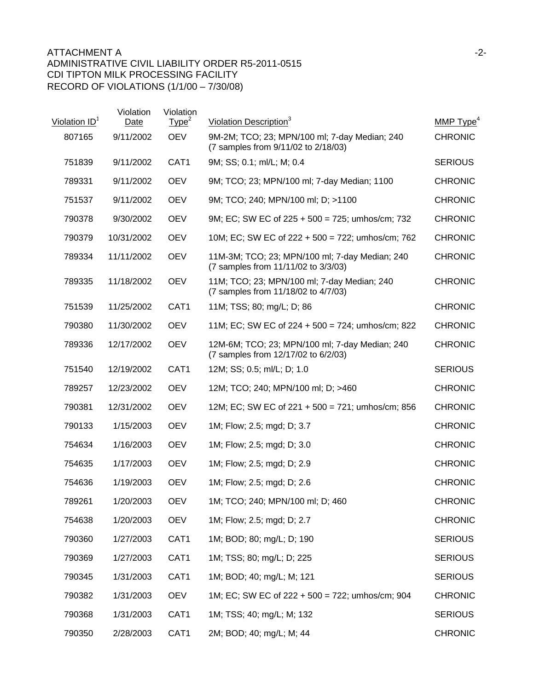| Violation ID <sup>1</sup> | Violation<br>Date | Violation<br>Type <sup>2</sup> | Violation Description <sup>3</sup>                                                    | MMP $Type4$    |
|---------------------------|-------------------|--------------------------------|---------------------------------------------------------------------------------------|----------------|
| 807165                    | 9/11/2002         | <b>OEV</b>                     | 9M-2M; TCO; 23; MPN/100 ml; 7-day Median; 240<br>(7 samples from 9/11/02 to 2/18/03)  | <b>CHRONIC</b> |
| 751839                    | 9/11/2002         | CAT1                           | 9M; SS; 0.1; ml/L; M; 0.4                                                             | <b>SERIOUS</b> |
| 789331                    | 9/11/2002         | <b>OEV</b>                     | 9M; TCO; 23; MPN/100 ml; 7-day Median; 1100                                           | <b>CHRONIC</b> |
| 751537                    | 9/11/2002         | <b>OEV</b>                     | 9M; TCO; 240; MPN/100 ml; D; >1100                                                    | <b>CHRONIC</b> |
| 790378                    | 9/30/2002         | <b>OEV</b>                     | 9M; EC; SW EC of 225 + 500 = 725; umhos/cm; 732                                       | <b>CHRONIC</b> |
| 790379                    | 10/31/2002        | <b>OEV</b>                     | 10M; EC; SW EC of 222 + 500 = 722; umhos/cm; 762                                      | <b>CHRONIC</b> |
| 789334                    | 11/11/2002        | <b>OEV</b>                     | 11M-3M; TCO; 23; MPN/100 ml; 7-day Median; 240<br>(7 samples from 11/11/02 to 3/3/03) | <b>CHRONIC</b> |
| 789335                    | 11/18/2002        | <b>OEV</b>                     | 11M; TCO; 23; MPN/100 ml; 7-day Median; 240<br>(7 samples from 11/18/02 to 4/7/03)    | <b>CHRONIC</b> |
| 751539                    | 11/25/2002        | CAT <sub>1</sub>               | 11M; TSS; 80; mg/L; D; 86                                                             | <b>CHRONIC</b> |
| 790380                    | 11/30/2002        | <b>OEV</b>                     | 11M; EC; SW EC of $224 + 500 = 724$ ; umhos/cm; 822                                   | <b>CHRONIC</b> |
| 789336                    | 12/17/2002        | <b>OEV</b>                     | 12M-6M; TCO; 23; MPN/100 ml; 7-day Median; 240<br>(7 samples from 12/17/02 to 6/2/03) | <b>CHRONIC</b> |
| 751540                    | 12/19/2002        | CAT <sub>1</sub>               | 12M; SS; 0.5; ml/L; D; 1.0                                                            | <b>SERIOUS</b> |
| 789257                    | 12/23/2002        | <b>OEV</b>                     | 12M; TCO; 240; MPN/100 ml; D; >460                                                    | <b>CHRONIC</b> |
| 790381                    | 12/31/2002        | <b>OEV</b>                     | 12M; EC; SW EC of 221 + 500 = 721; umhos/cm; 856                                      | <b>CHRONIC</b> |
| 790133                    | 1/15/2003         | <b>OEV</b>                     | 1M; Flow; 2.5; mgd; D; 3.7                                                            | <b>CHRONIC</b> |
| 754634                    | 1/16/2003         | <b>OEV</b>                     | 1M; Flow; 2.5; mgd; D; 3.0                                                            | <b>CHRONIC</b> |
| 754635                    | 1/17/2003         | <b>OEV</b>                     | 1M; Flow; 2.5; mgd; D; 2.9                                                            | <b>CHRONIC</b> |
| 754636                    | 1/19/2003         | <b>OEV</b>                     | 1M; Flow; 2.5; mgd; D; 2.6                                                            | <b>CHRONIC</b> |
| 789261                    | 1/20/2003         | <b>OEV</b>                     | 1M; TCO; 240; MPN/100 ml; D; 460                                                      | <b>CHRONIC</b> |
| 754638                    | 1/20/2003         | <b>OEV</b>                     | 1M; Flow; 2.5; mgd; D; 2.7                                                            | <b>CHRONIC</b> |
| 790360                    | 1/27/2003         | CAT1                           | 1M; BOD; 80; mg/L; D; 190                                                             | <b>SERIOUS</b> |
| 790369                    | 1/27/2003         | CAT1                           | 1M; TSS; 80; mg/L; D; 225                                                             | <b>SERIOUS</b> |
| 790345                    | 1/31/2003         | CAT1                           | 1M; BOD; 40; mg/L; M; 121                                                             | <b>SERIOUS</b> |
| 790382                    | 1/31/2003         | <b>OEV</b>                     | 1M; EC; SW EC of 222 + 500 = 722; umhos/cm; 904                                       | <b>CHRONIC</b> |
| 790368                    | 1/31/2003         | CAT1                           | 1M; TSS; 40; mg/L; M; 132                                                             | <b>SERIOUS</b> |
| 790350                    | 2/28/2003         | CAT1                           | 2M; BOD; 40; mg/L; M; 44                                                              | <b>CHRONIC</b> |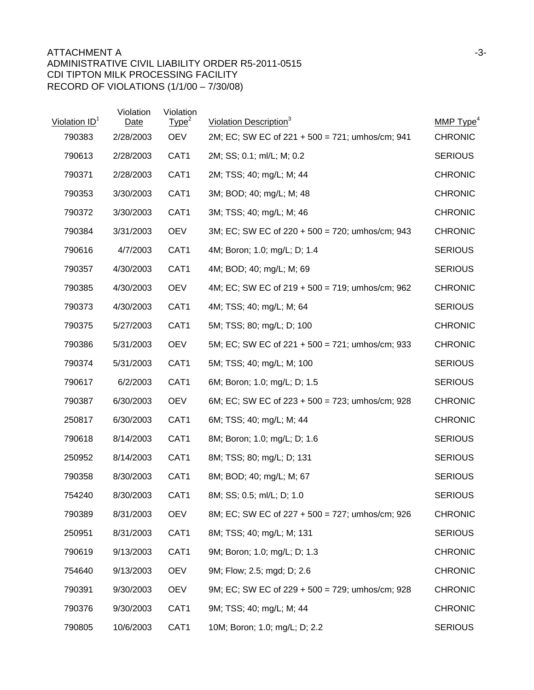## ATTACHMENT A and the state of the state of the state of the state of the state of the state of the state of the state of the state of the state of the state of the state of the state of the state of the state of the state ADMINISTRATIVE CIVIL LIABILITY ORDER R5-2011-0515 CDI TIPTON MILK PROCESSING FACILITY RECORD OF VIOLATIONS (1/1/00 – 7/30/08)

| Violation ID <sup>1</sup> | Violation<br>Date | Violation<br>Type <sup>2</sup> | Violation Description <sup>3</sup>                 | MMP $Type4$    |
|---------------------------|-------------------|--------------------------------|----------------------------------------------------|----------------|
| 790383                    | 2/28/2003         | <b>OEV</b>                     | 2M; EC; SW EC of 221 + 500 = 721; umhos/cm; 941    | <b>CHRONIC</b> |
| 790613                    | 2/28/2003         | CAT1                           | 2M; SS; 0.1; ml/L; M; 0.2                          | <b>SERIOUS</b> |
| 790371                    | 2/28/2003         | CAT1                           | 2M; TSS; 40; mg/L; M; 44                           | <b>CHRONIC</b> |
| 790353                    | 3/30/2003         | CAT1                           | 3M; BOD; 40; mg/L; M; 48                           | <b>CHRONIC</b> |
| 790372                    | 3/30/2003         | CAT1                           | 3M; TSS; 40; mg/L; M; 46                           | <b>CHRONIC</b> |
| 790384                    | 3/31/2003         | <b>OEV</b>                     | 3M; EC; SW EC of 220 + 500 = 720; umhos/cm; 943    | <b>CHRONIC</b> |
| 790616                    | 4/7/2003          | CAT <sub>1</sub>               | 4M; Boron; 1.0; mg/L; D; 1.4                       | <b>SERIOUS</b> |
| 790357                    | 4/30/2003         | CAT <sub>1</sub>               | 4M; BOD; 40; mg/L; M; 69                           | <b>SERIOUS</b> |
| 790385                    | 4/30/2003         | <b>OEV</b>                     | 4M; EC; SW EC of $219 + 500 = 719$ ; umhos/cm; 962 | <b>CHRONIC</b> |
| 790373                    | 4/30/2003         | CAT <sub>1</sub>               | 4M; TSS; 40; mg/L; M; 64                           | <b>SERIOUS</b> |
| 790375                    | 5/27/2003         | CAT1                           | 5M; TSS; 80; mg/L; D; 100                          | <b>CHRONIC</b> |
| 790386                    | 5/31/2003         | <b>OEV</b>                     | 5M; EC; SW EC of 221 + 500 = 721; umhos/cm; 933    | <b>CHRONIC</b> |
| 790374                    | 5/31/2003         | CAT <sub>1</sub>               | 5M; TSS; 40; mg/L; M; 100                          | <b>SERIOUS</b> |
| 790617                    | 6/2/2003          | CAT1                           | 6M; Boron; 1.0; mg/L; D; 1.5                       | <b>SERIOUS</b> |
| 790387                    | 6/30/2003         | <b>OEV</b>                     | 6M; EC; SW EC of $223 + 500 = 723$ ; umhos/cm; 928 | <b>CHRONIC</b> |
| 250817                    | 6/30/2003         | CAT1                           | 6M; TSS; 40; mg/L; M; 44                           | <b>CHRONIC</b> |
| 790618                    | 8/14/2003         | CAT1                           | 8M; Boron; 1.0; mg/L; D; 1.6                       | <b>SERIOUS</b> |
| 250952                    | 8/14/2003         | CAT <sub>1</sub>               | 8M; TSS; 80; mg/L; D; 131                          | <b>SERIOUS</b> |
| 790358                    | 8/30/2003         | CAT1                           | 8M; BOD; 40; mg/L; M; 67                           | <b>SERIOUS</b> |
| 754240                    | 8/30/2003         | CAT <sub>1</sub>               | 8M; SS; 0.5; ml/L; D; 1.0                          | <b>SERIOUS</b> |
| 790389                    | 8/31/2003         | <b>OEV</b>                     | 8M; EC; SW EC of 227 + 500 = 727; umhos/cm; 926    | <b>CHRONIC</b> |
| 250951                    | 8/31/2003         | CAT1                           | 8M; TSS; 40; mg/L; M; 131                          | <b>SERIOUS</b> |
| 790619                    | 9/13/2003         | CAT1                           | 9M; Boron; 1.0; mg/L; D; 1.3                       | <b>CHRONIC</b> |
| 754640                    | 9/13/2003         | <b>OEV</b>                     | 9M; Flow; 2.5; mgd; D; 2.6                         | <b>CHRONIC</b> |
| 790391                    | 9/30/2003         | <b>OEV</b>                     | 9M; EC; SW EC of 229 + 500 = 729; umhos/cm; 928    | <b>CHRONIC</b> |
| 790376                    | 9/30/2003         | CAT1                           | 9M; TSS; 40; mg/L; M; 44                           | <b>CHRONIC</b> |
| 790805                    | 10/6/2003         | CAT1                           | 10M; Boron; 1.0; mg/L; D; 2.2                      | <b>SERIOUS</b> |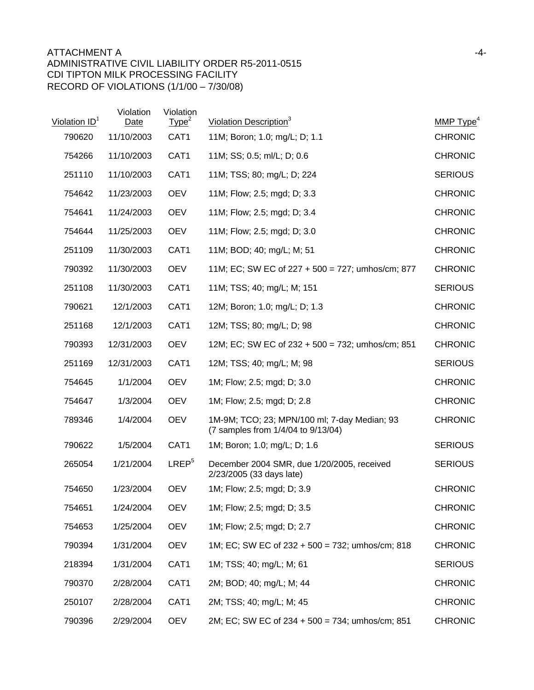| Violation ID <sup>1</sup> | Violation<br>Date | Violation<br>Type <sup>2</sup> | Violation Description <sup>3</sup>                                                 | MMP $Type4$    |
|---------------------------|-------------------|--------------------------------|------------------------------------------------------------------------------------|----------------|
| 790620                    | 11/10/2003        | CAT1                           | 11M; Boron; 1.0; mg/L; D; 1.1                                                      | <b>CHRONIC</b> |
| 754266                    | 11/10/2003        | CAT1                           | 11M; SS; 0.5; ml/L; D; 0.6                                                         | <b>CHRONIC</b> |
| 251110                    | 11/10/2003        | CAT1                           | 11M; TSS; 80; mg/L; D; 224                                                         | <b>SERIOUS</b> |
| 754642                    | 11/23/2003        | <b>OEV</b>                     | 11M; Flow; 2.5; mgd; D; 3.3                                                        | <b>CHRONIC</b> |
| 754641                    | 11/24/2003        | <b>OEV</b>                     | 11M; Flow; 2.5; mgd; D; 3.4                                                        | <b>CHRONIC</b> |
| 754644                    | 11/25/2003        | <b>OEV</b>                     | 11M; Flow; 2.5; mgd; D; 3.0                                                        | <b>CHRONIC</b> |
| 251109                    | 11/30/2003        | CAT <sub>1</sub>               | 11M; BOD; 40; mg/L; M; 51                                                          | <b>CHRONIC</b> |
| 790392                    | 11/30/2003        | <b>OEV</b>                     | 11M; EC; SW EC of 227 + 500 = 727; umhos/cm; 877                                   | <b>CHRONIC</b> |
| 251108                    | 11/30/2003        | CAT1                           | 11M; TSS; 40; mg/L; M; 151                                                         | <b>SERIOUS</b> |
| 790621                    | 12/1/2003         | CAT1                           | 12M; Boron; 1.0; mg/L; D; 1.3                                                      | <b>CHRONIC</b> |
| 251168                    | 12/1/2003         | CAT1                           | 12M; TSS; 80; mg/L; D; 98                                                          | <b>CHRONIC</b> |
| 790393                    | 12/31/2003        | <b>OEV</b>                     | 12M; EC; SW EC of 232 + 500 = 732; umhos/cm; 851                                   | <b>CHRONIC</b> |
| 251169                    | 12/31/2003        | CAT <sub>1</sub>               | 12M; TSS; 40; mg/L; M; 98                                                          | <b>SERIOUS</b> |
| 754645                    | 1/1/2004          | <b>OEV</b>                     | 1M; Flow; 2.5; mgd; D; 3.0                                                         | <b>CHRONIC</b> |
| 754647                    | 1/3/2004          | <b>OEV</b>                     | 1M; Flow; 2.5; mgd; D; 2.8                                                         | <b>CHRONIC</b> |
| 789346                    | 1/4/2004          | <b>OEV</b>                     | 1M-9M; TCO; 23; MPN/100 ml; 7-day Median; 93<br>(7 samples from 1/4/04 to 9/13/04) | <b>CHRONIC</b> |
| 790622                    | 1/5/2004          | CAT1                           | 1M; Boron; 1.0; mg/L; D; 1.6                                                       | <b>SERIOUS</b> |
| 265054                    | 1/21/2004         | LREF <sup>5</sup>              | December 2004 SMR, due 1/20/2005, received<br>2/23/2005 (33 days late)             | <b>SERIOUS</b> |
| 754650                    | 1/23/2004         | <b>OEV</b>                     | 1M; Flow; 2.5; mgd; D; 3.9                                                         | <b>CHRONIC</b> |
| 754651                    | 1/24/2004         | <b>OEV</b>                     | 1M; Flow; 2.5; mgd; D; 3.5                                                         | <b>CHRONIC</b> |
| 754653                    | 1/25/2004         | <b>OEV</b>                     | 1M; Flow; 2.5; mgd; D; 2.7                                                         | <b>CHRONIC</b> |
| 790394                    | 1/31/2004         | <b>OEV</b>                     | 1M; EC; SW EC of 232 + 500 = 732; umhos/cm; 818                                    | <b>CHRONIC</b> |
| 218394                    | 1/31/2004         | CAT1                           | 1M; TSS; 40; mg/L; M; 61                                                           | <b>SERIOUS</b> |
| 790370                    | 2/28/2004         | CAT1                           | 2M; BOD; 40; mg/L; M; 44                                                           | <b>CHRONIC</b> |
| 250107                    | 2/28/2004         | CAT1                           | 2M; TSS; 40; mg/L; M; 45                                                           | <b>CHRONIC</b> |
| 790396                    | 2/29/2004         | <b>OEV</b>                     | 2M; EC; SW EC of 234 + 500 = 734; umhos/cm; 851                                    | <b>CHRONIC</b> |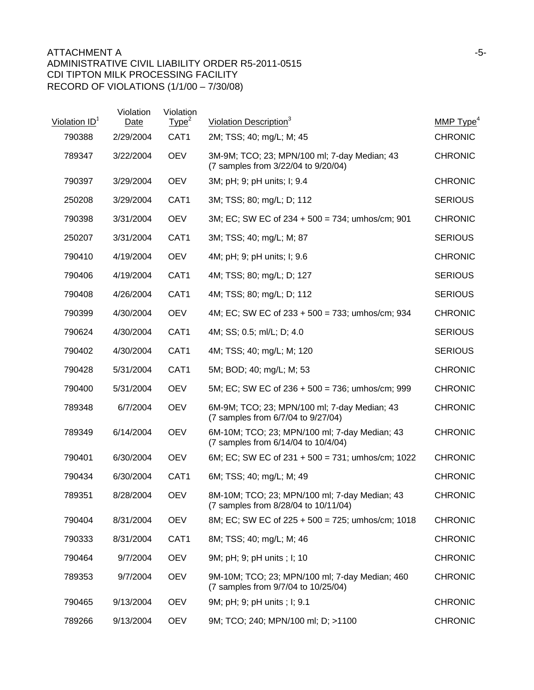| Violation ID <sup>1</sup> | Violation<br>Date | Violation<br>Type <sup>2</sup> | Violation Description <sup>3</sup>                                                    | MMP Type <sup>4</sup> |
|---------------------------|-------------------|--------------------------------|---------------------------------------------------------------------------------------|-----------------------|
| 790388                    | 2/29/2004         | CAT1                           | 2M; TSS; 40; mg/L; M; 45                                                              | <b>CHRONIC</b>        |
| 789347                    | 3/22/2004         | <b>OEV</b>                     | 3M-9M; TCO; 23; MPN/100 ml; 7-day Median; 43<br>(7 samples from 3/22/04 to 9/20/04)   | <b>CHRONIC</b>        |
| 790397                    | 3/29/2004         | <b>OEV</b>                     | 3M; pH; 9; pH units; I; 9.4                                                           | <b>CHRONIC</b>        |
| 250208                    | 3/29/2004         | CAT1                           | 3M; TSS; 80; mg/L; D; 112                                                             | <b>SERIOUS</b>        |
| 790398                    | 3/31/2004         | <b>OEV</b>                     | 3M; EC; SW EC of 234 + 500 = 734; umhos/cm; 901                                       | <b>CHRONIC</b>        |
| 250207                    | 3/31/2004         | CAT1                           | 3M; TSS; 40; mg/L; M; 87                                                              | <b>SERIOUS</b>        |
| 790410                    | 4/19/2004         | <b>OEV</b>                     | 4M; pH; 9; pH units; I; 9.6                                                           | <b>CHRONIC</b>        |
| 790406                    | 4/19/2004         | CAT <sub>1</sub>               | 4M; TSS; 80; mg/L; D; 127                                                             | <b>SERIOUS</b>        |
| 790408                    | 4/26/2004         | CAT1                           | 4M; TSS; 80; mg/L; D; 112                                                             | <b>SERIOUS</b>        |
| 790399                    | 4/30/2004         | <b>OEV</b>                     | 4M; EC; SW EC of 233 + 500 = 733; umhos/cm; 934                                       | <b>CHRONIC</b>        |
| 790624                    | 4/30/2004         | CAT1                           | 4M; SS; 0.5; ml/L; D; 4.0                                                             | <b>SERIOUS</b>        |
| 790402                    | 4/30/2004         | CAT1                           | 4M; TSS; 40; mg/L; M; 120                                                             | <b>SERIOUS</b>        |
| 790428                    | 5/31/2004         | CAT1                           | 5M; BOD; 40; mg/L; M; 53                                                              | <b>CHRONIC</b>        |
| 790400                    | 5/31/2004         | <b>OEV</b>                     | 5M; EC; SW EC of 236 + 500 = 736; umhos/cm; 999                                       | <b>CHRONIC</b>        |
| 789348                    | 6/7/2004          | <b>OEV</b>                     | 6M-9M; TCO; 23; MPN/100 ml; 7-day Median; 43<br>(7 samples from 6/7/04 to 9/27/04)    | <b>CHRONIC</b>        |
| 789349                    | 6/14/2004         | <b>OEV</b>                     | 6M-10M; TCO; 23; MPN/100 ml; 7-day Median; 43<br>(7 samples from 6/14/04 to 10/4/04)  | <b>CHRONIC</b>        |
| 790401                    | 6/30/2004         | <b>OEV</b>                     | 6M; EC; SW EC of $231 + 500 = 731$ ; umhos/cm; 1022                                   | <b>CHRONIC</b>        |
| 790434                    | 6/30/2004         | CAT <sub>1</sub>               | 6M; TSS; 40; mg/L; M; 49                                                              | <b>CHRONIC</b>        |
| 789351                    | 8/28/2004         | <b>OEV</b>                     | 8M-10M; TCO; 23; MPN/100 ml; 7-day Median; 43<br>(7 samples from 8/28/04 to 10/11/04) | <b>CHRONIC</b>        |
| 790404                    | 8/31/2004         | <b>OEV</b>                     | 8M; EC; SW EC of 225 + 500 = 725; umhos/cm; 1018                                      | <b>CHRONIC</b>        |
| 790333                    | 8/31/2004         | CAT1                           | 8M; TSS; 40; mg/L; M; 46                                                              | <b>CHRONIC</b>        |
| 790464                    | 9/7/2004          | <b>OEV</b>                     | 9M; pH; 9; pH units ; I; 10                                                           | <b>CHRONIC</b>        |
| 789353                    | 9/7/2004          | <b>OEV</b>                     | 9M-10M; TCO; 23; MPN/100 ml; 7-day Median; 460<br>(7 samples from 9/7/04 to 10/25/04) | <b>CHRONIC</b>        |
| 790465                    | 9/13/2004         | <b>OEV</b>                     | 9M; pH; 9; pH units ; I; 9.1                                                          | <b>CHRONIC</b>        |
| 789266                    | 9/13/2004         | <b>OEV</b>                     | 9M; TCO; 240; MPN/100 ml; D; >1100                                                    | <b>CHRONIC</b>        |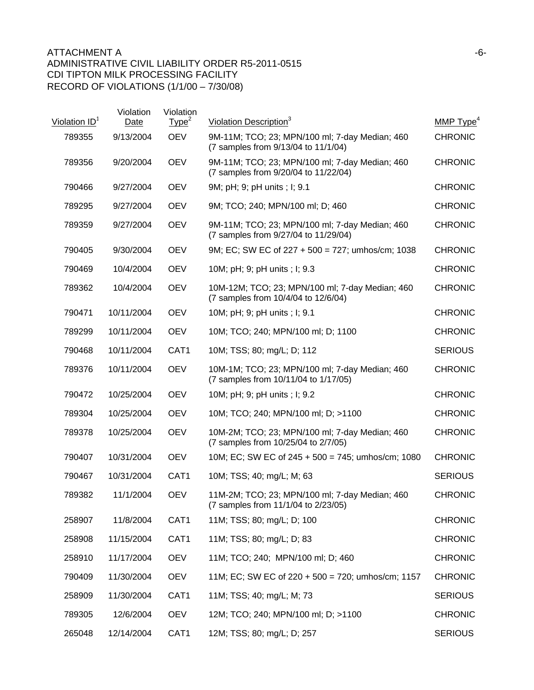| Violation ID <sup>1</sup> | Violation<br>Date | Violation<br>Type <sup>2</sup> | Violation Description <sup>3</sup>                                                     | MMP $Type4$    |
|---------------------------|-------------------|--------------------------------|----------------------------------------------------------------------------------------|----------------|
| 789355                    | 9/13/2004         | <b>OEV</b>                     | 9M-11M; TCO; 23; MPN/100 ml; 7-day Median; 460<br>(7 samples from 9/13/04 to 11/1/04)  | <b>CHRONIC</b> |
| 789356                    | 9/20/2004         | <b>OEV</b>                     | 9M-11M; TCO; 23; MPN/100 ml; 7-day Median; 460<br>(7 samples from 9/20/04 to 11/22/04) | <b>CHRONIC</b> |
| 790466                    | 9/27/2004         | <b>OEV</b>                     | 9M; pH; 9; pH units ; I; 9.1                                                           | <b>CHRONIC</b> |
| 789295                    | 9/27/2004         | <b>OEV</b>                     | 9M; TCO; 240; MPN/100 ml; D; 460                                                       | <b>CHRONIC</b> |
| 789359                    | 9/27/2004         | <b>OEV</b>                     | 9M-11M; TCO; 23; MPN/100 ml; 7-day Median; 460<br>(7 samples from 9/27/04 to 11/29/04) | <b>CHRONIC</b> |
| 790405                    | 9/30/2004         | <b>OEV</b>                     | 9M; EC; SW EC of $227 + 500 = 727$ ; umhos/cm; 1038                                    | <b>CHRONIC</b> |
| 790469                    | 10/4/2004         | <b>OEV</b>                     | 10M; pH; 9; pH units ; I; 9.3                                                          | <b>CHRONIC</b> |
| 789362                    | 10/4/2004         | <b>OEV</b>                     | 10M-12M; TCO; 23; MPN/100 ml; 7-day Median; 460<br>(7 samples from 10/4/04 to 12/6/04) | <b>CHRONIC</b> |
| 790471                    | 10/11/2004        | <b>OEV</b>                     | 10M; pH; 9; pH units ; I; 9.1                                                          | <b>CHRONIC</b> |
| 789299                    | 10/11/2004        | <b>OEV</b>                     | 10M; TCO; 240; MPN/100 ml; D; 1100                                                     | <b>CHRONIC</b> |
| 790468                    | 10/11/2004        | CAT1                           | 10M; TSS; 80; mg/L; D; 112                                                             | <b>SERIOUS</b> |
| 789376                    | 10/11/2004        | <b>OEV</b>                     | 10M-1M; TCO; 23; MPN/100 ml; 7-day Median; 460<br>(7 samples from 10/11/04 to 1/17/05) | <b>CHRONIC</b> |
| 790472                    | 10/25/2004        | <b>OEV</b>                     | 10M; pH; 9; pH units ; I; 9.2                                                          | <b>CHRONIC</b> |
| 789304                    | 10/25/2004        | <b>OEV</b>                     | 10M; TCO; 240; MPN/100 ml; D; >1100                                                    | <b>CHRONIC</b> |
| 789378                    | 10/25/2004        | <b>OEV</b>                     | 10M-2M; TCO; 23; MPN/100 ml; 7-day Median; 460<br>(7 samples from 10/25/04 to 2/7/05)  | <b>CHRONIC</b> |
| 790407                    | 10/31/2004        | <b>OEV</b>                     | 10M; EC; SW EC of 245 + 500 = 745; umhos/cm; 1080                                      | <b>CHRONIC</b> |
| 790467                    | 10/31/2004        | CAT <sub>1</sub>               | 10M; TSS; 40; mg/L; M; 63                                                              | <b>SERIOUS</b> |
| 789382                    | 11/1/2004         | <b>OEV</b>                     | 11M-2M; TCO; 23; MPN/100 ml; 7-day Median; 460<br>(7 samples from 11/1/04 to 2/23/05)  | <b>CHRONIC</b> |
| 258907                    | 11/8/2004         | CAT1                           | 11M; TSS; 80; mg/L; D; 100                                                             | <b>CHRONIC</b> |
| 258908                    | 11/15/2004        | CAT1                           | 11M; TSS; 80; mg/L; D; 83                                                              | <b>CHRONIC</b> |
| 258910                    | 11/17/2004        | <b>OEV</b>                     | 11M; TCO; 240; MPN/100 ml; D; 460                                                      | <b>CHRONIC</b> |
| 790409                    | 11/30/2004        | <b>OEV</b>                     | 11M; EC; SW EC of 220 + 500 = 720; umhos/cm; 1157                                      | <b>CHRONIC</b> |
| 258909                    | 11/30/2004        | CAT1                           | 11M; TSS; 40; mg/L; M; 73                                                              | <b>SERIOUS</b> |
| 789305                    | 12/6/2004         | <b>OEV</b>                     | 12M; TCO; 240; MPN/100 ml; D; >1100                                                    | <b>CHRONIC</b> |
| 265048                    | 12/14/2004        | CAT1                           | 12M; TSS; 80; mg/L; D; 257                                                             | <b>SERIOUS</b> |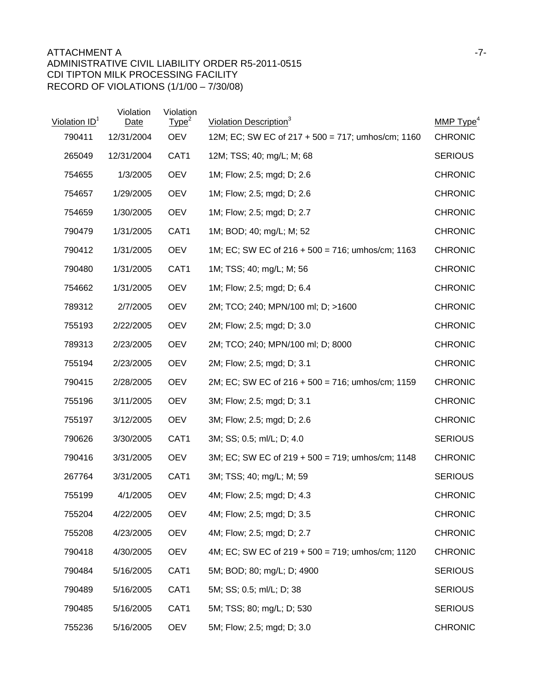## ATTACHMENT A FILE AND THE SERIES OF THE SERIES OF THE SERIES OF THE SERIES OF THE SERIES OF THE SERIES OF THE SERIES OF THE SERIES OF THE SERIES OF THE SERIES OF THE SERIES OF THE SERIES OF THE SERIES OF THE SERIES OF THE ADMINISTRATIVE CIVIL LIABILITY ORDER R5-2011-0515 CDI TIPTON MILK PROCESSING FACILITY RECORD OF VIOLATIONS (1/1/00 – 7/30/08)

| Violation ID <sup>1</sup> | Violation<br>Date | Violation<br>Type <sup>2</sup> | Violation Description <sup>3</sup>                  | MMP $Type4$    |
|---------------------------|-------------------|--------------------------------|-----------------------------------------------------|----------------|
| 790411                    | 12/31/2004        | <b>OEV</b>                     | 12M; EC; SW EC of 217 + 500 = 717; umhos/cm; 1160   | <b>CHRONIC</b> |
| 265049                    | 12/31/2004        | CAT1                           | 12M; TSS; 40; mg/L; M; 68                           | <b>SERIOUS</b> |
| 754655                    | 1/3/2005          | <b>OEV</b>                     | 1M; Flow; 2.5; mgd; D; 2.6                          | <b>CHRONIC</b> |
| 754657                    | 1/29/2005         | <b>OEV</b>                     | 1M; Flow; 2.5; mgd; D; 2.6                          | <b>CHRONIC</b> |
| 754659                    | 1/30/2005         | <b>OEV</b>                     | 1M; Flow; 2.5; mgd; D; 2.7                          | <b>CHRONIC</b> |
| 790479                    | 1/31/2005         | CAT1                           | 1M; BOD; 40; mg/L; M; 52                            | <b>CHRONIC</b> |
| 790412                    | 1/31/2005         | <b>OEV</b>                     | 1M; EC; SW EC of $216 + 500 = 716$ ; umhos/cm; 1163 | <b>CHRONIC</b> |
| 790480                    | 1/31/2005         | CAT <sub>1</sub>               | 1M; TSS; 40; mg/L; M; 56                            | <b>CHRONIC</b> |
| 754662                    | 1/31/2005         | <b>OEV</b>                     | 1M; Flow; 2.5; mgd; D; 6.4                          | <b>CHRONIC</b> |
| 789312                    | 2/7/2005          | <b>OEV</b>                     | 2M; TCO; 240; MPN/100 ml; D; >1600                  | <b>CHRONIC</b> |
| 755193                    | 2/22/2005         | <b>OEV</b>                     | 2M; Flow; 2.5; mgd; D; 3.0                          | <b>CHRONIC</b> |
| 789313                    | 2/23/2005         | <b>OEV</b>                     | 2M; TCO; 240; MPN/100 ml; D; 8000                   | <b>CHRONIC</b> |
| 755194                    | 2/23/2005         | <b>OEV</b>                     | 2M; Flow; 2.5; mgd; D; 3.1                          | <b>CHRONIC</b> |
| 790415                    | 2/28/2005         | <b>OEV</b>                     | 2M; EC; SW EC of $216 + 500 = 716$ ; umhos/cm; 1159 | <b>CHRONIC</b> |
| 755196                    | 3/11/2005         | <b>OEV</b>                     | 3M; Flow; 2.5; mgd; D; 3.1                          | <b>CHRONIC</b> |
| 755197                    | 3/12/2005         | <b>OEV</b>                     | 3M; Flow; 2.5; mgd; D; 2.6                          | <b>CHRONIC</b> |
| 790626                    | 3/30/2005         | CAT <sub>1</sub>               | 3M; SS; 0.5; ml/L; D; 4.0                           | <b>SERIOUS</b> |
| 790416                    | 3/31/2005         | <b>OEV</b>                     | 3M; EC; SW EC of 219 + 500 = 719; umhos/cm; 1148    | <b>CHRONIC</b> |
| 267764                    | 3/31/2005         | CAT1                           | 3M; TSS; 40; mg/L; M; 59                            | <b>SERIOUS</b> |
| 755199                    | 4/1/2005          | <b>OEV</b>                     | 4M; Flow; 2.5; mgd; D; 4.3                          | <b>CHRONIC</b> |
| 755204                    | 4/22/2005         | <b>OEV</b>                     | 4M; Flow; 2.5; mgd; D; 3.5                          | <b>CHRONIC</b> |
| 755208                    | 4/23/2005         | <b>OEV</b>                     | 4M; Flow; 2.5; mgd; D; 2.7                          | <b>CHRONIC</b> |
| 790418                    | 4/30/2005         | <b>OEV</b>                     | 4M; EC; SW EC of $219 + 500 = 719$ ; umhos/cm; 1120 | <b>CHRONIC</b> |
| 790484                    | 5/16/2005         | CAT1                           | 5M; BOD; 80; mg/L; D; 4900                          | <b>SERIOUS</b> |
| 790489                    | 5/16/2005         | CAT1                           | 5M; SS; 0.5; ml/L; D; 38                            | <b>SERIOUS</b> |
| 790485                    | 5/16/2005         | CAT1                           | 5M; TSS; 80; mg/L; D; 530                           | <b>SERIOUS</b> |
| 755236                    | 5/16/2005         | <b>OEV</b>                     | 5M; Flow; 2.5; mgd; D; 3.0                          | <b>CHRONIC</b> |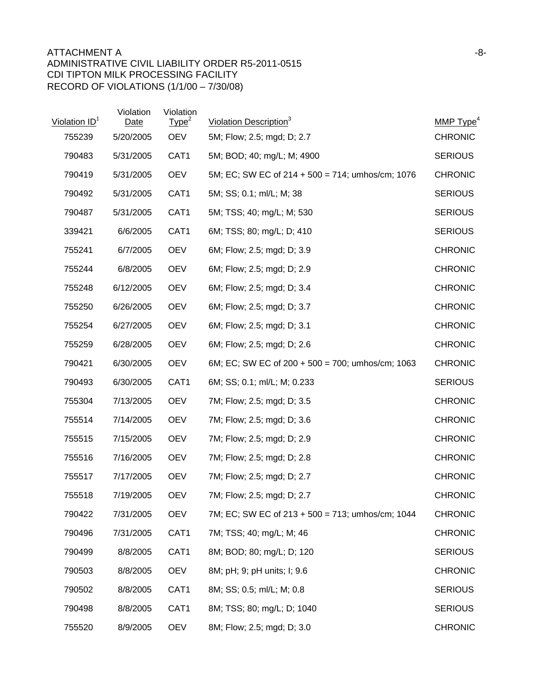## ATTACHMENT A and the set of the set of the set of the set of the set of the set of the set of the set of the set of the set of the set of the set of the set of the set of the set of the set of the set of the set of the set ADMINISTRATIVE CIVIL LIABILITY ORDER R5-2011-0515 CDI TIPTON MILK PROCESSING FACILITY RECORD OF VIOLATIONS (1/1/00 – 7/30/08)

| Violation ID <sup>1</sup> | Violation<br>Date | Violation<br>Type <sup>2</sup> | Violation Description <sup>3</sup>                  | MMP Type <sup>4</sup> |
|---------------------------|-------------------|--------------------------------|-----------------------------------------------------|-----------------------|
| 755239                    | 5/20/2005         | <b>OEV</b>                     | 5M; Flow; 2.5; mgd; D; 2.7                          | <b>CHRONIC</b>        |
| 790483                    | 5/31/2005         | CAT1                           | 5M; BOD; 40; mg/L; M; 4900                          | <b>SERIOUS</b>        |
| 790419                    | 5/31/2005         | <b>OEV</b>                     | 5M; EC; SW EC of $214 + 500 = 714$ ; umhos/cm; 1076 | <b>CHRONIC</b>        |
| 790492                    | 5/31/2005         | CAT1                           | 5M; SS; 0.1; ml/L; M; 38                            | <b>SERIOUS</b>        |
| 790487                    | 5/31/2005         | CAT <sub>1</sub>               | 5M; TSS; 40; mg/L; M; 530                           | <b>SERIOUS</b>        |
| 339421                    | 6/6/2005          | CAT1                           | 6M; TSS; 80; mg/L; D; 410                           | <b>SERIOUS</b>        |
| 755241                    | 6/7/2005          | <b>OEV</b>                     | 6M; Flow; 2.5; mgd; D; 3.9                          | <b>CHRONIC</b>        |
| 755244                    | 6/8/2005          | <b>OEV</b>                     | 6M; Flow; 2.5; mgd; D; 2.9                          | <b>CHRONIC</b>        |
| 755248                    | 6/12/2005         | <b>OEV</b>                     | 6M; Flow; 2.5; mgd; D; 3.4                          | <b>CHRONIC</b>        |
| 755250                    | 6/26/2005         | <b>OEV</b>                     | 6M; Flow; 2.5; mgd; D; 3.7                          | <b>CHRONIC</b>        |
| 755254                    | 6/27/2005         | <b>OEV</b>                     | 6M; Flow; 2.5; mgd; D; 3.1                          | <b>CHRONIC</b>        |
| 755259                    | 6/28/2005         | <b>OEV</b>                     | 6M; Flow; 2.5; mgd; D; 2.6                          | <b>CHRONIC</b>        |
| 790421                    | 6/30/2005         | <b>OEV</b>                     | 6M; EC; SW EC of $200 + 500 = 700$ ; umhos/cm; 1063 | <b>CHRONIC</b>        |
| 790493                    | 6/30/2005         | CAT1                           | 6M; SS; 0.1; ml/L; M; 0.233                         | <b>SERIOUS</b>        |
| 755304                    | 7/13/2005         | <b>OEV</b>                     | 7M; Flow; 2.5; mgd; D; 3.5                          | <b>CHRONIC</b>        |
| 755514                    | 7/14/2005         | <b>OEV</b>                     | 7M; Flow; 2.5; mgd; D; 3.6                          | <b>CHRONIC</b>        |
| 755515                    | 7/15/2005         | <b>OEV</b>                     | 7M; Flow; 2.5; mgd; D; 2.9                          | <b>CHRONIC</b>        |
| 755516                    | 7/16/2005         | <b>OEV</b>                     | 7M; Flow; 2.5; mgd; D; 2.8                          | <b>CHRONIC</b>        |
| 755517                    | 7/17/2005         | <b>OEV</b>                     | 7M; Flow; 2.5; mgd; D; 2.7                          | <b>CHRONIC</b>        |
| 755518                    | 7/19/2005         | <b>OEV</b>                     | 7M; Flow; 2.5; mgd; D; 2.7                          | <b>CHRONIC</b>        |
| 790422                    | 7/31/2005         | <b>OEV</b>                     | 7M; EC; SW EC of 213 + 500 = 713; umhos/cm; 1044    | <b>CHRONIC</b>        |
| 790496                    | 7/31/2005         | CAT1                           | 7M; TSS; 40; mg/L; M; 46                            | <b>CHRONIC</b>        |
| 790499                    | 8/8/2005          | CAT1                           | 8M; BOD; 80; mg/L; D; 120                           | <b>SERIOUS</b>        |
| 790503                    | 8/8/2005          | <b>OEV</b>                     | 8M; pH; 9; pH units; I; 9.6                         | <b>CHRONIC</b>        |
| 790502                    | 8/8/2005          | CAT1                           | 8M; SS; 0.5; ml/L; M; 0.8                           | <b>SERIOUS</b>        |
| 790498                    | 8/8/2005          | CAT1                           | 8M; TSS; 80; mg/L; D; 1040                          | <b>SERIOUS</b>        |
| 755520                    | 8/9/2005          | <b>OEV</b>                     | 8M; Flow; 2.5; mgd; D; 3.0                          | <b>CHRONIC</b>        |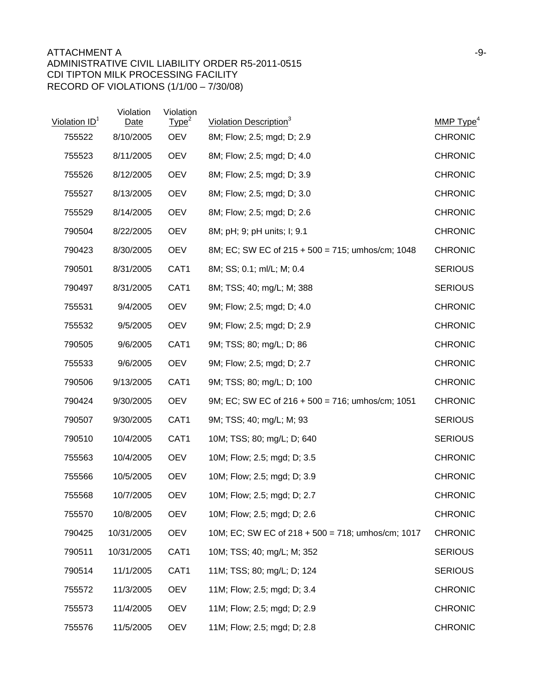## ATTACHMENT A and the set of the set of the set of the set of the set of the set of the set of the set of the set of the set of the set of the set of the set of the set of the set of the set of the set of the set of the set ADMINISTRATIVE CIVIL LIABILITY ORDER R5-2011-0515 CDI TIPTON MILK PROCESSING FACILITY RECORD OF VIOLATIONS (1/1/00 – 7/30/08)

| Violation ID <sup>1</sup> | Violation<br><b>Date</b> | Violation<br>Type <sup>2</sup> | Violation Description <sup>3</sup>                  | MMP $Type4$    |
|---------------------------|--------------------------|--------------------------------|-----------------------------------------------------|----------------|
| 755522                    | 8/10/2005                | <b>OEV</b>                     | 8M; Flow; 2.5; mgd; D; 2.9                          | <b>CHRONIC</b> |
| 755523                    | 8/11/2005                | <b>OEV</b>                     | 8M; Flow; 2.5; mgd; D; 4.0                          | <b>CHRONIC</b> |
| 755526                    | 8/12/2005                | <b>OEV</b>                     | 8M; Flow; 2.5; mgd; D; 3.9                          | <b>CHRONIC</b> |
| 755527                    | 8/13/2005                | <b>OEV</b>                     | 8M; Flow; 2.5; mgd; D; 3.0                          | <b>CHRONIC</b> |
| 755529                    | 8/14/2005                | <b>OEV</b>                     | 8M; Flow; 2.5; mgd; D; 2.6                          | <b>CHRONIC</b> |
| 790504                    | 8/22/2005                | <b>OEV</b>                     | 8M; pH; 9; pH units; I; 9.1                         | <b>CHRONIC</b> |
| 790423                    | 8/30/2005                | <b>OEV</b>                     | 8M; EC; SW EC of 215 + 500 = 715; umhos/cm; 1048    | <b>CHRONIC</b> |
| 790501                    | 8/31/2005                | CAT1                           | 8M; SS; 0.1; ml/L; M; 0.4                           | <b>SERIOUS</b> |
| 790497                    | 8/31/2005                | CAT1                           | 8M; TSS; 40; mg/L; M; 388                           | <b>SERIOUS</b> |
| 755531                    | 9/4/2005                 | <b>OEV</b>                     | 9M; Flow; 2.5; mgd; D; 4.0                          | <b>CHRONIC</b> |
| 755532                    | 9/5/2005                 | <b>OEV</b>                     | 9M; Flow; 2.5; mgd; D; 2.9                          | <b>CHRONIC</b> |
| 790505                    | 9/6/2005                 | CAT1                           | 9M; TSS; 80; mg/L; D; 86                            | <b>CHRONIC</b> |
| 755533                    | 9/6/2005                 | <b>OEV</b>                     | 9M; Flow; 2.5; mgd; D; 2.7                          | <b>CHRONIC</b> |
| 790506                    | 9/13/2005                | CAT1                           | 9M; TSS; 80; mg/L; D; 100                           | <b>CHRONIC</b> |
| 790424                    | 9/30/2005                | <b>OEV</b>                     | 9M; EC; SW EC of $216 + 500 = 716$ ; umhos/cm; 1051 | <b>CHRONIC</b> |
| 790507                    | 9/30/2005                | CAT1                           | 9M; TSS; 40; mg/L; M; 93                            | <b>SERIOUS</b> |
| 790510                    | 10/4/2005                | CAT1                           | 10M; TSS; 80; mg/L; D; 640                          | <b>SERIOUS</b> |
| 755563                    | 10/4/2005                | <b>OEV</b>                     | 10M; Flow; 2.5; mgd; D; 3.5                         | <b>CHRONIC</b> |
| 755566                    | 10/5/2005                | <b>OEV</b>                     | 10M; Flow; 2.5; mgd; D; 3.9                         | <b>CHRONIC</b> |
| 755568                    | 10/7/2005                | <b>OEV</b>                     | 10M; Flow; 2.5; mgd; D; 2.7                         | <b>CHRONIC</b> |
| 755570                    | 10/8/2005                | <b>OEV</b>                     | 10M; Flow; 2.5; mgd; D; 2.6                         | <b>CHRONIC</b> |
| 790425                    | 10/31/2005               | <b>OEV</b>                     | 10M; EC; SW EC of 218 + 500 = 718; umhos/cm; 1017   | <b>CHRONIC</b> |
| 790511                    | 10/31/2005               | CAT1                           | 10M; TSS; 40; mg/L; M; 352                          | <b>SERIOUS</b> |
| 790514                    | 11/1/2005                | CAT1                           | 11M; TSS; 80; mg/L; D; 124                          | <b>SERIOUS</b> |
| 755572                    | 11/3/2005                | <b>OEV</b>                     | 11M; Flow; 2.5; mgd; D; 3.4                         | <b>CHRONIC</b> |
| 755573                    | 11/4/2005                | <b>OEV</b>                     | 11M; Flow; 2.5; mgd; D; 2.9                         | <b>CHRONIC</b> |
| 755576                    | 11/5/2005                | <b>OEV</b>                     | 11M; Flow; 2.5; mgd; D; 2.8                         | <b>CHRONIC</b> |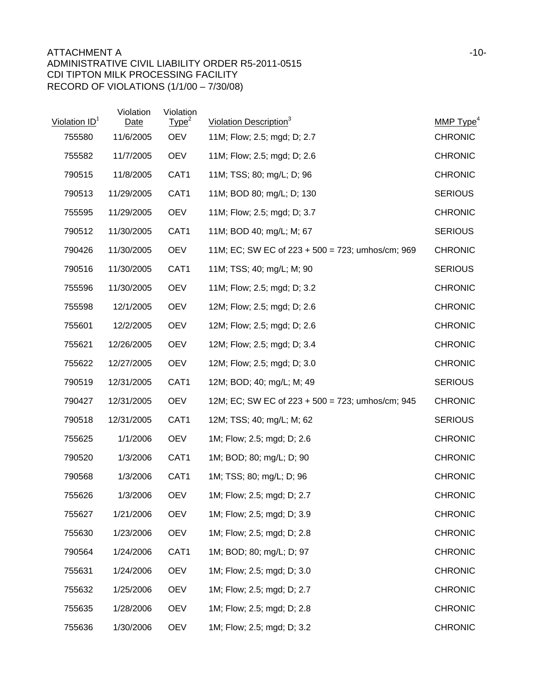| Violation $ID1$ | Violation<br><b>Date</b> | Violation<br>Type <sup>2</sup> | Violation Description <sup>3</sup>                  | MMP $Type4$    |
|-----------------|--------------------------|--------------------------------|-----------------------------------------------------|----------------|
| 755580          | 11/6/2005                | <b>OEV</b>                     | 11M; Flow; 2.5; mgd; D; 2.7                         | <b>CHRONIC</b> |
| 755582          | 11/7/2005                | <b>OEV</b>                     | 11M; Flow; 2.5; mgd; D; 2.6                         | <b>CHRONIC</b> |
| 790515          | 11/8/2005                | CAT1                           | 11M; TSS; 80; mg/L; D; 96                           | <b>CHRONIC</b> |
| 790513          | 11/29/2005               | CAT1                           | 11M; BOD 80; mg/L; D; 130                           | <b>SERIOUS</b> |
| 755595          | 11/29/2005               | <b>OEV</b>                     | 11M; Flow; 2.5; mgd; D; 3.7                         | <b>CHRONIC</b> |
| 790512          | 11/30/2005               | CAT1                           | 11M; BOD 40; mg/L; M; 67                            | <b>SERIOUS</b> |
| 790426          | 11/30/2005               | <b>OEV</b>                     | 11M; EC; SW EC of $223 + 500 = 723$ ; umhos/cm; 969 | <b>CHRONIC</b> |
| 790516          | 11/30/2005               | CAT <sub>1</sub>               | 11M; TSS; 40; mg/L; M; 90                           | <b>SERIOUS</b> |
| 755596          | 11/30/2005               | <b>OEV</b>                     | 11M; Flow; 2.5; mgd; D; 3.2                         | <b>CHRONIC</b> |
| 755598          | 12/1/2005                | <b>OEV</b>                     | 12M; Flow; 2.5; mgd; D; 2.6                         | <b>CHRONIC</b> |
| 755601          | 12/2/2005                | <b>OEV</b>                     | 12M; Flow; 2.5; mgd; D; 2.6                         | <b>CHRONIC</b> |
| 755621          | 12/26/2005               | <b>OEV</b>                     | 12M; Flow; 2.5; mgd; D; 3.4                         | <b>CHRONIC</b> |
| 755622          | 12/27/2005               | <b>OEV</b>                     | 12M; Flow; 2.5; mgd; D; 3.0                         | <b>CHRONIC</b> |
| 790519          | 12/31/2005               | CAT1                           | 12M; BOD; 40; mg/L; M; 49                           | <b>SERIOUS</b> |
| 790427          | 12/31/2005               | <b>OEV</b>                     | 12M; EC; SW EC of $223 + 500 = 723$ ; umhos/cm; 945 | <b>CHRONIC</b> |
| 790518          | 12/31/2005               | CAT1                           | 12M; TSS; 40; mg/L; M; 62                           | <b>SERIOUS</b> |
| 755625          | 1/1/2006                 | <b>OEV</b>                     | 1M; Flow; 2.5; mgd; D; 2.6                          | <b>CHRONIC</b> |
| 790520          | 1/3/2006                 | CAT <sub>1</sub>               | 1M; BOD; 80; mg/L; D; 90                            | <b>CHRONIC</b> |
| 790568          | 1/3/2006                 | CAT <sub>1</sub>               | 1M; TSS; 80; mg/L; D; 96                            | <b>CHRONIC</b> |
| 755626          | 1/3/2006                 | <b>OEV</b>                     | 1M; Flow; 2.5; mgd; D; 2.7                          | <b>CHRONIC</b> |
| 755627          | 1/21/2006                | <b>OEV</b>                     | 1M; Flow; 2.5; mgd; D; 3.9                          | <b>CHRONIC</b> |
| 755630          | 1/23/2006                | <b>OEV</b>                     | 1M; Flow; 2.5; mgd; D; 2.8                          | <b>CHRONIC</b> |
| 790564          | 1/24/2006                | CAT1                           | 1M; BOD; 80; mg/L; D; 97                            | <b>CHRONIC</b> |
| 755631          | 1/24/2006                | <b>OEV</b>                     | 1M; Flow; 2.5; mgd; D; 3.0                          | <b>CHRONIC</b> |
| 755632          | 1/25/2006                | <b>OEV</b>                     | 1M; Flow; 2.5; mgd; D; 2.7                          | <b>CHRONIC</b> |
| 755635          | 1/28/2006                | <b>OEV</b>                     | 1M; Flow; 2.5; mgd; D; 2.8                          | <b>CHRONIC</b> |
| 755636          | 1/30/2006                | <b>OEV</b>                     | 1M; Flow; 2.5; mgd; D; 3.2                          | <b>CHRONIC</b> |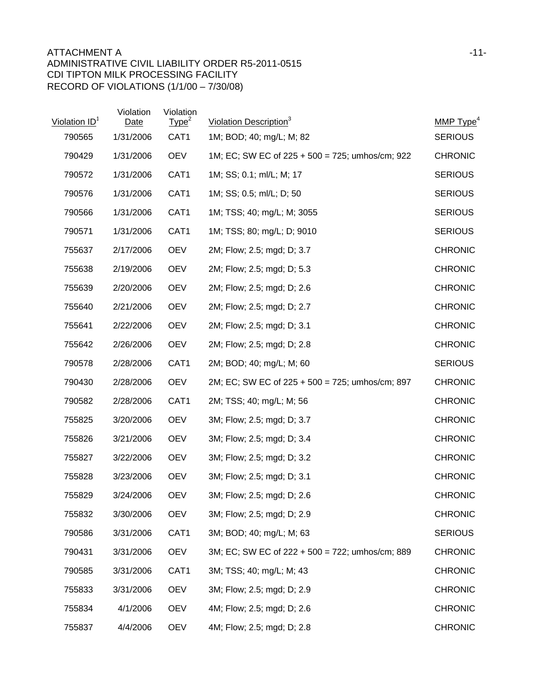| Violation ID <sup>1</sup> | Violation<br>Date | Violation<br>Type <sup>2</sup> | Violation Description <sup>3</sup>              | MMP Type <sup>4</sup> |
|---------------------------|-------------------|--------------------------------|-------------------------------------------------|-----------------------|
| 790565                    | 1/31/2006         | CAT1                           | 1M; BOD; 40; mg/L; M; 82                        | <b>SERIOUS</b>        |
| 790429                    | 1/31/2006         | <b>OEV</b>                     | 1M; EC; SW EC of 225 + 500 = 725; umhos/cm; 922 | <b>CHRONIC</b>        |
| 790572                    | 1/31/2006         | CAT1                           | 1M; SS; 0.1; ml/L; M; 17                        | <b>SERIOUS</b>        |
| 790576                    | 1/31/2006         | CAT1                           | 1M; SS; 0.5; ml/L; D; 50                        | <b>SERIOUS</b>        |
| 790566                    | 1/31/2006         | CAT1                           | 1M; TSS; 40; mg/L; M; 3055                      | <b>SERIOUS</b>        |
| 790571                    | 1/31/2006         | CAT1                           | 1M; TSS; 80; mg/L; D; 9010                      | <b>SERIOUS</b>        |
| 755637                    | 2/17/2006         | <b>OEV</b>                     | 2M; Flow; 2.5; mgd; D; 3.7                      | <b>CHRONIC</b>        |
| 755638                    | 2/19/2006         | <b>OEV</b>                     | 2M; Flow; 2.5; mgd; D; 5.3                      | <b>CHRONIC</b>        |
| 755639                    | 2/20/2006         | <b>OEV</b>                     | 2M; Flow; 2.5; mgd; D; 2.6                      | <b>CHRONIC</b>        |
| 755640                    | 2/21/2006         | <b>OEV</b>                     | 2M; Flow; 2.5; mgd; D; 2.7                      | <b>CHRONIC</b>        |
| 755641                    | 2/22/2006         | <b>OEV</b>                     | 2M; Flow; 2.5; mgd; D; 3.1                      | <b>CHRONIC</b>        |
| 755642                    | 2/26/2006         | <b>OEV</b>                     | 2M; Flow; 2.5; mgd; D; 2.8                      | <b>CHRONIC</b>        |
| 790578                    | 2/28/2006         | CAT <sub>1</sub>               | 2M; BOD; 40; mg/L; M; 60                        | <b>SERIOUS</b>        |
| 790430                    | 2/28/2006         | <b>OEV</b>                     | 2M; EC; SW EC of 225 + 500 = 725; umhos/cm; 897 | <b>CHRONIC</b>        |
| 790582                    | 2/28/2006         | CAT <sub>1</sub>               | 2M; TSS; 40; mg/L; M; 56                        | <b>CHRONIC</b>        |
| 755825                    | 3/20/2006         | <b>OEV</b>                     | 3M; Flow; 2.5; mgd; D; 3.7                      | <b>CHRONIC</b>        |
| 755826                    | 3/21/2006         | <b>OEV</b>                     | 3M; Flow; 2.5; mgd; D; 3.4                      | <b>CHRONIC</b>        |
| 755827                    | 3/22/2006         | <b>OEV</b>                     | 3M; Flow; 2.5; mgd; D; 3.2                      | <b>CHRONIC</b>        |
| 755828                    | 3/23/2006         | <b>OEV</b>                     | 3M; Flow; 2.5; mgd; D; 3.1                      | <b>CHRONIC</b>        |
| 755829                    | 3/24/2006         | <b>OEV</b>                     | 3M; Flow; 2.5; mgd; D; 2.6                      | <b>CHRONIC</b>        |
| 755832                    | 3/30/2006         | <b>OEV</b>                     | 3M; Flow; 2.5; mgd; D; 2.9                      | <b>CHRONIC</b>        |
| 790586                    | 3/31/2006         | CAT1                           | 3M; BOD; 40; mg/L; M; 63                        | <b>SERIOUS</b>        |
| 790431                    | 3/31/2006         | <b>OEV</b>                     | 3M; EC; SW EC of 222 + 500 = 722; umhos/cm; 889 | <b>CHRONIC</b>        |
| 790585                    | 3/31/2006         | CAT1                           | 3M; TSS; 40; mg/L; M; 43                        | <b>CHRONIC</b>        |
| 755833                    | 3/31/2006         | <b>OEV</b>                     | 3M; Flow; 2.5; mgd; D; 2.9                      | <b>CHRONIC</b>        |
| 755834                    | 4/1/2006          | <b>OEV</b>                     | 4M; Flow; 2.5; mgd; D; 2.6                      | <b>CHRONIC</b>        |
| 755837                    | 4/4/2006          | <b>OEV</b>                     | 4M; Flow; 2.5; mgd; D; 2.8                      | <b>CHRONIC</b>        |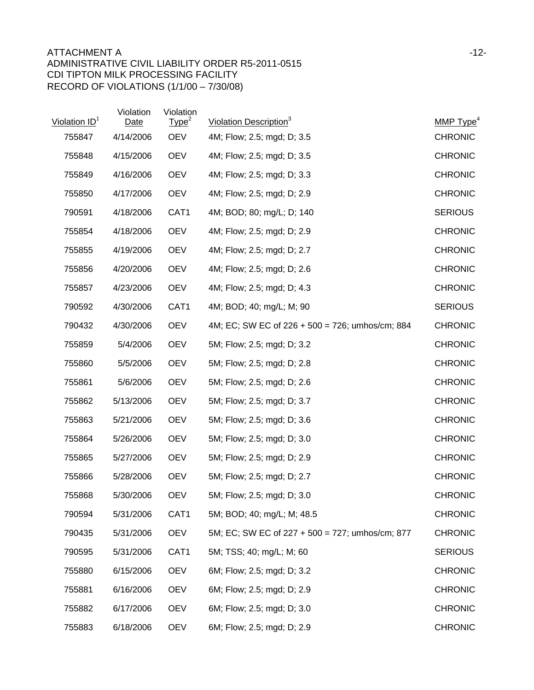| Violation ID <sup>1</sup> | Violation<br>Date | Violation<br>Type <sup>2</sup> | Violation Description <sup>3</sup>              | MMP $Type4$    |
|---------------------------|-------------------|--------------------------------|-------------------------------------------------|----------------|
| 755847                    | 4/14/2006         | <b>OEV</b>                     | 4M; Flow; 2.5; mgd; D; 3.5                      | <b>CHRONIC</b> |
| 755848                    | 4/15/2006         | <b>OEV</b>                     | 4M; Flow; 2.5; mgd; D; 3.5                      | <b>CHRONIC</b> |
| 755849                    | 4/16/2006         | <b>OEV</b>                     | 4M; Flow; 2.5; mgd; D; 3.3                      | <b>CHRONIC</b> |
| 755850                    | 4/17/2006         | <b>OEV</b>                     | 4M; Flow; 2.5; mgd; D; 2.9                      | <b>CHRONIC</b> |
| 790591                    | 4/18/2006         | CAT1                           | 4M; BOD; 80; mg/L; D; 140                       | <b>SERIOUS</b> |
| 755854                    | 4/18/2006         | <b>OEV</b>                     | 4M; Flow; 2.5; mgd; D; 2.9                      | <b>CHRONIC</b> |
| 755855                    | 4/19/2006         | <b>OEV</b>                     | 4M; Flow; 2.5; mgd; D; 2.7                      | <b>CHRONIC</b> |
| 755856                    | 4/20/2006         | <b>OEV</b>                     | 4M; Flow; 2.5; mgd; D; 2.6                      | <b>CHRONIC</b> |
| 755857                    | 4/23/2006         | <b>OEV</b>                     | 4M; Flow; 2.5; mgd; D; 4.3                      | <b>CHRONIC</b> |
| 790592                    | 4/30/2006         | CAT1                           | 4M; BOD; 40; mg/L; M; 90                        | <b>SERIOUS</b> |
| 790432                    | 4/30/2006         | <b>OEV</b>                     | 4M; EC; SW EC of 226 + 500 = 726; umhos/cm; 884 | <b>CHRONIC</b> |
| 755859                    | 5/4/2006          | <b>OEV</b>                     | 5M; Flow; 2.5; mgd; D; 3.2                      | <b>CHRONIC</b> |
| 755860                    | 5/5/2006          | <b>OEV</b>                     | 5M; Flow; 2.5; mgd; D; 2.8                      | <b>CHRONIC</b> |
| 755861                    | 5/6/2006          | <b>OEV</b>                     | 5M; Flow; 2.5; mgd; D; 2.6                      | <b>CHRONIC</b> |
| 755862                    | 5/13/2006         | <b>OEV</b>                     | 5M; Flow; 2.5; mgd; D; 3.7                      | <b>CHRONIC</b> |
| 755863                    | 5/21/2006         | <b>OEV</b>                     | 5M; Flow; 2.5; mgd; D; 3.6                      | <b>CHRONIC</b> |
| 755864                    | 5/26/2006         | <b>OEV</b>                     | 5M; Flow; 2.5; mgd; D; 3.0                      | <b>CHRONIC</b> |
| 755865                    | 5/27/2006         | <b>OEV</b>                     | 5M; Flow; 2.5; mgd; D; 2.9                      | <b>CHRONIC</b> |
| 755866                    | 5/28/2006         | <b>OEV</b>                     | 5M; Flow; 2.5; mgd; D; 2.7                      | <b>CHRONIC</b> |
| 755868                    | 5/30/2006         | <b>OEV</b>                     | 5M; Flow; 2.5; mgd; D; 3.0                      | <b>CHRONIC</b> |
| 790594                    | 5/31/2006         | CAT1                           | 5M; BOD; 40; mg/L; M; 48.5                      | <b>CHRONIC</b> |
| 790435                    | 5/31/2006         | <b>OEV</b>                     | 5M; EC; SW EC of 227 + 500 = 727; umhos/cm; 877 | <b>CHRONIC</b> |
| 790595                    | 5/31/2006         | CAT1                           | 5M; TSS; 40; mg/L; M; 60                        | <b>SERIOUS</b> |
| 755880                    | 6/15/2006         | <b>OEV</b>                     | 6M; Flow; 2.5; mgd; D; 3.2                      | <b>CHRONIC</b> |
| 755881                    | 6/16/2006         | <b>OEV</b>                     | 6M; Flow; 2.5; mgd; D; 2.9                      | <b>CHRONIC</b> |
| 755882                    | 6/17/2006         | <b>OEV</b>                     | 6M; Flow; 2.5; mgd; D; 3.0                      | <b>CHRONIC</b> |
| 755883                    | 6/18/2006         | <b>OEV</b>                     | 6M; Flow; 2.5; mgd; D; 2.9                      | <b>CHRONIC</b> |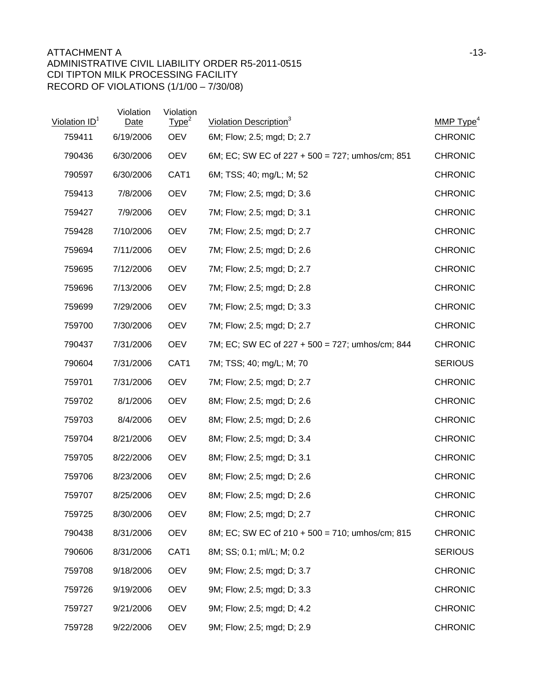## ATTACHMENT A and the state of the state of the state of the state of the state of the state of the state of the state of the state of the state of the state of the state of the state of the state of the state of the state ADMINISTRATIVE CIVIL LIABILITY ORDER R5-2011-0515 CDI TIPTON MILK PROCESSING FACILITY RECORD OF VIOLATIONS (1/1/00 – 7/30/08)

| Violation ID <sup>1</sup> | Violation<br><b>Date</b> | Violation<br>Type <sup>2</sup> | Violation Description <sup>3</sup>              | MMP Type <sup>4</sup> |
|---------------------------|--------------------------|--------------------------------|-------------------------------------------------|-----------------------|
| 759411                    | 6/19/2006                | <b>OEV</b>                     | 6M; Flow; 2.5; mgd; D; 2.7                      | <b>CHRONIC</b>        |
| 790436                    | 6/30/2006                | <b>OEV</b>                     | 6M; EC; SW EC of 227 + 500 = 727; umhos/cm; 851 | <b>CHRONIC</b>        |
| 790597                    | 6/30/2006                | CAT1                           | 6M; TSS; 40; mg/L; M; 52                        | <b>CHRONIC</b>        |
| 759413                    | 7/8/2006                 | <b>OEV</b>                     | 7M; Flow; 2.5; mgd; D; 3.6                      | <b>CHRONIC</b>        |
| 759427                    | 7/9/2006                 | <b>OEV</b>                     | 7M; Flow; 2.5; mgd; D; 3.1                      | <b>CHRONIC</b>        |
| 759428                    | 7/10/2006                | <b>OEV</b>                     | 7M; Flow; 2.5; mgd; D; 2.7                      | <b>CHRONIC</b>        |
| 759694                    | 7/11/2006                | <b>OEV</b>                     | 7M; Flow; 2.5; mgd; D; 2.6                      | <b>CHRONIC</b>        |
| 759695                    | 7/12/2006                | <b>OEV</b>                     | 7M; Flow; 2.5; mgd; D; 2.7                      | <b>CHRONIC</b>        |
| 759696                    | 7/13/2006                | <b>OEV</b>                     | 7M; Flow; 2.5; mgd; D; 2.8                      | <b>CHRONIC</b>        |
| 759699                    | 7/29/2006                | <b>OEV</b>                     | 7M; Flow; 2.5; mgd; D; 3.3                      | <b>CHRONIC</b>        |
| 759700                    | 7/30/2006                | <b>OEV</b>                     | 7M; Flow; 2.5; mgd; D; 2.7                      | <b>CHRONIC</b>        |
| 790437                    | 7/31/2006                | <b>OEV</b>                     | 7M; EC; SW EC of 227 + 500 = 727; umhos/cm; 844 | <b>CHRONIC</b>        |
| 790604                    | 7/31/2006                | CAT <sub>1</sub>               | 7M; TSS; 40; mg/L; M; 70                        | <b>SERIOUS</b>        |
| 759701                    | 7/31/2006                | <b>OEV</b>                     | 7M; Flow; 2.5; mgd; D; 2.7                      | <b>CHRONIC</b>        |
| 759702                    | 8/1/2006                 | <b>OEV</b>                     | 8M; Flow; 2.5; mgd; D; 2.6                      | <b>CHRONIC</b>        |
| 759703                    | 8/4/2006                 | <b>OEV</b>                     | 8M; Flow; 2.5; mgd; D; 2.6                      | <b>CHRONIC</b>        |
| 759704                    | 8/21/2006                | <b>OEV</b>                     | 8M; Flow; 2.5; mgd; D; 3.4                      | <b>CHRONIC</b>        |
| 759705                    | 8/22/2006                | <b>OEV</b>                     | 8M; Flow; 2.5; mgd; D; 3.1                      | <b>CHRONIC</b>        |
| 759706                    | 8/23/2006                | <b>OEV</b>                     | 8M; Flow; 2.5; mgd; D; 2.6                      | <b>CHRONIC</b>        |
| 759707                    | 8/25/2006                | <b>OEV</b>                     | 8M; Flow; 2.5; mgd; D; 2.6                      | <b>CHRONIC</b>        |
| 759725                    | 8/30/2006                | <b>OEV</b>                     | 8M; Flow; 2.5; mgd; D; 2.7                      | <b>CHRONIC</b>        |
| 790438                    | 8/31/2006                | <b>OEV</b>                     | 8M; EC; SW EC of 210 + 500 = 710; umhos/cm; 815 | <b>CHRONIC</b>        |
| 790606                    | 8/31/2006                | CAT1                           | 8M; SS; 0.1; ml/L; M; 0.2                       | <b>SERIOUS</b>        |
| 759708                    | 9/18/2006                | <b>OEV</b>                     | 9M; Flow; 2.5; mgd; D; 3.7                      | <b>CHRONIC</b>        |
| 759726                    | 9/19/2006                | <b>OEV</b>                     | 9M; Flow; 2.5; mgd; D; 3.3                      | <b>CHRONIC</b>        |
| 759727                    | 9/21/2006                | <b>OEV</b>                     | 9M; Flow; 2.5; mgd; D; 4.2                      | <b>CHRONIC</b>        |
| 759728                    | 9/22/2006                | <b>OEV</b>                     | 9M; Flow; 2.5; mgd; D; 2.9                      | <b>CHRONIC</b>        |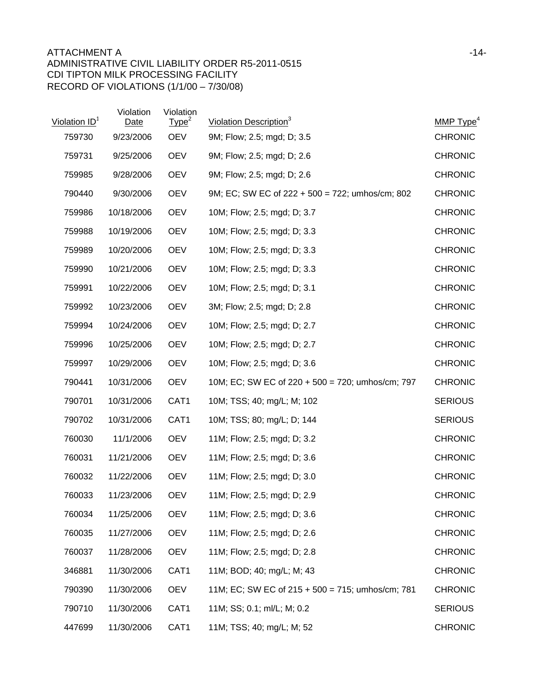| Violation ID <sup>1</sup> | Violation<br><b>Date</b> | Violation<br>Type <sup>2</sup> | Violation Description <sup>3</sup>                  | MMP $Type4$    |
|---------------------------|--------------------------|--------------------------------|-----------------------------------------------------|----------------|
| 759730                    | 9/23/2006                | <b>OEV</b>                     | 9M; Flow; 2.5; mgd; D; 3.5                          | <b>CHRONIC</b> |
| 759731                    | 9/25/2006                | <b>OEV</b>                     | 9M; Flow; 2.5; mgd; D; 2.6                          | <b>CHRONIC</b> |
| 759985                    | 9/28/2006                | <b>OEV</b>                     | 9M; Flow; 2.5; mgd; D; 2.6                          | <b>CHRONIC</b> |
| 790440                    | 9/30/2006                | <b>OEV</b>                     | 9M; EC; SW EC of $222 + 500 = 722$ ; umhos/cm; 802  | <b>CHRONIC</b> |
| 759986                    | 10/18/2006               | <b>OEV</b>                     | 10M; Flow; 2.5; mgd; D; 3.7                         | <b>CHRONIC</b> |
| 759988                    | 10/19/2006               | <b>OEV</b>                     | 10M; Flow; 2.5; mgd; D; 3.3                         | <b>CHRONIC</b> |
| 759989                    | 10/20/2006               | <b>OEV</b>                     | 10M; Flow; 2.5; mgd; D; 3.3                         | <b>CHRONIC</b> |
| 759990                    | 10/21/2006               | <b>OEV</b>                     | 10M; Flow; 2.5; mgd; D; 3.3                         | <b>CHRONIC</b> |
| 759991                    | 10/22/2006               | <b>OEV</b>                     | 10M; Flow; 2.5; mgd; D; 3.1                         | <b>CHRONIC</b> |
| 759992                    | 10/23/2006               | <b>OEV</b>                     | 3M; Flow; 2.5; mgd; D; 2.8                          | <b>CHRONIC</b> |
| 759994                    | 10/24/2006               | <b>OEV</b>                     | 10M; Flow; 2.5; mgd; D; 2.7                         | <b>CHRONIC</b> |
| 759996                    | 10/25/2006               | <b>OEV</b>                     | 10M; Flow; 2.5; mgd; D; 2.7                         | <b>CHRONIC</b> |
| 759997                    | 10/29/2006               | <b>OEV</b>                     | 10M; Flow; 2.5; mgd; D; 3.6                         | <b>CHRONIC</b> |
| 790441                    | 10/31/2006               | <b>OEV</b>                     | 10M; EC; SW EC of 220 + 500 = 720; umhos/cm; 797    | <b>CHRONIC</b> |
| 790701                    | 10/31/2006               | CAT1                           | 10M; TSS; 40; mg/L; M; 102                          | <b>SERIOUS</b> |
| 790702                    | 10/31/2006               | CAT1                           | 10M; TSS; 80; mg/L; D; 144                          | <b>SERIOUS</b> |
| 760030                    | 11/1/2006                | <b>OEV</b>                     | 11M; Flow; 2.5; mgd; D; 3.2                         | <b>CHRONIC</b> |
| 760031                    | 11/21/2006               | <b>OEV</b>                     | 11M; Flow; 2.5; mgd; D; 3.6                         | <b>CHRONIC</b> |
| 760032                    | 11/22/2006               | <b>OEV</b>                     | 11M; Flow; 2.5; mgd; D; 3.0                         | <b>CHRONIC</b> |
| 760033                    | 11/23/2006               | <b>OEV</b>                     | 11M; Flow; 2.5; mgd; D; 2.9                         | <b>CHRONIC</b> |
| 760034                    | 11/25/2006               | <b>OEV</b>                     | 11M; Flow; 2.5; mgd; D; 3.6                         | <b>CHRONIC</b> |
| 760035                    | 11/27/2006               | <b>OEV</b>                     | 11M; Flow; 2.5; mgd; D; 2.6                         | <b>CHRONIC</b> |
| 760037                    | 11/28/2006               | <b>OEV</b>                     | 11M; Flow; 2.5; mgd; D; 2.8                         | <b>CHRONIC</b> |
| 346881                    | 11/30/2006               | CAT1                           | 11M; BOD; 40; mg/L; M; 43                           | <b>CHRONIC</b> |
| 790390                    | 11/30/2006               | <b>OEV</b>                     | 11M; EC; SW EC of $215 + 500 = 715$ ; umhos/cm; 781 | <b>CHRONIC</b> |
| 790710                    | 11/30/2006               | CAT1                           | 11M; SS; 0.1; ml/L; M; 0.2                          | <b>SERIOUS</b> |
| 447699                    | 11/30/2006               | CAT1                           | 11M; TSS; 40; mg/L; M; 52                           | <b>CHRONIC</b> |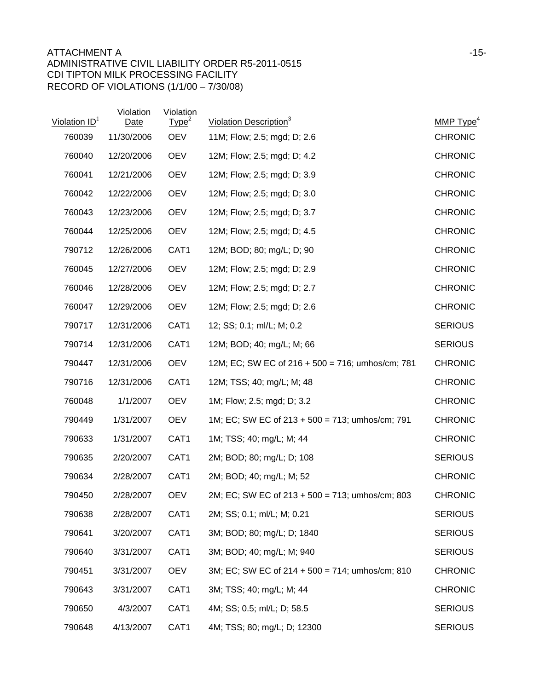## ATTACHMENT A FILE AND THE SERIES OF THE SERIES OF THE SERIES OF THE SERIES OF THE SERIES OF THE SERIES OF THE SERIES OF THE SERIES OF THE SERIES OF THE SERIES OF THE SERIES OF THE SERIES OF THE SERIES OF THE SERIES OF THE ADMINISTRATIVE CIVIL LIABILITY ORDER R5-2011-0515 CDI TIPTON MILK PROCESSING FACILITY RECORD OF VIOLATIONS (1/1/00 – 7/30/08)

| Violation ID <sup>1</sup> | Violation<br><b>Date</b> | Violation<br>Type <sup>2</sup> | Violation Description <sup>3</sup>                 | MMP $Type4$    |
|---------------------------|--------------------------|--------------------------------|----------------------------------------------------|----------------|
| 760039                    | 11/30/2006               | <b>OEV</b>                     | 11M; Flow; 2.5; mgd; D; 2.6                        | <b>CHRONIC</b> |
| 760040                    | 12/20/2006               | <b>OEV</b>                     | 12M; Flow; 2.5; mgd; D; 4.2                        | <b>CHRONIC</b> |
| 760041                    | 12/21/2006               | <b>OEV</b>                     | 12M; Flow; 2.5; mgd; D; 3.9                        | <b>CHRONIC</b> |
| 760042                    | 12/22/2006               | <b>OEV</b>                     | 12M; Flow; 2.5; mgd; D; 3.0                        | <b>CHRONIC</b> |
| 760043                    | 12/23/2006               | <b>OEV</b>                     | 12M; Flow; 2.5; mgd; D; 3.7                        | <b>CHRONIC</b> |
| 760044                    | 12/25/2006               | <b>OEV</b>                     | 12M; Flow; 2.5; mgd; D; 4.5                        | <b>CHRONIC</b> |
| 790712                    | 12/26/2006               | CAT <sub>1</sub>               | 12M; BOD; 80; mg/L; D; 90                          | <b>CHRONIC</b> |
| 760045                    | 12/27/2006               | <b>OEV</b>                     | 12M; Flow; 2.5; mgd; D; 2.9                        | <b>CHRONIC</b> |
| 760046                    | 12/28/2006               | <b>OEV</b>                     | 12M; Flow; 2.5; mgd; D; 2.7                        | <b>CHRONIC</b> |
| 760047                    | 12/29/2006               | <b>OEV</b>                     | 12M; Flow; 2.5; mgd; D; 2.6                        | <b>CHRONIC</b> |
| 790717                    | 12/31/2006               | CAT1                           | 12; SS; 0.1; ml/L; M; 0.2                          | <b>SERIOUS</b> |
| 790714                    | 12/31/2006               | CAT1                           | 12M; BOD; 40; mg/L; M; 66                          | <b>SERIOUS</b> |
| 790447                    | 12/31/2006               | <b>OEV</b>                     | 12M; EC; SW EC of 216 + 500 = 716; umhos/cm; 781   | <b>CHRONIC</b> |
| 790716                    | 12/31/2006               | CAT1                           | 12M; TSS; 40; mg/L; M; 48                          | <b>CHRONIC</b> |
| 760048                    | 1/1/2007                 | <b>OEV</b>                     | 1M; Flow; 2.5; mgd; D; 3.2                         | <b>CHRONIC</b> |
| 790449                    | 1/31/2007                | <b>OEV</b>                     | 1M; EC; SW EC of $213 + 500 = 713$ ; umhos/cm; 791 | <b>CHRONIC</b> |
| 790633                    | 1/31/2007                | CAT <sub>1</sub>               | 1M; TSS; 40; mg/L; M; 44                           | <b>CHRONIC</b> |
| 790635                    | 2/20/2007                | CAT <sub>1</sub>               | 2M; BOD; 80; mg/L; D; 108                          | <b>SERIOUS</b> |
| 790634                    | 2/28/2007                | CAT1                           | 2M; BOD; 40; mg/L; M; 52                           | <b>CHRONIC</b> |
| 790450                    | 2/28/2007                | <b>OEV</b>                     | 2M; EC; SW EC of 213 + 500 = 713; umhos/cm; 803    | <b>CHRONIC</b> |
| 790638                    | 2/28/2007                | CAT1                           | 2M; SS; 0.1; ml/L; M; 0.21                         | <b>SERIOUS</b> |
| 790641                    | 3/20/2007                | CAT1                           | 3M; BOD; 80; mg/L; D; 1840                         | <b>SERIOUS</b> |
| 790640                    | 3/31/2007                | CAT1                           | 3M; BOD; 40; mg/L; M; 940                          | <b>SERIOUS</b> |
| 790451                    | 3/31/2007                | <b>OEV</b>                     | 3M; EC; SW EC of 214 + 500 = 714; umhos/cm; 810    | <b>CHRONIC</b> |
| 790643                    | 3/31/2007                | CAT1                           | 3M; TSS; 40; mg/L; M; 44                           | <b>CHRONIC</b> |
| 790650                    | 4/3/2007                 | CAT1                           | 4M; SS; 0.5; ml/L; D; 58.5                         | <b>SERIOUS</b> |
| 790648                    | 4/13/2007                | CAT1                           | 4M; TSS; 80; mg/L; D; 12300                        | <b>SERIOUS</b> |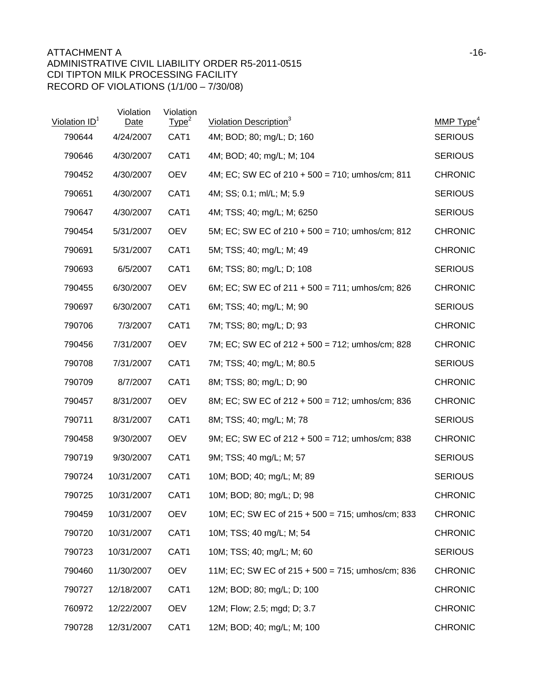## ATTACHMENT A and the state of the state of the state of the state of the state of the state of the state of the state of the state of the state of the state of the state of the state of the state of the state of the state ADMINISTRATIVE CIVIL LIABILITY ORDER R5-2011-0515 CDI TIPTON MILK PROCESSING FACILITY RECORD OF VIOLATIONS (1/1/00 – 7/30/08)

| Violation ID <sup>1</sup> | Violation<br>Date | Violation<br>Type <sup>2</sup> | Violation Description <sup>3</sup>                  | MMP $Type4$    |
|---------------------------|-------------------|--------------------------------|-----------------------------------------------------|----------------|
| 790644                    | 4/24/2007         | CAT1                           | 4M; BOD; 80; mg/L; D; 160                           | <b>SERIOUS</b> |
| 790646                    | 4/30/2007         | CAT1                           | 4M; BOD; 40; mg/L; M; 104                           | <b>SERIOUS</b> |
| 790452                    | 4/30/2007         | <b>OEV</b>                     | 4M; EC; SW EC of $210 + 500 = 710$ ; umhos/cm; 811  | <b>CHRONIC</b> |
| 790651                    | 4/30/2007         | CAT1                           | 4M; SS; 0.1; ml/L; M; 5.9                           | <b>SERIOUS</b> |
| 790647                    | 4/30/2007         | CAT1                           | 4M; TSS; 40; mg/L; M; 6250                          | <b>SERIOUS</b> |
| 790454                    | 5/31/2007         | <b>OEV</b>                     | 5M; EC; SW EC of 210 + 500 = 710; umhos/cm; 812     | <b>CHRONIC</b> |
| 790691                    | 5/31/2007         | CAT1                           | 5M; TSS; 40; mg/L; M; 49                            | <b>CHRONIC</b> |
| 790693                    | 6/5/2007          | CAT1                           | 6M; TSS; 80; mg/L; D; 108                           | <b>SERIOUS</b> |
| 790455                    | 6/30/2007         | <b>OEV</b>                     | 6M; EC; SW EC of $211 + 500 = 711$ ; umhos/cm; 826  | <b>CHRONIC</b> |
| 790697                    | 6/30/2007         | CAT1                           | 6M; TSS; 40; mg/L; M; 90                            | <b>SERIOUS</b> |
| 790706                    | 7/3/2007          | CAT1                           | 7M; TSS; 80; mg/L; D; 93                            | <b>CHRONIC</b> |
| 790456                    | 7/31/2007         | <b>OEV</b>                     | 7M; EC; SW EC of 212 + 500 = 712; umhos/cm; 828     | <b>CHRONIC</b> |
| 790708                    | 7/31/2007         | CAT <sub>1</sub>               | 7M; TSS; 40; mg/L; M; 80.5                          | <b>SERIOUS</b> |
| 790709                    | 8/7/2007          | CAT1                           | 8M; TSS; 80; mg/L; D; 90                            | <b>CHRONIC</b> |
| 790457                    | 8/31/2007         | <b>OEV</b>                     | 8M; EC; SW EC of 212 + 500 = 712; umhos/cm; 836     | <b>CHRONIC</b> |
| 790711                    | 8/31/2007         | CAT1                           | 8M; TSS; 40; mg/L; M; 78                            | <b>SERIOUS</b> |
| 790458                    | 9/30/2007         | <b>OEV</b>                     | 9M; EC; SW EC of $212 + 500 = 712$ ; umhos/cm; 838  | <b>CHRONIC</b> |
| 790719                    | 9/30/2007         | CAT1                           | 9M; TSS; 40 mg/L; M; 57                             | <b>SERIOUS</b> |
| 790724                    | 10/31/2007        | CAT1                           | 10M; BOD; 40; mg/L; M; 89                           | <b>SERIOUS</b> |
| 790725                    | 10/31/2007        | CAT1                           | 10M; BOD; 80; mg/L; D; 98                           | <b>CHRONIC</b> |
| 790459                    | 10/31/2007        | <b>OEV</b>                     | 10M; EC; SW EC of 215 + 500 = 715; umhos/cm; 833    | <b>CHRONIC</b> |
| 790720                    | 10/31/2007        | CAT1                           | 10M; TSS; 40 mg/L; M; 54                            | <b>CHRONIC</b> |
| 790723                    | 10/31/2007        | CAT1                           | 10M; TSS; 40; mg/L; M; 60                           | <b>SERIOUS</b> |
| 790460                    | 11/30/2007        | <b>OEV</b>                     | 11M; EC; SW EC of $215 + 500 = 715$ ; umhos/cm; 836 | <b>CHRONIC</b> |
| 790727                    | 12/18/2007        | CAT1                           | 12M; BOD; 80; mg/L; D; 100                          | <b>CHRONIC</b> |
| 760972                    | 12/22/2007        | <b>OEV</b>                     | 12M; Flow; 2.5; mgd; D; 3.7                         | <b>CHRONIC</b> |
| 790728                    | 12/31/2007        | CAT1                           | 12M; BOD; 40; mg/L; M; 100                          | <b>CHRONIC</b> |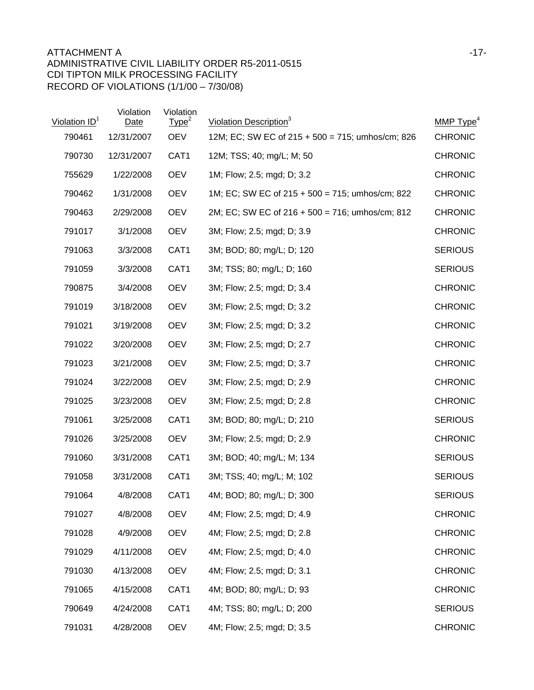| Violation ID <sup>1</sup> | Violation<br>Date | Violation<br>Type <sup>2</sup> | Violation Description <sup>3</sup>                 | MMP Type <sup>4</sup> |
|---------------------------|-------------------|--------------------------------|----------------------------------------------------|-----------------------|
| 790461                    | 12/31/2007        | <b>OEV</b>                     | 12M; EC; SW EC of 215 + 500 = 715; umhos/cm; 826   | <b>CHRONIC</b>        |
| 790730                    | 12/31/2007        | CAT1                           | 12M; TSS; 40; mg/L; M; 50                          | <b>CHRONIC</b>        |
| 755629                    | 1/22/2008         | <b>OEV</b>                     | 1M; Flow; 2.5; mgd; D; 3.2                         | <b>CHRONIC</b>        |
| 790462                    | 1/31/2008         | <b>OEV</b>                     | 1M; EC; SW EC of $215 + 500 = 715$ ; umhos/cm; 822 | <b>CHRONIC</b>        |
| 790463                    | 2/29/2008         | <b>OEV</b>                     | 2M; EC; SW EC of 216 + 500 = 716; umhos/cm; 812    | <b>CHRONIC</b>        |
| 791017                    | 3/1/2008          | <b>OEV</b>                     | 3M; Flow; 2.5; mgd; D; 3.9                         | <b>CHRONIC</b>        |
| 791063                    | 3/3/2008          | CAT1                           | 3M; BOD; 80; mg/L; D; 120                          | <b>SERIOUS</b>        |
| 791059                    | 3/3/2008          | CAT <sub>1</sub>               | 3M; TSS; 80; mg/L; D; 160                          | <b>SERIOUS</b>        |
| 790875                    | 3/4/2008          | <b>OEV</b>                     | 3M; Flow; 2.5; mgd; D; 3.4                         | <b>CHRONIC</b>        |
| 791019                    | 3/18/2008         | <b>OEV</b>                     | 3M; Flow; 2.5; mgd; D; 3.2                         | <b>CHRONIC</b>        |
| 791021                    | 3/19/2008         | <b>OEV</b>                     | 3M; Flow; 2.5; mgd; D; 3.2                         | <b>CHRONIC</b>        |
| 791022                    | 3/20/2008         | <b>OEV</b>                     | 3M; Flow; 2.5; mgd; D; 2.7                         | <b>CHRONIC</b>        |
| 791023                    | 3/21/2008         | <b>OEV</b>                     | 3M; Flow; 2.5; mgd; D; 3.7                         | <b>CHRONIC</b>        |
| 791024                    | 3/22/2008         | <b>OEV</b>                     | 3M; Flow; 2.5; mgd; D; 2.9                         | <b>CHRONIC</b>        |
| 791025                    | 3/23/2008         | <b>OEV</b>                     | 3M; Flow; 2.5; mgd; D; 2.8                         | <b>CHRONIC</b>        |
| 791061                    | 3/25/2008         | CAT1                           | 3M; BOD; 80; mg/L; D; 210                          | <b>SERIOUS</b>        |
| 791026                    | 3/25/2008         | <b>OEV</b>                     | 3M; Flow; 2.5; mgd; D; 2.9                         | <b>CHRONIC</b>        |
| 791060                    | 3/31/2008         | CAT <sub>1</sub>               | 3M; BOD; 40; mg/L; M; 134                          | <b>SERIOUS</b>        |
| 791058                    | 3/31/2008         | CAT <sub>1</sub>               | 3M; TSS; 40; mg/L; M; 102                          | <b>SERIOUS</b>        |
| 791064                    | 4/8/2008          | CAT <sub>1</sub>               | 4M; BOD; 80; mg/L; D; 300                          | <b>SERIOUS</b>        |
| 791027                    | 4/8/2008          | <b>OEV</b>                     | 4M; Flow; 2.5; mgd; D; 4.9                         | <b>CHRONIC</b>        |
| 791028                    | 4/9/2008          | <b>OEV</b>                     | 4M; Flow; 2.5; mgd; D; 2.8                         | <b>CHRONIC</b>        |
| 791029                    | 4/11/2008         | <b>OEV</b>                     | 4M; Flow; 2.5; mgd; D; 4.0                         | <b>CHRONIC</b>        |
| 791030                    | 4/13/2008         | <b>OEV</b>                     | 4M; Flow; 2.5; mgd; D; 3.1                         | <b>CHRONIC</b>        |
| 791065                    | 4/15/2008         | CAT1                           | 4M; BOD; 80; mg/L; D; 93                           | <b>CHRONIC</b>        |
| 790649                    | 4/24/2008         | CAT1                           | 4M; TSS; 80; mg/L; D; 200                          | <b>SERIOUS</b>        |
| 791031                    | 4/28/2008         | <b>OEV</b>                     | 4M; Flow; 2.5; mgd; D; 3.5                         | <b>CHRONIC</b>        |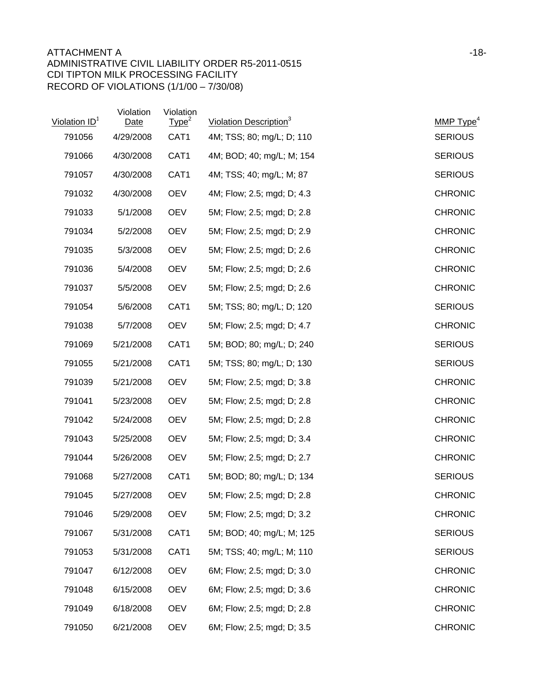## ATTACHMENT A and the state of the state of the state of the state of the state of the state of the state of the state of the state of the state of the state of the state of the state of the state of the state of the state ADMINISTRATIVE CIVIL LIABILITY ORDER R5-2011-0515 CDI TIPTON MILK PROCESSING FACILITY RECORD OF VIOLATIONS (1/1/00 – 7/30/08)

| Violation ID <sup>1</sup> | Violation<br>Date | Violation<br>Type <sup>2</sup> | Violation Description <sup>3</sup> | MMP $Type4$    |
|---------------------------|-------------------|--------------------------------|------------------------------------|----------------|
| 791056                    | 4/29/2008         | CAT1                           | 4M; TSS; 80; mg/L; D; 110          | <b>SERIOUS</b> |
| 791066                    | 4/30/2008         | CAT1                           | 4M; BOD; 40; mg/L; M; 154          | <b>SERIOUS</b> |
| 791057                    | 4/30/2008         | CAT1                           | 4M; TSS; 40; mg/L; M; 87           | <b>SERIOUS</b> |
| 791032                    | 4/30/2008         | <b>OEV</b>                     | 4M; Flow; 2.5; mgd; D; 4.3         | <b>CHRONIC</b> |
| 791033                    | 5/1/2008          | <b>OEV</b>                     | 5M; Flow; 2.5; mgd; D; 2.8         | <b>CHRONIC</b> |
| 791034                    | 5/2/2008          | <b>OEV</b>                     | 5M; Flow; 2.5; mgd; D; 2.9         | <b>CHRONIC</b> |
| 791035                    | 5/3/2008          | <b>OEV</b>                     | 5M; Flow; 2.5; mgd; D; 2.6         | <b>CHRONIC</b> |
| 791036                    | 5/4/2008          | <b>OEV</b>                     | 5M; Flow; 2.5; mgd; D; 2.6         | <b>CHRONIC</b> |
| 791037                    | 5/5/2008          | <b>OEV</b>                     | 5M; Flow; 2.5; mgd; D; 2.6         | <b>CHRONIC</b> |
| 791054                    | 5/6/2008          | CAT1                           | 5M; TSS; 80; mg/L; D; 120          | <b>SERIOUS</b> |
| 791038                    | 5/7/2008          | <b>OEV</b>                     | 5M; Flow; 2.5; mgd; D; 4.7         | <b>CHRONIC</b> |
| 791069                    | 5/21/2008         | CAT1                           | 5M; BOD; 80; mg/L; D; 240          | <b>SERIOUS</b> |
| 791055                    | 5/21/2008         | CAT1                           | 5M; TSS; 80; mg/L; D; 130          | <b>SERIOUS</b> |
| 791039                    | 5/21/2008         | <b>OEV</b>                     | 5M; Flow; 2.5; mgd; D; 3.8         | <b>CHRONIC</b> |
| 791041                    | 5/23/2008         | <b>OEV</b>                     | 5M; Flow; 2.5; mgd; D; 2.8         | <b>CHRONIC</b> |
| 791042                    | 5/24/2008         | <b>OEV</b>                     | 5M; Flow; 2.5; mgd; D; 2.8         | <b>CHRONIC</b> |
| 791043                    | 5/25/2008         | <b>OEV</b>                     | 5M; Flow; 2.5; mgd; D; 3.4         | <b>CHRONIC</b> |
| 791044                    | 5/26/2008         | <b>OEV</b>                     | 5M; Flow; 2.5; mgd; D; 2.7         | <b>CHRONIC</b> |
| 791068                    | 5/27/2008         | CAT1                           | 5M; BOD; 80; mg/L; D; 134          | <b>SERIOUS</b> |
| 791045                    | 5/27/2008         | <b>OEV</b>                     | 5M; Flow; 2.5; mgd; D; 2.8         | <b>CHRONIC</b> |
| 791046                    | 5/29/2008         | <b>OEV</b>                     | 5M; Flow; 2.5; mgd; D; 3.2         | <b>CHRONIC</b> |
| 791067                    | 5/31/2008         | CAT1                           | 5M; BOD; 40; mg/L; M; 125          | <b>SERIOUS</b> |
| 791053                    | 5/31/2008         | CAT1                           | 5M; TSS; 40; mg/L; M; 110          | <b>SERIOUS</b> |
| 791047                    | 6/12/2008         | <b>OEV</b>                     | 6M; Flow; 2.5; mgd; D; 3.0         | <b>CHRONIC</b> |
| 791048                    | 6/15/2008         | <b>OEV</b>                     | 6M; Flow; 2.5; mgd; D; 3.6         | <b>CHRONIC</b> |
| 791049                    | 6/18/2008         | <b>OEV</b>                     | 6M; Flow; 2.5; mgd; D; 2.8         | <b>CHRONIC</b> |
| 791050                    | 6/21/2008         | <b>OEV</b>                     | 6M; Flow; 2.5; mgd; D; 3.5         | <b>CHRONIC</b> |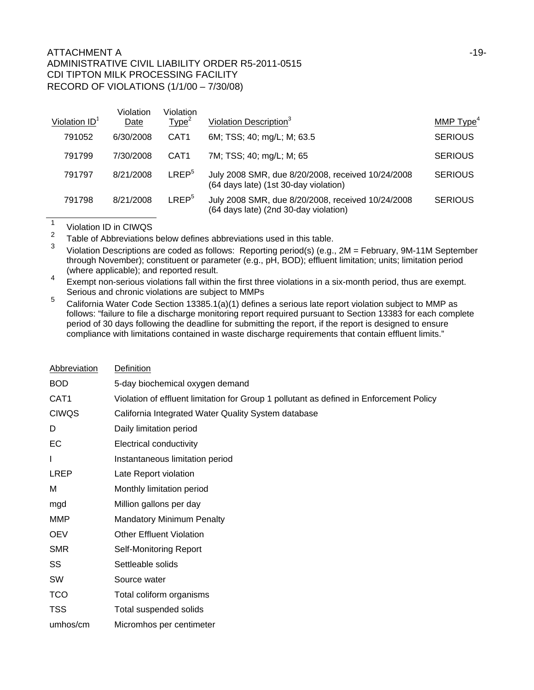|                 | Violation | Violation         |                                                                                            |                |
|-----------------|-----------|-------------------|--------------------------------------------------------------------------------------------|----------------|
| Violation $ID1$ | Date      | Type <sup>2</sup> | Violation Description <sup>3</sup>                                                         | MMP $Type4$    |
| 791052          | 6/30/2008 | CAT <sub>1</sub>  | 6M; TSS; 40; mg/L; M; 63.5                                                                 | <b>SERIOUS</b> |
| 791799          | 7/30/2008 | CAT <sub>1</sub>  | 7M; TSS; 40; mg/L; M; 65                                                                   | <b>SERIOUS</b> |
| 791797          | 8/21/2008 | LREF <sup>5</sup> | July 2008 SMR, due 8/20/2008, received 10/24/2008<br>(64 days late) (1st 30-day violation) | <b>SERIOUS</b> |
| 791798          | 8/21/2008 | LREF <sup>5</sup> | July 2008 SMR, due 8/20/2008, received 10/24/2008<br>(64 days late) (2nd 30-day violation) | <b>SERIOUS</b> |

 $\frac{1}{2}$  Violation ID in CIWQS

<sup>2</sup> Table of Abbreviations below defines abbreviations used in this table.

<sup>3</sup> Violation Descriptions are coded as follows: Reporting period(s) (e.g., 2M = February, 9M-11M September through November); constituent or parameter (e.g., pH, BOD); effluent limitation; units; limitation period (where applicable); and reported result.

Exempt non-serious violations fall within the first three violations in a six-month period, thus are exempt. Serious and chronic violations are subject to MMPs

<sup>5</sup> California Water Code Section 13385.1(a)(1) defines a serious late report violation subject to MMP as follows: "failure to file a discharge monitoring report required pursuant to Section 13383 for each complete period of 30 days following the deadline for submitting the report, if the report is designed to ensure compliance with limitations contained in waste discharge requirements that contain effluent limits."

| Abbreviation | Definition                                                                              |
|--------------|-----------------------------------------------------------------------------------------|
| <b>BOD</b>   | 5-day biochemical oxygen demand                                                         |
| CAT1         | Violation of effluent limitation for Group 1 pollutant as defined in Enforcement Policy |
| <b>CIWQS</b> | California Integrated Water Quality System database                                     |
| D            | Daily limitation period                                                                 |
| EC           | <b>Electrical conductivity</b>                                                          |
| L            | Instantaneous limitation period                                                         |
| <b>LREP</b>  | Late Report violation                                                                   |
| м            | Monthly limitation period                                                               |
| mgd          | Million gallons per day                                                                 |
| <b>MMP</b>   | <b>Mandatory Minimum Penalty</b>                                                        |
| <b>OEV</b>   | <b>Other Effluent Violation</b>                                                         |
| <b>SMR</b>   | Self-Monitoring Report                                                                  |
| SS           | Settleable solids                                                                       |
| SW           | Source water                                                                            |
| <b>TCO</b>   | Total coliform organisms                                                                |
| <b>TSS</b>   | Total suspended solids                                                                  |
| umhos/cm     | Micromhos per centimeter                                                                |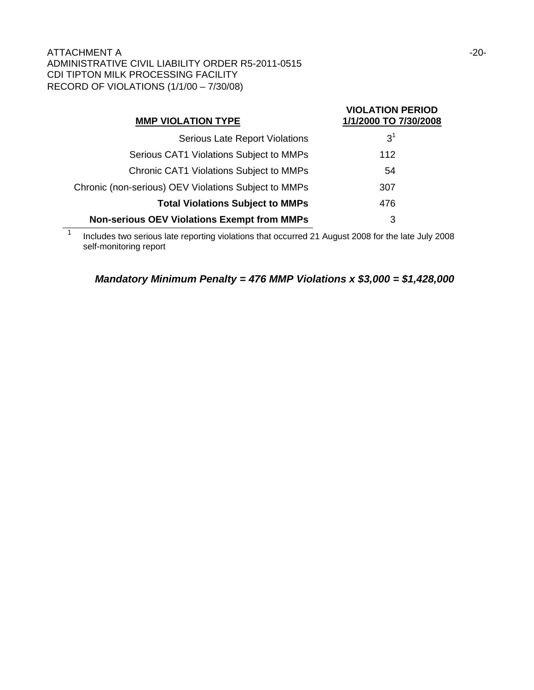| <b>MMP VIOLATION TYPE</b>                            | <b>VIOLATION PERIOD</b><br>1/1/2000 TO 7/30/2008 |
|------------------------------------------------------|--------------------------------------------------|
| <b>Serious Late Report Violations</b>                | 3 <sup>1</sup>                                   |
| Serious CAT1 Violations Subject to MMPs              | 112                                              |
| <b>Chronic CAT1 Violations Subject to MMPs</b>       | 54                                               |
| Chronic (non-serious) OEV Violations Subject to MMPs | 307                                              |
| <b>Total Violations Subject to MMPs</b>              | 476                                              |
| <b>Non-serious OEV Violations Exempt from MMPs</b>   | 3                                                |

1 Includes two serious late reporting violations that occurred 21 August 2008 for the late July 2008 self-monitoring report

*Mandatory Minimum Penalty = 476 MMP Violations x \$3,000 = \$1,428,000*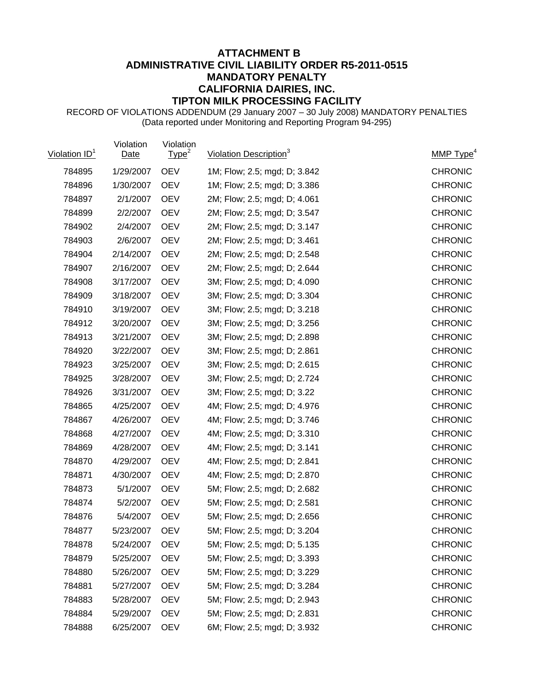## **ATTACHMENT B ADMINISTRATIVE CIVIL LIABILITY ORDER R5-2011-0515 MANDATORY PENALTY CALIFORNIA DAIRIES, INC. TIPTON MILK PROCESSING FACILITY**

RECORD OF VIOLATIONS ADDENDUM (29 January 2007 – 30 July 2008) MANDATORY PENALTIES (Data reported under Monitoring and Reporting Program 94-295)

| Violation ID <sup>1</sup> | Violation<br>Date | Violation<br>Type <sup>2</sup> | Violation Description <sup>3</sup> | MMP Type <sup>4</sup> |
|---------------------------|-------------------|--------------------------------|------------------------------------|-----------------------|
| 784895                    | 1/29/2007         | <b>OEV</b>                     | 1M; Flow; 2.5; mgd; D; 3.842       | <b>CHRONIC</b>        |
| 784896                    | 1/30/2007         | <b>OEV</b>                     | 1M; Flow; 2.5; mgd; D; 3.386       | <b>CHRONIC</b>        |
| 784897                    | 2/1/2007          | <b>OEV</b>                     | 2M; Flow; 2.5; mgd; D; 4.061       | <b>CHRONIC</b>        |
| 784899                    | 2/2/2007          | <b>OEV</b>                     | 2M; Flow; 2.5; mgd; D; 3.547       | <b>CHRONIC</b>        |
| 784902                    | 2/4/2007          | <b>OEV</b>                     | 2M; Flow; 2.5; mgd; D; 3.147       | <b>CHRONIC</b>        |
| 784903                    | 2/6/2007          | <b>OEV</b>                     | 2M; Flow; 2.5; mgd; D; 3.461       | <b>CHRONIC</b>        |
| 784904                    | 2/14/2007         | <b>OEV</b>                     | 2M; Flow; 2.5; mgd; D; 2.548       | <b>CHRONIC</b>        |
| 784907                    | 2/16/2007         | <b>OEV</b>                     | 2M; Flow; 2.5; mgd; D; 2.644       | <b>CHRONIC</b>        |
| 784908                    | 3/17/2007         | <b>OEV</b>                     | 3M; Flow; 2.5; mgd; D; 4.090       | <b>CHRONIC</b>        |
| 784909                    | 3/18/2007         | <b>OEV</b>                     | 3M; Flow; 2.5; mgd; D; 3.304       | <b>CHRONIC</b>        |
| 784910                    | 3/19/2007         | <b>OEV</b>                     | 3M; Flow; 2.5; mgd; D; 3.218       | <b>CHRONIC</b>        |
| 784912                    | 3/20/2007         | <b>OEV</b>                     | 3M; Flow; 2.5; mgd; D; 3.256       | <b>CHRONIC</b>        |
| 784913                    | 3/21/2007         | <b>OEV</b>                     | 3M; Flow; 2.5; mgd; D; 2.898       | <b>CHRONIC</b>        |
| 784920                    | 3/22/2007         | <b>OEV</b>                     | 3M; Flow; 2.5; mgd; D; 2.861       | <b>CHRONIC</b>        |
| 784923                    | 3/25/2007         | <b>OEV</b>                     | 3M; Flow; 2.5; mgd; D; 2.615       | <b>CHRONIC</b>        |
| 784925                    | 3/28/2007         | <b>OEV</b>                     | 3M; Flow; 2.5; mgd; D; 2.724       | <b>CHRONIC</b>        |
| 784926                    | 3/31/2007         | <b>OEV</b>                     | 3M; Flow; 2.5; mgd; D; 3.22        | <b>CHRONIC</b>        |
| 784865                    | 4/25/2007         | <b>OEV</b>                     | 4M; Flow; 2.5; mgd; D; 4.976       | <b>CHRONIC</b>        |
| 784867                    | 4/26/2007         | <b>OEV</b>                     | 4M; Flow; 2.5; mgd; D; 3.746       | <b>CHRONIC</b>        |
| 784868                    | 4/27/2007         | <b>OEV</b>                     | 4M; Flow; 2.5; mgd; D; 3.310       | <b>CHRONIC</b>        |
| 784869                    | 4/28/2007         | <b>OEV</b>                     | 4M; Flow; 2.5; mgd; D; 3.141       | <b>CHRONIC</b>        |
| 784870                    | 4/29/2007         | <b>OEV</b>                     | 4M; Flow; 2.5; mgd; D; 2.841       | <b>CHRONIC</b>        |
| 784871                    | 4/30/2007         | <b>OEV</b>                     | 4M; Flow; 2.5; mgd; D; 2.870       | <b>CHRONIC</b>        |
| 784873                    | 5/1/2007          | <b>OEV</b>                     | 5M; Flow; 2.5; mgd; D; 2.682       | <b>CHRONIC</b>        |
| 784874                    | 5/2/2007          | <b>OEV</b>                     | 5M; Flow; 2.5; mgd; D; 2.581       | <b>CHRONIC</b>        |
| 784876                    | 5/4/2007          | <b>OEV</b>                     | 5M; Flow; 2.5; mgd; D; 2.656       | <b>CHRONIC</b>        |
| 784877                    | 5/23/2007         | <b>OEV</b>                     | 5M; Flow; 2.5; mgd; D; 3.204       | <b>CHRONIC</b>        |
| 784878                    | 5/24/2007         | <b>OEV</b>                     | 5M; Flow; 2.5; mgd; D; 5.135       | <b>CHRONIC</b>        |
| 784879                    | 5/25/2007         | <b>OEV</b>                     | 5M; Flow; 2.5; mgd; D; 3.393       | <b>CHRONIC</b>        |
| 784880                    | 5/26/2007         | <b>OEV</b>                     | 5M; Flow; 2.5; mgd; D; 3.229       | <b>CHRONIC</b>        |
| 784881                    | 5/27/2007         | <b>OEV</b>                     | 5M; Flow; 2.5; mgd; D; 3.284       | <b>CHRONIC</b>        |
| 784883                    | 5/28/2007         | <b>OEV</b>                     | 5M; Flow; 2.5; mgd; D; 2.943       | <b>CHRONIC</b>        |
| 784884                    | 5/29/2007         | <b>OEV</b>                     | 5M; Flow; 2.5; mgd; D; 2.831       | <b>CHRONIC</b>        |
| 784888                    | 6/25/2007         | <b>OEV</b>                     | 6M; Flow; 2.5; mgd; D; 3.932       | <b>CHRONIC</b>        |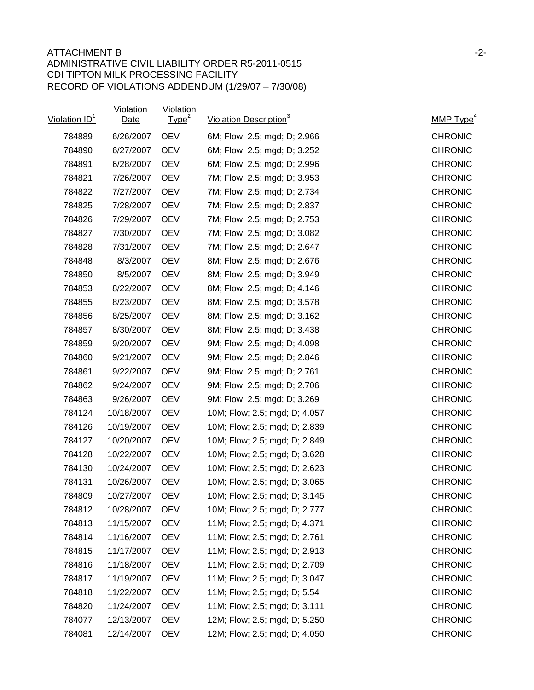| Violation ID <sup>1</sup> | Violation<br>Date | Violation<br>Type <sup>2</sup> | Violation Description <sup>3</sup> | MMP Type <sup>4</sup> |
|---------------------------|-------------------|--------------------------------|------------------------------------|-----------------------|
| 784889                    | 6/26/2007         | <b>OEV</b>                     | 6M; Flow; 2.5; mgd; D; 2.966       | <b>CHRONIC</b>        |
| 784890                    | 6/27/2007         | <b>OEV</b>                     | 6M; Flow; 2.5; mgd; D; 3.252       | <b>CHRONIC</b>        |
| 784891                    | 6/28/2007         | <b>OEV</b>                     | 6M; Flow; 2.5; mgd; D; 2.996       | <b>CHRONIC</b>        |
| 784821                    | 7/26/2007         | <b>OEV</b>                     | 7M; Flow; 2.5; mgd; D; 3.953       | <b>CHRONIC</b>        |
| 784822                    | 7/27/2007         | <b>OEV</b>                     | 7M; Flow; 2.5; mgd; D; 2.734       | <b>CHRONIC</b>        |
| 784825                    | 7/28/2007         | <b>OEV</b>                     | 7M; Flow; 2.5; mgd; D; 2.837       | <b>CHRONIC</b>        |
| 784826                    | 7/29/2007         | <b>OEV</b>                     | 7M; Flow; 2.5; mgd; D; 2.753       | <b>CHRONIC</b>        |
| 784827                    | 7/30/2007         | <b>OEV</b>                     | 7M; Flow; 2.5; mgd; D; 3.082       | <b>CHRONIC</b>        |
| 784828                    | 7/31/2007         | <b>OEV</b>                     | 7M; Flow; 2.5; mgd; D; 2.647       | <b>CHRONIC</b>        |
| 784848                    | 8/3/2007          | <b>OEV</b>                     | 8M; Flow; 2.5; mgd; D; 2.676       | <b>CHRONIC</b>        |
| 784850                    | 8/5/2007          | <b>OEV</b>                     | 8M; Flow; 2.5; mgd; D; 3.949       | <b>CHRONIC</b>        |
| 784853                    | 8/22/2007         | <b>OEV</b>                     | 8M; Flow; 2.5; mgd; D; 4.146       | <b>CHRONIC</b>        |
| 784855                    | 8/23/2007         | <b>OEV</b>                     | 8M; Flow; 2.5; mgd; D; 3.578       | <b>CHRONIC</b>        |
| 784856                    | 8/25/2007         | <b>OEV</b>                     | 8M; Flow; 2.5; mgd; D; 3.162       | <b>CHRONIC</b>        |
| 784857                    | 8/30/2007         | <b>OEV</b>                     | 8M; Flow; 2.5; mgd; D; 3.438       | <b>CHRONIC</b>        |
| 784859                    | 9/20/2007         | <b>OEV</b>                     | 9M; Flow; 2.5; mgd; D; 4.098       | <b>CHRONIC</b>        |
| 784860                    | 9/21/2007         | <b>OEV</b>                     | 9M; Flow; 2.5; mgd; D; 2.846       | <b>CHRONIC</b>        |
| 784861                    | 9/22/2007         | <b>OEV</b>                     | 9M; Flow; 2.5; mgd; D; 2.761       | <b>CHRONIC</b>        |
| 784862                    | 9/24/2007         | <b>OEV</b>                     | 9M; Flow; 2.5; mgd; D; 2.706       | <b>CHRONIC</b>        |
| 784863                    | 9/26/2007         | <b>OEV</b>                     | 9M; Flow; 2.5; mgd; D; 3.269       | <b>CHRONIC</b>        |
| 784124                    | 10/18/2007        | <b>OEV</b>                     | 10M; Flow; 2.5; mgd; D; 4.057      | <b>CHRONIC</b>        |
| 784126                    | 10/19/2007        | <b>OEV</b>                     | 10M; Flow; 2.5; mgd; D; 2.839      | <b>CHRONIC</b>        |
| 784127                    | 10/20/2007        | <b>OEV</b>                     | 10M; Flow; 2.5; mgd; D; 2.849      | <b>CHRONIC</b>        |
| 784128                    | 10/22/2007        | <b>OEV</b>                     | 10M; Flow; 2.5; mgd; D; 3.628      | <b>CHRONIC</b>        |
| 784130                    | 10/24/2007        | <b>OEV</b>                     | 10M; Flow; 2.5; mgd; D; 2.623      | <b>CHRONIC</b>        |
| 784131                    | 10/26/2007        | <b>OEV</b>                     | 10M; Flow; 2.5; mgd; D; 3.065      | <b>CHRONIC</b>        |
| 784809                    | 10/27/2007        | <b>OEV</b>                     | 10M; Flow; 2.5; mgd; D; 3.145      | <b>CHRONIC</b>        |
| 784812                    | 10/28/2007        | <b>OEV</b>                     | 10M; Flow; 2.5; mgd; D; 2.777      | <b>CHRONIC</b>        |
| 784813                    | 11/15/2007        | <b>OEV</b>                     | 11M; Flow; 2.5; mgd; D; 4.371      | <b>CHRONIC</b>        |
| 784814                    | 11/16/2007        | <b>OEV</b>                     | 11M; Flow; 2.5; mgd; D; 2.761      | <b>CHRONIC</b>        |
| 784815                    | 11/17/2007        | <b>OEV</b>                     | 11M; Flow; 2.5; mgd; D; 2.913      | <b>CHRONIC</b>        |
| 784816                    | 11/18/2007        | <b>OEV</b>                     | 11M; Flow; 2.5; mgd; D; 2.709      | <b>CHRONIC</b>        |
| 784817                    | 11/19/2007        | <b>OEV</b>                     | 11M; Flow; 2.5; mgd; D; 3.047      | <b>CHRONIC</b>        |
| 784818                    | 11/22/2007        | <b>OEV</b>                     | 11M; Flow; 2.5; mgd; D; 5.54       | <b>CHRONIC</b>        |
| 784820                    | 11/24/2007        | <b>OEV</b>                     | 11M; Flow; 2.5; mgd; D; 3.111      | <b>CHRONIC</b>        |
| 784077                    | 12/13/2007        | <b>OEV</b>                     | 12M; Flow; 2.5; mgd; D; 5.250      | <b>CHRONIC</b>        |
| 784081                    | 12/14/2007        | <b>OEV</b>                     | 12M; Flow; 2.5; mgd; D; 4.050      | <b>CHRONIC</b>        |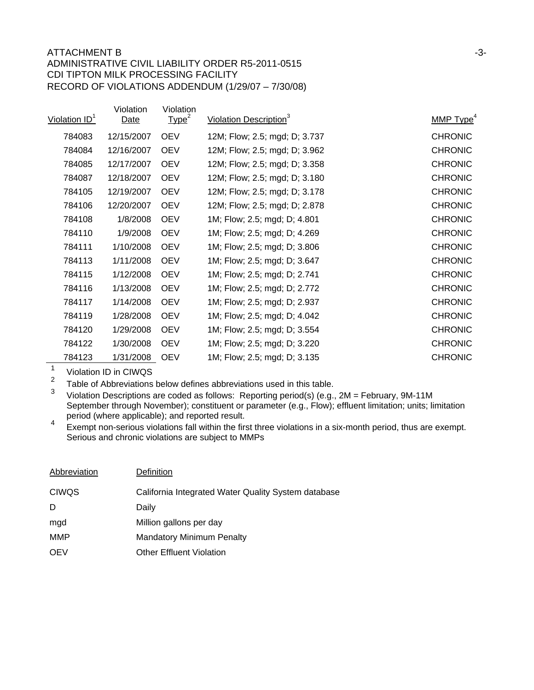| Violation ID <sup>1</sup> | Violation<br>Date | Violation<br>Type <sup>2</sup> | Violation Description <sup>3</sup> | MMP Type <sup>4</sup> |
|---------------------------|-------------------|--------------------------------|------------------------------------|-----------------------|
| 784083                    | 12/15/2007        | <b>OEV</b>                     | 12M; Flow; 2.5; mgd; D; 3.737      | <b>CHRONIC</b>        |
| 784084                    | 12/16/2007        | <b>OEV</b>                     | 12M; Flow; 2.5; mgd; D; 3.962      | <b>CHRONIC</b>        |
| 784085                    | 12/17/2007        | <b>OEV</b>                     | 12M; Flow; 2.5; mgd; D; 3.358      | <b>CHRONIC</b>        |
| 784087                    | 12/18/2007        | <b>OEV</b>                     | 12M; Flow; 2.5; mgd; D; 3.180      | <b>CHRONIC</b>        |
| 784105                    | 12/19/2007        | <b>OEV</b>                     | 12M; Flow; 2.5; mgd; D; 3.178      | <b>CHRONIC</b>        |
| 784106                    | 12/20/2007        | <b>OEV</b>                     | 12M; Flow; 2.5; mgd; D; 2.878      | <b>CHRONIC</b>        |
| 784108                    | 1/8/2008          | <b>OEV</b>                     | 1M; Flow; 2.5; mgd; D; 4.801       | <b>CHRONIC</b>        |
| 784110                    | 1/9/2008          | <b>OEV</b>                     | 1M; Flow; 2.5; mgd; D; 4.269       | <b>CHRONIC</b>        |
| 784111                    | 1/10/2008         | <b>OEV</b>                     | 1M; Flow; 2.5; mgd; D; 3.806       | <b>CHRONIC</b>        |
| 784113                    | 1/11/2008         | <b>OEV</b>                     | 1M; Flow; 2.5; mgd; D; 3.647       | <b>CHRONIC</b>        |
| 784115                    | 1/12/2008         | <b>OEV</b>                     | 1M; Flow; 2.5; mgd; D; 2.741       | <b>CHRONIC</b>        |
| 784116                    | 1/13/2008         | <b>OEV</b>                     | 1M; Flow; 2.5; mgd; D; 2.772       | <b>CHRONIC</b>        |
| 784117                    | 1/14/2008         | <b>OEV</b>                     | 1M; Flow; 2.5; mgd; D; 2.937       | <b>CHRONIC</b>        |
| 784119                    | 1/28/2008         | <b>OEV</b>                     | 1M; Flow; 2.5; mgd; D; 4.042       | <b>CHRONIC</b>        |
| 784120                    | 1/29/2008         | <b>OEV</b>                     | 1M; Flow; 2.5; mgd; D; 3.554       | <b>CHRONIC</b>        |
| 784122                    | 1/30/2008         | <b>OEV</b>                     | 1M; Flow; 2.5; mgd; D; 3.220       | <b>CHRONIC</b>        |
| 784123                    | 1/31/2008         | <b>OEV</b>                     | 1M; Flow; 2.5; mgd; D; 3.135       | <b>CHRONIC</b>        |

 $\frac{1}{2}$  Violation ID in CIWQS

<sup>2</sup> Table of Abbreviations below defines abbreviations used in this table.<br><sup>3</sup> Miclotian Descriptions are saded as follows: Penertian pariad(a) (e.g.

<sup>3</sup> Violation Descriptions are coded as follows: Reporting period(s) (e.g., 2M = February, 9M-11M September through November); constituent or parameter (e.g., Flow); effluent limitation; units; limitation period (where applicable); and reported result.

<sup>4</sup> Exempt non-serious violations fall within the first three violations in a six-month period, thus are exempt. Serious and chronic violations are subject to MMPs

| Abbreviation | Definition                                          |
|--------------|-----------------------------------------------------|
| <b>CIWQS</b> | California Integrated Water Quality System database |
| D            | Daily                                               |
| mgd          | Million gallons per day                             |
| MMP          | <b>Mandatory Minimum Penalty</b>                    |
| <b>OEV</b>   | <b>Other Effluent Violation</b>                     |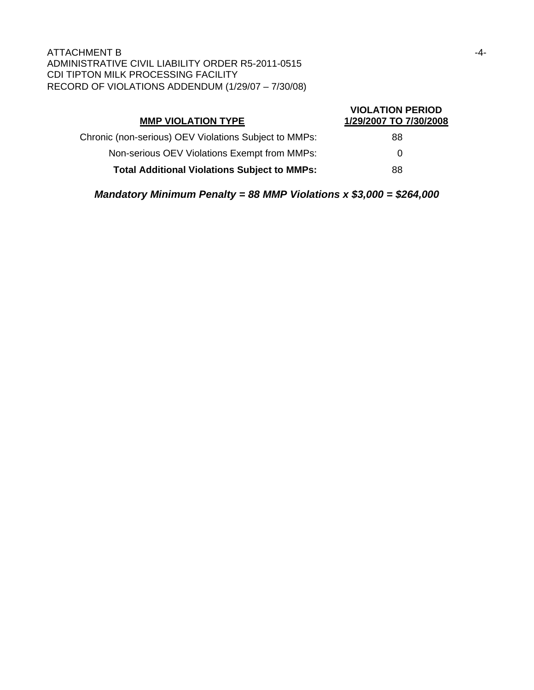| <b>MMP VIOLATION TYPE</b>                             | <b>VIOLATION PERIOD</b><br>1/29/2007 TO 7/30/2008 |
|-------------------------------------------------------|---------------------------------------------------|
| Chronic (non-serious) OEV Violations Subject to MMPs: | 88                                                |
| Non-serious OEV Violations Exempt from MMPs:          | 0                                                 |
| <b>Total Additional Violations Subject to MMPs:</b>   | 88                                                |

*Mandatory Minimum Penalty = 88 MMP Violations x \$3,000 = \$264,000*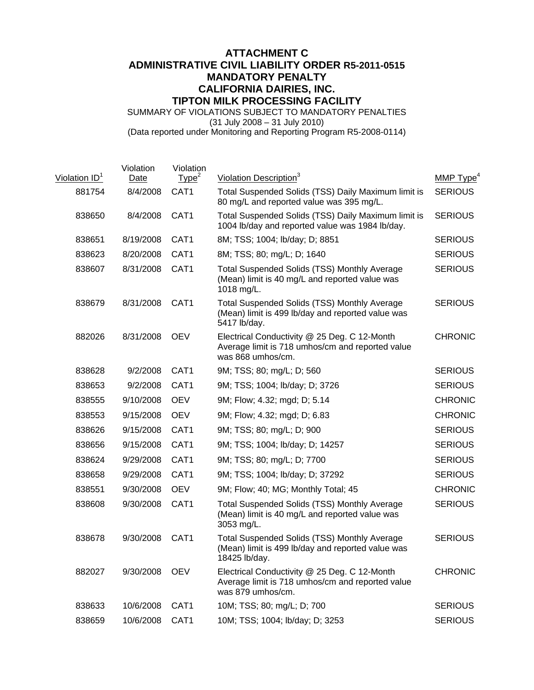# **ATTACHMENT C ADMINISTRATIVE CIVIL LIABILITY ORDER R5-2011-0515 MANDATORY PENALTY CALIFORNIA DAIRIES, INC. TIPTON MILK PROCESSING FACILITY**

SUMMARY OF VIOLATIONS SUBJECT TO MANDATORY PENALTIES (31 July 2008 – 31 July 2010) (Data reported under Monitoring and Reporting Program R5-2008-0114)

| Violation $ID^1$ | Violation<br>Date | Violation<br>Type <sup>2</sup> | <b>Violation Description</b> <sup>3</sup>                                                                                 | MMP Type <sup>4</sup> |
|------------------|-------------------|--------------------------------|---------------------------------------------------------------------------------------------------------------------------|-----------------------|
| 881754           | 8/4/2008          | CAT <sub>1</sub>               | Total Suspended Solids (TSS) Daily Maximum limit is<br>80 mg/L and reported value was 395 mg/L.                           | <b>SERIOUS</b>        |
| 838650           | 8/4/2008          | CAT1                           | Total Suspended Solids (TSS) Daily Maximum limit is<br>1004 lb/day and reported value was 1984 lb/day.                    | <b>SERIOUS</b>        |
| 838651           | 8/19/2008         | CAT <sub>1</sub>               | 8M; TSS; 1004; lb/day; D; 8851                                                                                            | <b>SERIOUS</b>        |
| 838623           | 8/20/2008         | CAT1                           | 8M; TSS; 80; mg/L; D; 1640                                                                                                | <b>SERIOUS</b>        |
| 838607           | 8/31/2008         | CAT1                           | <b>Total Suspended Solids (TSS) Monthly Average</b><br>(Mean) limit is 40 mg/L and reported value was<br>1018 mg/L.       | <b>SERIOUS</b>        |
| 838679           | 8/31/2008         | CAT1                           | <b>Total Suspended Solids (TSS) Monthly Average</b><br>(Mean) limit is 499 lb/day and reported value was<br>5417 lb/day.  | <b>SERIOUS</b>        |
| 882026           | 8/31/2008         | <b>OEV</b>                     | Electrical Conductivity @ 25 Deg. C 12-Month<br>Average limit is 718 umhos/cm and reported value<br>was 868 umhos/cm.     | <b>CHRONIC</b>        |
| 838628           | 9/2/2008          | CAT1                           | 9M; TSS; 80; mg/L; D; 560                                                                                                 | <b>SERIOUS</b>        |
| 838653           | 9/2/2008          | CAT <sub>1</sub>               | 9M; TSS; 1004; lb/day; D; 3726                                                                                            | <b>SERIOUS</b>        |
| 838555           | 9/10/2008         | <b>OEV</b>                     | 9M; Flow; 4.32; mgd; D; 5.14                                                                                              | <b>CHRONIC</b>        |
| 838553           | 9/15/2008         | <b>OEV</b>                     | 9M; Flow; 4.32; mgd; D; 6.83                                                                                              | <b>CHRONIC</b>        |
| 838626           | 9/15/2008         | CAT1                           | 9M; TSS; 80; mg/L; D; 900                                                                                                 | <b>SERIOUS</b>        |
| 838656           | 9/15/2008         | CAT1                           | 9M; TSS; 1004; lb/day; D; 14257                                                                                           | <b>SERIOUS</b>        |
| 838624           | 9/29/2008         | CAT1                           | 9M; TSS; 80; mg/L; D; 7700                                                                                                | <b>SERIOUS</b>        |
| 838658           | 9/29/2008         | CAT1                           | 9M; TSS; 1004; lb/day; D; 37292                                                                                           | <b>SERIOUS</b>        |
| 838551           | 9/30/2008         | <b>OEV</b>                     | 9M; Flow; 40; MG; Monthly Total; 45                                                                                       | <b>CHRONIC</b>        |
| 838608           | 9/30/2008         | CAT1                           | <b>Total Suspended Solids (TSS) Monthly Average</b><br>(Mean) limit is 40 mg/L and reported value was<br>3053 mg/L.       | <b>SERIOUS</b>        |
| 838678           | 9/30/2008         | CAT1                           | <b>Total Suspended Solids (TSS) Monthly Average</b><br>(Mean) limit is 499 lb/day and reported value was<br>18425 lb/day. | <b>SERIOUS</b>        |
| 882027           | 9/30/2008         | <b>OEV</b>                     | Electrical Conductivity @ 25 Deg. C 12-Month<br>Average limit is 718 umhos/cm and reported value<br>was 879 umhos/cm.     | <b>CHRONIC</b>        |
| 838633           | 10/6/2008         | CAT1                           | 10M; TSS; 80; mg/L; D; 700                                                                                                | <b>SERIOUS</b>        |
| 838659           | 10/6/2008         | CAT1                           | 10M; TSS; 1004; lb/day; D; 3253                                                                                           | <b>SERIOUS</b>        |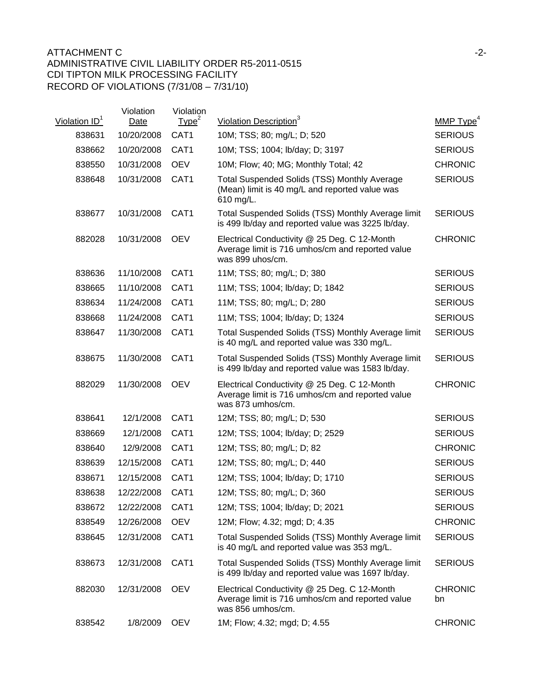| Violation ID <sup>1</sup> | Violation<br>Date | Violation<br>Type <sup>2</sup> | Violation Description <sup>3</sup>                                                                                    | MMP $Type4$          |
|---------------------------|-------------------|--------------------------------|-----------------------------------------------------------------------------------------------------------------------|----------------------|
| 838631                    | 10/20/2008        | CAT1                           | 10M; TSS; 80; mg/L; D; 520                                                                                            | <b>SERIOUS</b>       |
| 838662                    | 10/20/2008        | CAT1                           | 10M; TSS; 1004; lb/day; D; 3197                                                                                       | <b>SERIOUS</b>       |
| 838550                    | 10/31/2008        | <b>OEV</b>                     | 10M; Flow; 40; MG; Monthly Total; 42                                                                                  | <b>CHRONIC</b>       |
| 838648                    | 10/31/2008        | CAT1                           | <b>Total Suspended Solids (TSS) Monthly Average</b><br>(Mean) limit is 40 mg/L and reported value was<br>610 mg/L.    | <b>SERIOUS</b>       |
| 838677                    | 10/31/2008        | CAT1                           | Total Suspended Solids (TSS) Monthly Average limit<br>is 499 lb/day and reported value was 3225 lb/day.               | <b>SERIOUS</b>       |
| 882028                    | 10/31/2008        | <b>OEV</b>                     | Electrical Conductivity @ 25 Deg. C 12-Month<br>Average limit is 716 umhos/cm and reported value<br>was 899 uhos/cm.  | <b>CHRONIC</b>       |
| 838636                    | 11/10/2008        | CAT1                           | 11M; TSS; 80; mg/L; D; 380                                                                                            | <b>SERIOUS</b>       |
| 838665                    | 11/10/2008        | CAT1                           | 11M; TSS; 1004; lb/day; D; 1842                                                                                       | <b>SERIOUS</b>       |
| 838634                    | 11/24/2008        | CAT <sub>1</sub>               | 11M; TSS; 80; mg/L; D; 280                                                                                            | <b>SERIOUS</b>       |
| 838668                    | 11/24/2008        | CAT1                           | 11M; TSS; 1004; lb/day; D; 1324                                                                                       | <b>SERIOUS</b>       |
| 838647                    | 11/30/2008        | CAT1                           | Total Suspended Solids (TSS) Monthly Average limit<br>is 40 mg/L and reported value was 330 mg/L.                     | <b>SERIOUS</b>       |
| 838675                    | 11/30/2008        | CAT1                           | Total Suspended Solids (TSS) Monthly Average limit<br>is 499 lb/day and reported value was 1583 lb/day.               | <b>SERIOUS</b>       |
| 882029                    | 11/30/2008        | <b>OEV</b>                     | Electrical Conductivity @ 25 Deg. C 12-Month<br>Average limit is 716 umhos/cm and reported value<br>was 873 umhos/cm. | <b>CHRONIC</b>       |
| 838641                    | 12/1/2008         | CAT1                           | 12M; TSS; 80; mg/L; D; 530                                                                                            | <b>SERIOUS</b>       |
| 838669                    | 12/1/2008         | CAT <sub>1</sub>               | 12M; TSS; 1004; lb/day; D; 2529                                                                                       | <b>SERIOUS</b>       |
| 838640                    | 12/9/2008         | CAT1                           | 12M; TSS; 80; mg/L; D; 82                                                                                             | <b>CHRONIC</b>       |
| 838639                    | 12/15/2008        | CAT <sub>1</sub>               | 12M; TSS; 80; mg/L; D; 440                                                                                            | <b>SERIOUS</b>       |
| 838671                    | 12/15/2008        | CAT <sub>1</sub>               | 12M; TSS; 1004; lb/day; D; 1710                                                                                       | <b>SERIOUS</b>       |
| 838638                    | 12/22/2008        | CAT <sub>1</sub>               | 12M; TSS; 80; mg/L; D; 360                                                                                            | <b>SERIOUS</b>       |
| 838672                    | 12/22/2008        | CAT <sub>1</sub>               | 12M; TSS; 1004; lb/day; D; 2021                                                                                       | <b>SERIOUS</b>       |
| 838549                    | 12/26/2008        | <b>OEV</b>                     | 12M; Flow; 4.32; mgd; D; 4.35                                                                                         | <b>CHRONIC</b>       |
| 838645                    | 12/31/2008        | CAT1                           | Total Suspended Solids (TSS) Monthly Average limit<br>is 40 mg/L and reported value was 353 mg/L.                     | <b>SERIOUS</b>       |
| 838673                    | 12/31/2008        | CAT <sub>1</sub>               | Total Suspended Solids (TSS) Monthly Average limit<br>is 499 lb/day and reported value was 1697 lb/day.               | <b>SERIOUS</b>       |
| 882030                    | 12/31/2008        | <b>OEV</b>                     | Electrical Conductivity @ 25 Deg. C 12-Month<br>Average limit is 716 umhos/cm and reported value<br>was 856 umhos/cm. | <b>CHRONIC</b><br>bn |
| 838542                    | 1/8/2009          | <b>OEV</b>                     | 1M; Flow; 4.32; mgd; D; 4.55                                                                                          | <b>CHRONIC</b>       |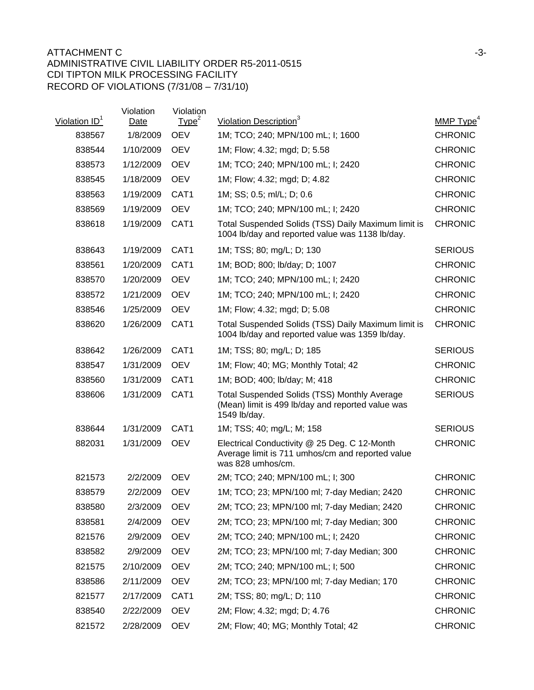| Violation ID <sup>1</sup> | Violation<br>Date | Violation<br>Type <sup>2</sup> | Violation Description <sup>3</sup>                                                                                       | MMP Type <sup>4</sup> |
|---------------------------|-------------------|--------------------------------|--------------------------------------------------------------------------------------------------------------------------|-----------------------|
| 838567                    | 1/8/2009          | <b>OEV</b>                     | 1M; TCO; 240; MPN/100 mL; I; 1600                                                                                        | <b>CHRONIC</b>        |
| 838544                    | 1/10/2009         | <b>OEV</b>                     | 1M; Flow; 4.32; mgd; D; 5.58                                                                                             | <b>CHRONIC</b>        |
| 838573                    | 1/12/2009         | <b>OEV</b>                     | 1M; TCO; 240; MPN/100 mL; I; 2420                                                                                        | <b>CHRONIC</b>        |
| 838545                    | 1/18/2009         | <b>OEV</b>                     | 1M; Flow; 4.32; mgd; D; 4.82                                                                                             | <b>CHRONIC</b>        |
| 838563                    | 1/19/2009         | CAT <sub>1</sub>               | 1M; SS; 0.5; ml/L; D; 0.6                                                                                                | <b>CHRONIC</b>        |
| 838569                    | 1/19/2009         | <b>OEV</b>                     | 1M; TCO; 240; MPN/100 mL; I; 2420                                                                                        | <b>CHRONIC</b>        |
| 838618                    | 1/19/2009         | CAT1                           | Total Suspended Solids (TSS) Daily Maximum limit is<br>1004 lb/day and reported value was 1138 lb/day.                   | <b>CHRONIC</b>        |
| 838643                    | 1/19/2009         | CAT <sub>1</sub>               | 1M; TSS; 80; mg/L; D; 130                                                                                                | <b>SERIOUS</b>        |
| 838561                    | 1/20/2009         | CAT1                           | 1M; BOD; 800; lb/day; D; 1007                                                                                            | <b>CHRONIC</b>        |
| 838570                    | 1/20/2009         | <b>OEV</b>                     | 1M; TCO; 240; MPN/100 mL; I; 2420                                                                                        | <b>CHRONIC</b>        |
| 838572                    | 1/21/2009         | <b>OEV</b>                     | 1M; TCO; 240; MPN/100 mL; I; 2420                                                                                        | <b>CHRONIC</b>        |
| 838546                    | 1/25/2009         | <b>OEV</b>                     | 1M; Flow; 4.32; mgd; D; 5.08                                                                                             | <b>CHRONIC</b>        |
| 838620                    | 1/26/2009         | CAT1                           | Total Suspended Solids (TSS) Daily Maximum limit is<br>1004 lb/day and reported value was 1359 lb/day.                   | <b>CHRONIC</b>        |
| 838642                    | 1/26/2009         | CAT <sub>1</sub>               | 1M; TSS; 80; mg/L; D; 185                                                                                                | <b>SERIOUS</b>        |
| 838547                    | 1/31/2009         | <b>OEV</b>                     | 1M; Flow; 40; MG; Monthly Total; 42                                                                                      | <b>CHRONIC</b>        |
| 838560                    | 1/31/2009         | CAT1                           | 1M; BOD; 400; lb/day; M; 418                                                                                             | <b>CHRONIC</b>        |
| 838606                    | 1/31/2009         | CAT1                           | <b>Total Suspended Solids (TSS) Monthly Average</b><br>(Mean) limit is 499 lb/day and reported value was<br>1549 lb/day. | <b>SERIOUS</b>        |
| 838644                    | 1/31/2009         | CAT <sub>1</sub>               | 1M; TSS; 40; mg/L; M; 158                                                                                                | <b>SERIOUS</b>        |
| 882031                    | 1/31/2009         | <b>OEV</b>                     | Electrical Conductivity @ 25 Deg. C 12-Month<br>Average limit is 711 umhos/cm and reported value<br>was 828 umhos/cm.    | <b>CHRONIC</b>        |
| 821573                    | 2/2/2009          | <b>OEV</b>                     | 2M; TCO; 240; MPN/100 mL; I; 300                                                                                         | <b>CHRONIC</b>        |
| 838579                    | 2/2/2009          | <b>OEV</b>                     | 1M; TCO; 23; MPN/100 ml; 7-day Median; 2420                                                                              | <b>CHRONIC</b>        |
| 838580                    | 2/3/2009          | <b>OEV</b>                     | 2M; TCO; 23; MPN/100 ml; 7-day Median; 2420                                                                              | <b>CHRONIC</b>        |
| 838581                    | 2/4/2009          | <b>OEV</b>                     | 2M; TCO; 23; MPN/100 ml; 7-day Median; 300                                                                               | <b>CHRONIC</b>        |
| 821576                    | 2/9/2009          | <b>OEV</b>                     | 2M; TCO; 240; MPN/100 mL; I; 2420                                                                                        | <b>CHRONIC</b>        |
| 838582                    | 2/9/2009          | <b>OEV</b>                     | 2M; TCO; 23; MPN/100 ml; 7-day Median; 300                                                                               | <b>CHRONIC</b>        |
| 821575                    | 2/10/2009         | <b>OEV</b>                     | 2M; TCO; 240; MPN/100 mL; I; 500                                                                                         | <b>CHRONIC</b>        |
| 838586                    | 2/11/2009         | <b>OEV</b>                     | 2M; TCO; 23; MPN/100 ml; 7-day Median; 170                                                                               | <b>CHRONIC</b>        |
| 821577                    | 2/17/2009         | CAT <sub>1</sub>               | 2M; TSS; 80; mg/L; D; 110                                                                                                | <b>CHRONIC</b>        |
| 838540                    | 2/22/2009         | <b>OEV</b>                     | 2M; Flow; 4.32; mgd; D; 4.76                                                                                             | <b>CHRONIC</b>        |
| 821572                    | 2/28/2009         | <b>OEV</b>                     | 2M; Flow; 40; MG; Monthly Total; 42                                                                                      | <b>CHRONIC</b>        |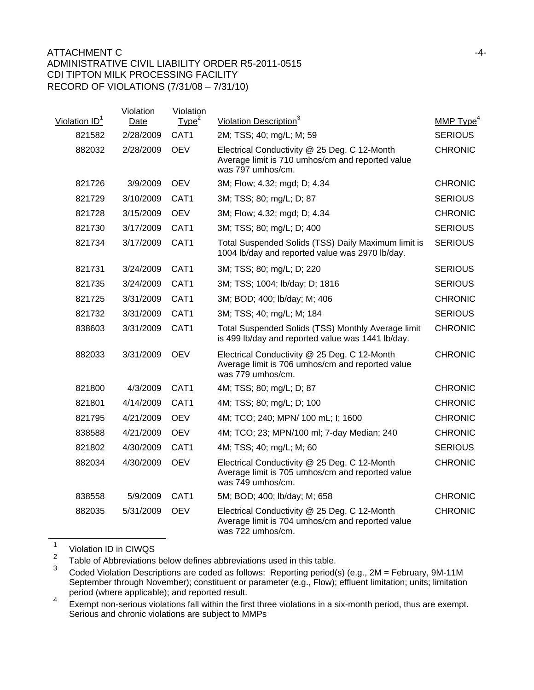| Violation $ID1$ | Violation<br>Date | Violation<br>Type <sup>2</sup> | Violation Description <sup>3</sup>                                                                                    | MMP $Type4$    |
|-----------------|-------------------|--------------------------------|-----------------------------------------------------------------------------------------------------------------------|----------------|
| 821582          | 2/28/2009         | CAT1                           | 2M; TSS; 40; mg/L; M; 59                                                                                              | <b>SERIOUS</b> |
| 882032          | 2/28/2009         | <b>OEV</b>                     | Electrical Conductivity @ 25 Deg. C 12-Month<br>Average limit is 710 umhos/cm and reported value<br>was 797 umhos/cm. | <b>CHRONIC</b> |
| 821726          | 3/9/2009          | <b>OEV</b>                     | 3M; Flow; 4.32; mgd; D; 4.34                                                                                          | <b>CHRONIC</b> |
| 821729          | 3/10/2009         | CAT1                           | 3M; TSS; 80; mg/L; D; 87                                                                                              | <b>SERIOUS</b> |
| 821728          | 3/15/2009         | <b>OEV</b>                     | 3M; Flow; 4.32; mgd; D; 4.34                                                                                          | <b>CHRONIC</b> |
| 821730          | 3/17/2009         | CAT1                           | 3M; TSS; 80; mg/L; D; 400                                                                                             | <b>SERIOUS</b> |
| 821734          | 3/17/2009         | CAT1                           | Total Suspended Solids (TSS) Daily Maximum limit is<br>1004 lb/day and reported value was 2970 lb/day.                | <b>SERIOUS</b> |
| 821731          | 3/24/2009         | CAT1                           | 3M; TSS; 80; mg/L; D; 220                                                                                             | <b>SERIOUS</b> |
| 821735          | 3/24/2009         | CAT <sub>1</sub>               | 3M; TSS; 1004; lb/day; D; 1816                                                                                        | <b>SERIOUS</b> |
| 821725          | 3/31/2009         | CAT1                           | 3M; BOD; 400; lb/day; M; 406                                                                                          | <b>CHRONIC</b> |
| 821732          | 3/31/2009         | CAT <sub>1</sub>               | 3M; TSS; 40; mg/L; M; 184                                                                                             | <b>SERIOUS</b> |
| 838603          | 3/31/2009         | CAT1                           | Total Suspended Solids (TSS) Monthly Average limit<br>is 499 lb/day and reported value was 1441 lb/day.               | <b>CHRONIC</b> |
| 882033          | 3/31/2009         | <b>OEV</b>                     | Electrical Conductivity @ 25 Deg. C 12-Month<br>Average limit is 706 umhos/cm and reported value<br>was 779 umhos/cm. | <b>CHRONIC</b> |
| 821800          | 4/3/2009          | CAT1                           | 4M; TSS; 80; mg/L; D; 87                                                                                              | <b>CHRONIC</b> |
| 821801          | 4/14/2009         | CAT1                           | 4M; TSS; 80; mg/L; D; 100                                                                                             | <b>CHRONIC</b> |
| 821795          | 4/21/2009         | <b>OEV</b>                     | 4M; TCO; 240; MPN/ 100 mL; I; 1600                                                                                    | <b>CHRONIC</b> |
| 838588          | 4/21/2009         | <b>OEV</b>                     | 4M; TCO; 23; MPN/100 ml; 7-day Median; 240                                                                            | <b>CHRONIC</b> |
| 821802          | 4/30/2009         | CAT1                           | 4M; TSS; 40; mg/L; M; 60                                                                                              | <b>SERIOUS</b> |
| 882034          | 4/30/2009         | <b>OEV</b>                     | Electrical Conductivity @ 25 Deg. C 12-Month<br>Average limit is 705 umhos/cm and reported value<br>was 749 umhos/cm. | <b>CHRONIC</b> |
| 838558          | 5/9/2009          | CAT1                           | 5M; BOD; 400; lb/day; M; 658                                                                                          | <b>CHRONIC</b> |
| 882035          | 5/31/2009         | <b>OEV</b>                     | Electrical Conductivity @ 25 Deg. C 12-Month<br>Average limit is 704 umhos/cm and reported value<br>was 722 umhos/cm. | <b>CHRONIC</b> |

 $\frac{1}{2}$  Violation ID in CIWQS

<sup>2</sup> Table of Abbreviations below defines abbreviations used in this table.

Coded Violation Descriptions are coded as follows: Reporting period(s) (e.g., 2M = February, 9M-11M September through November); constituent or parameter (e.g., Flow); effluent limitation; units; limitation period (where applicable); and reported result.

<sup>4</sup> Exempt non-serious violations fall within the first three violations in a six-month period, thus are exempt. Serious and chronic violations are subject to MMPs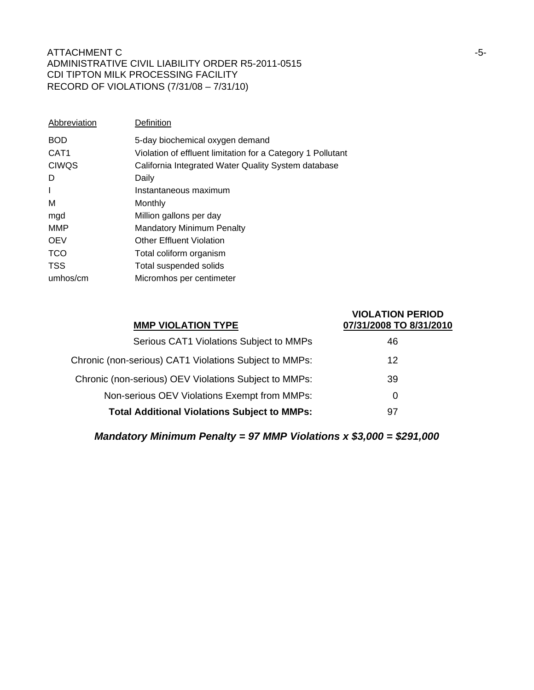| Abbreviation     | Definition                                                  |
|------------------|-------------------------------------------------------------|
| <b>BOD</b>       | 5-day biochemical oxygen demand                             |
| CAT <sub>1</sub> | Violation of effluent limitation for a Category 1 Pollutant |
| <b>CIWQS</b>     | California Integrated Water Quality System database         |
| D                | Daily                                                       |
| $\mathbf{I}$     | Instantaneous maximum                                       |
| M                | Monthly                                                     |
| mgd              | Million gallons per day                                     |
| <b>MMP</b>       | <b>Mandatory Minimum Penalty</b>                            |
| <b>OEV</b>       | <b>Other Effluent Violation</b>                             |
| <b>TCO</b>       | Total coliform organism                                     |
| <b>TSS</b>       | Total suspended solids                                      |
| umhos/cm         | Micromhos per centimeter                                    |

| <b>MMP VIOLATION TYPE</b>                              | <b>VIOLATION PERIOD</b><br>07/31/2008 TO 8/31/2010 |
|--------------------------------------------------------|----------------------------------------------------|
| Serious CAT1 Violations Subject to MMPs                | 46                                                 |
| Chronic (non-serious) CAT1 Violations Subject to MMPs: | 12                                                 |
| Chronic (non-serious) OEV Violations Subject to MMPs:  | 39                                                 |
| Non-serious OEV Violations Exempt from MMPs:           | 0                                                  |
| <b>Total Additional Violations Subject to MMPs:</b>    | 97                                                 |

*Mandatory Minimum Penalty = 97 MMP Violations x \$3,000 = \$291,000*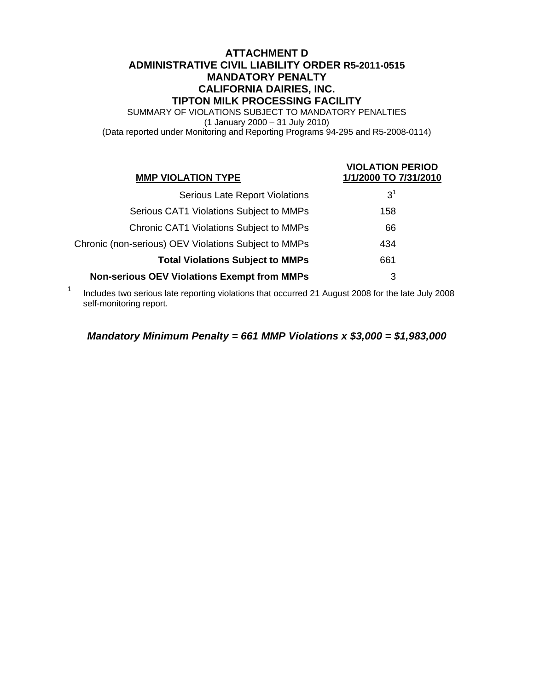# **ATTACHMENT D ADMINISTRATIVE CIVIL LIABILITY ORDER R5-2011-0515 MANDATORY PENALTY CALIFORNIA DAIRIES, INC. TIPTON MILK PROCESSING FACILITY**

SUMMARY OF VIOLATIONS SUBJECT TO MANDATORY PENALTIES (1 January 2000 – 31 July 2010) (Data reported under Monitoring and Reporting Programs 94-295 and R5-2008-0114)

| <b>MMP VIOLATION TYPE</b>                            | <b>VIOLATION PERIOD</b><br>1/1/2000 TO 7/31/2010 |
|------------------------------------------------------|--------------------------------------------------|
| <b>Serious Late Report Violations</b>                | $3^1$                                            |
| Serious CAT1 Violations Subject to MMPs              | 158                                              |
| <b>Chronic CAT1 Violations Subject to MMPs</b>       | 66                                               |
| Chronic (non-serious) OEV Violations Subject to MMPs | 434                                              |
| <b>Total Violations Subject to MMPs</b>              | 661                                              |
| <b>Non-serious OEV Violations Exempt from MMPs</b>   | 3                                                |

1 Includes two serious late reporting violations that occurred 21 August 2008 for the late July 2008 self-monitoring report.

## *Mandatory Minimum Penalty = 661 MMP Violations x \$3,000 = \$1,983,000*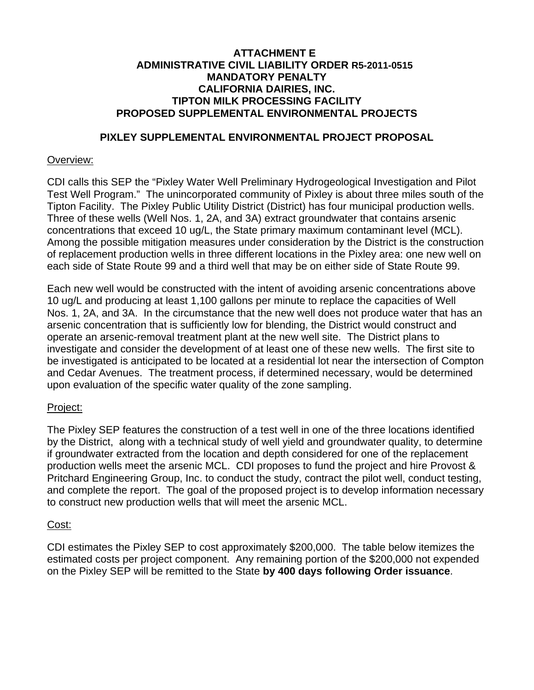# **ATTACHMENT E ADMINISTRATIVE CIVIL LIABILITY ORDER R5-2011-0515 MANDATORY PENALTY CALIFORNIA DAIRIES, INC. TIPTON MILK PROCESSING FACILITY PROPOSED SUPPLEMENTAL ENVIRONMENTAL PROJECTS**

# **PIXLEY SUPPLEMENTAL ENVIRONMENTAL PROJECT PROPOSAL**

# Overview:

CDI calls this SEP the "Pixley Water Well Preliminary Hydrogeological Investigation and Pilot Test Well Program." The unincorporated community of Pixley is about three miles south of the Tipton Facility. The Pixley Public Utility District (District) has four municipal production wells. Three of these wells (Well Nos. 1, 2A, and 3A) extract groundwater that contains arsenic concentrations that exceed 10 ug/L, the State primary maximum contaminant level (MCL). Among the possible mitigation measures under consideration by the District is the construction of replacement production wells in three different locations in the Pixley area: one new well on each side of State Route 99 and a third well that may be on either side of State Route 99.

Each new well would be constructed with the intent of avoiding arsenic concentrations above 10 ug/L and producing at least 1,100 gallons per minute to replace the capacities of Well Nos. 1, 2A, and 3A. In the circumstance that the new well does not produce water that has an arsenic concentration that is sufficiently low for blending, the District would construct and operate an arsenic-removal treatment plant at the new well site. The District plans to investigate and consider the development of at least one of these new wells. The first site to be investigated is anticipated to be located at a residential lot near the intersection of Compton and Cedar Avenues. The treatment process, if determined necessary, would be determined upon evaluation of the specific water quality of the zone sampling.

# Project:

The Pixley SEP features the construction of a test well in one of the three locations identified by the District, along with a technical study of well yield and groundwater quality, to determine if groundwater extracted from the location and depth considered for one of the replacement production wells meet the arsenic MCL. CDI proposes to fund the project and hire Provost & Pritchard Engineering Group, Inc. to conduct the study, contract the pilot well, conduct testing, and complete the report. The goal of the proposed project is to develop information necessary to construct new production wells that will meet the arsenic MCL.

# Cost:

CDI estimates the Pixley SEP to cost approximately \$200,000. The table below itemizes the estimated costs per project component. Any remaining portion of the \$200,000 not expended on the Pixley SEP will be remitted to the State **by 400 days following Order issuance**.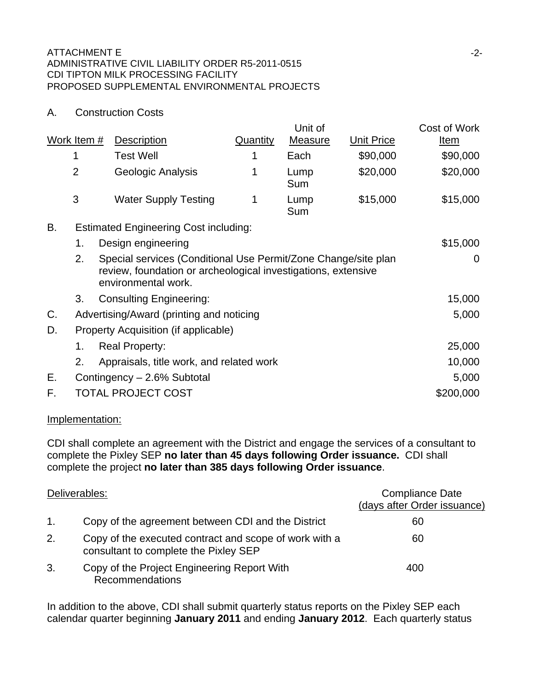# A. Construction Costs

|    |                                    |                                                                                                                                                           | Unit of                                                                                                                                                                      |                   | Cost of Work                                                                                                                    |
|----|------------------------------------|-----------------------------------------------------------------------------------------------------------------------------------------------------------|------------------------------------------------------------------------------------------------------------------------------------------------------------------------------|-------------------|---------------------------------------------------------------------------------------------------------------------------------|
|    | <b>Description</b>                 | <b>Quantity</b>                                                                                                                                           | <b>Measure</b>                                                                                                                                                               | <b>Unit Price</b> | <u>Item</u>                                                                                                                     |
| 1  | <b>Test Well</b>                   | 1                                                                                                                                                         | Each                                                                                                                                                                         | \$90,000          | \$90,000                                                                                                                        |
|    | Geologic Analysis                  | 1                                                                                                                                                         | Lump<br>Sum                                                                                                                                                                  | \$20,000          | \$20,000                                                                                                                        |
|    | <b>Water Supply Testing</b>        | 1                                                                                                                                                         | Lump<br>Sum                                                                                                                                                                  | \$15,000          | \$15,000                                                                                                                        |
|    |                                    |                                                                                                                                                           |                                                                                                                                                                              |                   |                                                                                                                                 |
| 1. |                                    |                                                                                                                                                           |                                                                                                                                                                              |                   | \$15,000                                                                                                                        |
| 2. |                                    |                                                                                                                                                           |                                                                                                                                                                              |                   | $\Omega$                                                                                                                        |
| 3. |                                    |                                                                                                                                                           |                                                                                                                                                                              |                   | 15,000                                                                                                                          |
|    |                                    |                                                                                                                                                           |                                                                                                                                                                              |                   | 5,000                                                                                                                           |
|    |                                    |                                                                                                                                                           |                                                                                                                                                                              |                   |                                                                                                                                 |
| 1. |                                    |                                                                                                                                                           |                                                                                                                                                                              |                   | 25,000                                                                                                                          |
| 2. |                                    |                                                                                                                                                           |                                                                                                                                                                              |                   | 10,000                                                                                                                          |
|    |                                    |                                                                                                                                                           |                                                                                                                                                                              |                   | 5,000                                                                                                                           |
|    |                                    |                                                                                                                                                           |                                                                                                                                                                              |                   | \$200,000                                                                                                                       |
|    | Work Item #<br>$\overline{2}$<br>3 | Design engineering<br>environmental work.<br><b>Consulting Engineering:</b><br><b>Real Property:</b><br>Contingency - 2.6% Subtotal<br>TOTAL PROJECT COST | <b>Estimated Engineering Cost including:</b><br>Advertising/Award (printing and noticing<br>Property Acquisition (if applicable)<br>Appraisals, title work, and related work |                   | Special services (Conditional Use Permit/Zone Change/site plan<br>review, foundation or archeological investigations, extensive |

# Implementation:

CDI shall complete an agreement with the District and engage the services of a consultant to complete the Pixley SEP **no later than 45 days following Order issuance.** CDI shall complete the project **no later than 385 days following Order issuance**.

| Deliverables:  |                                                                                                 | <b>Compliance Date</b><br>(days after Order issuance) |
|----------------|-------------------------------------------------------------------------------------------------|-------------------------------------------------------|
| $\mathbf{1}$ . | Copy of the agreement between CDI and the District                                              | 60                                                    |
| 2.             | Copy of the executed contract and scope of work with a<br>consultant to complete the Pixley SEP | 60                                                    |
| 3.             | Copy of the Project Engineering Report With<br><b>Recommendations</b>                           | 400                                                   |

In addition to the above, CDI shall submit quarterly status reports on the Pixley SEP each calendar quarter beginning **January 2011** and ending **January 2012**. Each quarterly status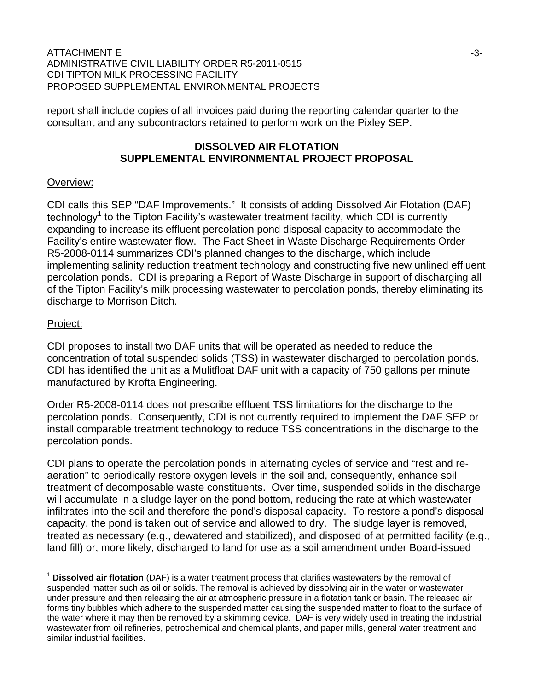report shall include copies of all invoices paid during the reporting calendar quarter to the consultant and any subcontractors retained to perform work on the Pixley SEP.

## **DISSOLVED AIR FLOTATION SUPPLEMENTAL ENVIRONMENTAL PROJECT PROPOSAL**

# Overview:

CDI calls this SEP "DAF Improvements." It consists of adding Dissolved Air Flotation (DAF) technology<sup>1</sup> to the Tipton Facility's wastewater treatment facility, which CDI is currently expanding to increase its effluent percolation pond disposal capacity to accommodate the Facility's entire wastewater flow. The Fact Sheet in Waste Discharge Requirements Order R5-2008-0114 summarizes CDI's planned changes to the discharge, which include implementing salinity reduction treatment technology and constructing five new unlined effluent percolation ponds. CDI is preparing a Report of Waste Discharge in support of discharging all of the Tipton Facility's milk processing wastewater to percolation ponds, thereby eliminating its discharge to Morrison Ditch.

### Project:

 $\overline{a}$ 

CDI proposes to install two DAF units that will be operated as needed to reduce the concentration of total suspended solids (TSS) in wastewater discharged to percolation ponds. CDI has identified the unit as a Mulitfloat DAF unit with a capacity of 750 gallons per minute manufactured by Krofta Engineering.

Order R5-2008-0114 does not prescribe effluent TSS limitations for the discharge to the percolation ponds. Consequently, CDI is not currently required to implement the DAF SEP or install comparable treatment technology to reduce TSS concentrations in the discharge to the percolation ponds.

CDI plans to operate the percolation ponds in alternating cycles of service and "rest and reaeration" to periodically restore oxygen levels in the soil and, consequently, enhance soil treatment of decomposable waste constituents. Over time, suspended solids in the discharge will accumulate in a sludge layer on the pond bottom, reducing the rate at which wastewater infiltrates into the soil and therefore the pond's disposal capacity. To restore a pond's disposal capacity, the pond is taken out of service and allowed to dry. The sludge layer is removed, treated as necessary (e.g., dewatered and stabilized), and disposed of at permitted facility (e.g., land fill) or, more likely, discharged to land for use as a soil amendment under Board-issued

**Dissolved air flotation** (DAF) is a water treatment process that clarifies wastewaters by the removal of suspended matter such as oil or solids. The removal is achieved by dissolving air in the water or wastewater under pressure and then releasing the air at atmospheric pressure in a flotation tank or basin. The released air forms tiny bubbles which adhere to the suspended matter causing the suspended matter to float to the surface of the water where it may then be removed by a skimming device. DAF is very widely used in treating the industrial wastewater from oil refineries, petrochemical and chemical plants, and paper mills, general water treatment and similar industrial facilities.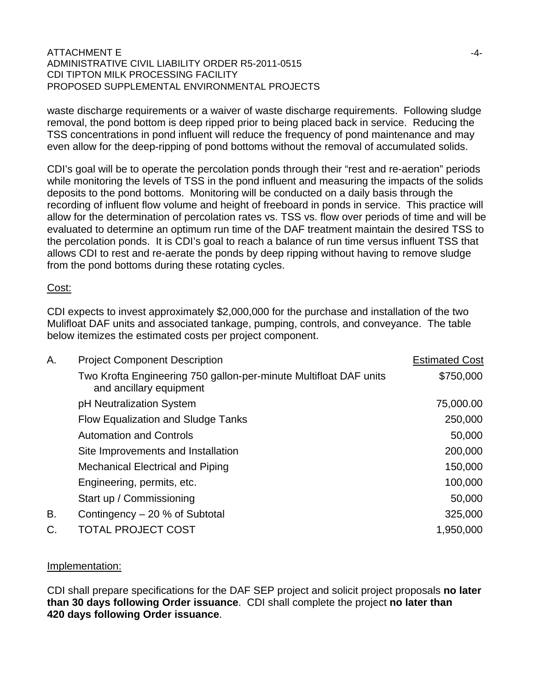waste discharge requirements or a waiver of waste discharge requirements. Following sludge removal, the pond bottom is deep ripped prior to being placed back in service. Reducing the TSS concentrations in pond influent will reduce the frequency of pond maintenance and may even allow for the deep-ripping of pond bottoms without the removal of accumulated solids.

CDI's goal will be to operate the percolation ponds through their "rest and re-aeration" periods while monitoring the levels of TSS in the pond influent and measuring the impacts of the solids deposits to the pond bottoms. Monitoring will be conducted on a daily basis through the recording of influent flow volume and height of freeboard in ponds in service. This practice will allow for the determination of percolation rates vs. TSS vs. flow over periods of time and will be evaluated to determine an optimum run time of the DAF treatment maintain the desired TSS to the percolation ponds. It is CDI's goal to reach a balance of run time versus influent TSS that allows CDI to rest and re-aerate the ponds by deep ripping without having to remove sludge from the pond bottoms during these rotating cycles.

### Cost:

CDI expects to invest approximately \$2,000,000 for the purchase and installation of the two Mulifloat DAF units and associated tankage, pumping, controls, and conveyance. The table below itemizes the estimated costs per project component.

| Α. | <b>Project Component Description</b>                                                         | <b>Estimated Cost</b> |
|----|----------------------------------------------------------------------------------------------|-----------------------|
|    | Two Krofta Engineering 750 gallon-per-minute Multifloat DAF units<br>and ancillary equipment | \$750,000             |
|    | pH Neutralization System                                                                     | 75,000.00             |
|    | Flow Equalization and Sludge Tanks                                                           | 250,000               |
|    | <b>Automation and Controls</b>                                                               | 50,000                |
|    | Site Improvements and Installation                                                           | 200,000               |
|    | <b>Mechanical Electrical and Piping</b>                                                      | 150,000               |
|    | Engineering, permits, etc.                                                                   | 100,000               |
|    | Start up / Commissioning                                                                     | 50,000                |
| В. | Contingency – 20 % of Subtotal                                                               | 325,000               |
| C. | <b>TOTAL PROJECT COST</b>                                                                    | 1,950,000             |

### Implementation:

CDI shall prepare specifications for the DAF SEP project and solicit project proposals **no later than 30 days following Order issuance**. CDI shall complete the project **no later than 420 days following Order issuance**.